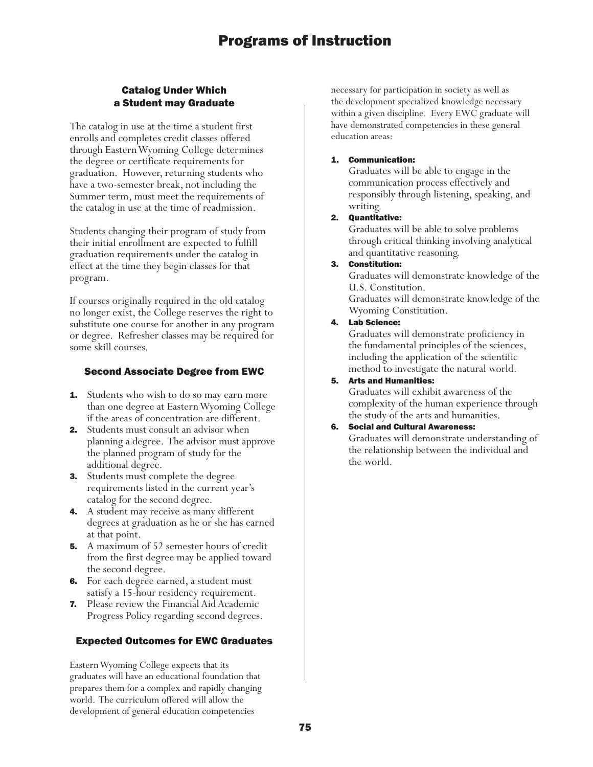### Catalog Under Which a Student may Graduate

The catalog in use at the time a student first enrolls and completes credit classes offered through Eastern Wyoming College determines the degree or certificate requirements for graduation. However, returning students who have a two-semester break, not including the Summer term, must meet the requirements of the catalog in use at the time of readmission.

Students changing their program of study from their initial enrollment are expected to fulfill graduation requirements under the catalog in effect at the time they begin classes for that program.

If courses originally required in the old catalog no longer exist, the College reserves the right to substitute one course for another in any program or degree. Refresher classes may be required for some skill courses.

### Second Associate Degree from EWC

- **1.** Students who wish to do so may earn more than one degree at Eastern Wyoming College if the areas of concentration are different.
- 2. Students must consult an advisor when planning a degree. The advisor must approve the planned program of study for the additional degree.
- **3.** Students must complete the degree requirements listed in the current year's catalog for the second degree.
- 4. A student may receive as many different degrees at graduation as he or she has earned at that point.
- **5.** A maximum of 52 semester hours of credit from the first degree may be applied toward the second degree.
- 6. For each degree earned, a student must satisfy a 15-hour residency requirement.
- 7. Please review the Financial Aid Academic Progress Policy regarding second degrees.

### Expected Outcomes for EWC Graduates

Eastern Wyoming College expects that its graduates will have an educational foundation that prepares them for a complex and rapidly changing world. The curriculum offered will allow the development of general education competencies

necessary for participation in society as well as the development specialized knowledge necessary within a given discipline. Every EWC graduate will have demonstrated competencies in these general education areas:

### 1. Communication:

Graduates will be able to engage in the communication process effectively and responsibly through listening, speaking, and writing.

### 2. Quantitative:

Graduates will be able to solve problems through critical thinking involving analytical and quantitative reasoning.

3. Constitution:

Graduates will demonstrate knowledge of the U.S. Constitution.

Graduates will demonstrate knowledge of the Wyoming Constitution.

### 4. Lab Science:

Graduates will demonstrate proficiency in the fundamental principles of the sciences, including the application of the scientific method to investigate the natural world.

### 5. Arts and Humanities:

Graduates will exhibit awareness of the complexity of the human experience through the study of the arts and humanities.

### 6. Social and Cultural Awareness:

Graduates will demonstrate understanding of the relationship between the individual and the world.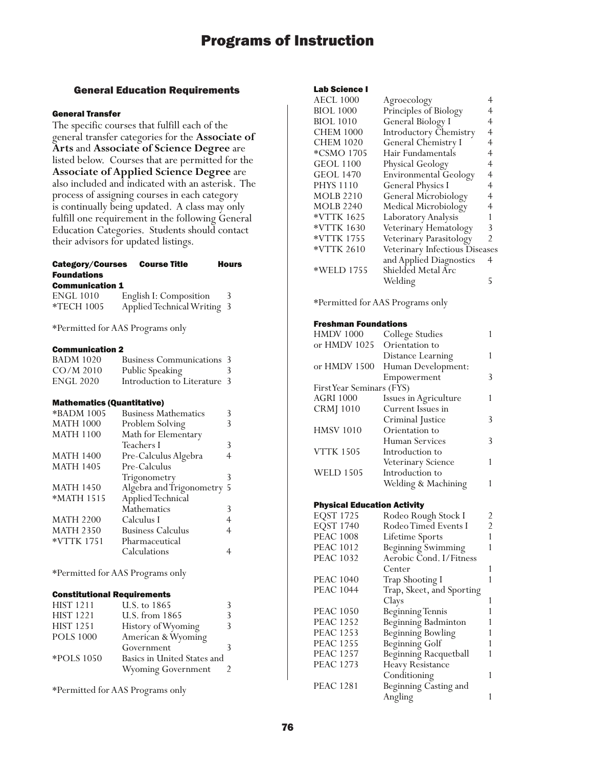### General Education Requirements

### General Transfer

The specific courses that fulfill each of the general transfer categories for the **Associate of Arts** and **Associate of Science Degree** are listed below. Courses that are permitted for the **Associate of Applied Science Degree** are also included and indicated with an asterisk. The process of assigning courses in each category is continually being updated. A class may only fulfill one requirement in the following General Education Categories. Students should contact their advisors for updated listings.

### Category/Courses Course Title Hours Foundations

#### Communication 1

| <b>ENGL 1010</b> | English I: Composition      |  |
|------------------|-----------------------------|--|
| *TECH 1005       | Applied Technical Writing 3 |  |

\*Permitted for AAS Programs only

#### Communication 2

| <b>BADM 1020</b> | <b>Business Communications 3</b> |   |
|------------------|----------------------------------|---|
| $CO/M$ 2010      | Public Speaking                  | 3 |
| <b>ENGL 2020</b> | Introduction to Literature 3     |   |

### Mathematics (Quantitative)

| *BADM 1005       | <b>Business Mathematics</b> |   |
|------------------|-----------------------------|---|
| <b>MATH 1000</b> | Problem Solving             |   |
| <b>MATH 1100</b> | Math for Elementary         |   |
|                  | Teachers I                  | 3 |
| <b>MATH 1400</b> | Pre-Calculus Algebra        |   |
| <b>MATH 1405</b> | Pre-Calculus                |   |
|                  | Trigonometry                | 3 |
| <b>MATH 1450</b> | Algebra and Trigonometry 5  |   |
| *MATH 1515       | Applied Technical           |   |
|                  | Mathematics                 | 3 |
| <b>MATH 2200</b> | Calculus I                  |   |
| <b>MATH 2350</b> | <b>Business Calculus</b>    | 4 |
| *VTTK 1751       | Pharmaceutical              |   |
|                  | Calculations                |   |
|                  |                             |   |

\*Permitted for AAS Programs only

### Constitutional Requirements

| <b>HIST 1211</b> | U.S. to 1865                | 3 |
|------------------|-----------------------------|---|
| <b>HIST 1221</b> | U.S. from 1865              | 3 |
| <b>HIST 1251</b> | History of Wyoming          | 3 |
| <b>POLS 1000</b> | American & Wyoming          |   |
|                  | Government                  |   |
| *POLS 1050       | Basics in United States and |   |
|                  | <b>Wyoming Government</b>   |   |
|                  |                             |   |

\*Permitted for AAS Programs only

#### Lab Science I

| <b>AECL 1000</b> | Agroecology                    |                |
|------------------|--------------------------------|----------------|
| <b>BIOL 1000</b> | Principles of Biology          |                |
| <b>BIOL 1010</b> | General Biology I              | 4              |
| <b>CHEM 1000</b> | Introductory Chemistry         | 4              |
| <b>CHEM 1020</b> | General Chemistry I            | 4              |
| *CSMO 1705       | Hair Fundamentals              | 4              |
| <b>GEOL 1100</b> | Physical Geology               | 4              |
| <b>GEOL 1470</b> | <b>Environmental Geology</b>   | 4              |
| <b>PHYS 1110</b> | <b>General Physics I</b>       | 4              |
| <b>MOLB 2210</b> | General Microbiology           | 4              |
| <b>MOLB 2240</b> | Medical Microbiology           | 4              |
| *VTTK 1625       | Laboratory Analysis            |                |
| *VTTK 1630       | Veterinary Hematology          | 3              |
| *VTTK 1755       | Veterinary Parasitology        | $\mathfrak{D}$ |
| *VTTK 2610       | Veterinary Infectious Diseases |                |
|                  | and Applied Diagnostics        | 4              |
| *WELD 1755       | Shielded Metal Arc             |                |
|                  | Welding                        | 5              |
|                  |                                |                |

\*Permitted for AAS Programs only

#### Freshman Foundations

| <b>HMDV 1000</b>                   | College Studies         | 1              |
|------------------------------------|-------------------------|----------------|
| or HMDV 1025                       | Orientation to          |                |
|                                    | Distance Learning       | 1              |
| or HMDV 1500                       | Human Development:      |                |
|                                    | Empowerment             | 3              |
| First Year Seminars (FYS)          |                         |                |
| AGRI 1000                          | Issues in Agriculture   | 1              |
| <b>CRMJ</b> 1010                   | Current Issues in       |                |
|                                    | Criminal Justice        | 3              |
| <b>HMSV 1010</b>                   | Orientation to          |                |
|                                    | Human Services          | 3              |
| <b>VTTK 1505</b>                   | Introduction to         |                |
|                                    | Veterinary Science      | 1              |
| <b>WELD 1505</b>                   | Introduction to         |                |
|                                    | Welding & Machining     | 1              |
| <b>Physical Education Activity</b> |                         |                |
| <b>EQST 1725</b>                   | Rodeo Rough Stock I     | 2              |
| <b>EQST 1740</b>                   | Rodeo Timed Events I    | $\overline{c}$ |
| <b>PEAC 1008</b>                   | Lifetime Sports         | $\mathbf{1}$   |
| <b>PEAC 1012</b>                   | Beginning Swimming      | 1              |
| <b>PEAC 1032</b>                   | Aerobic Cond. I/Fitness |                |
|                                    |                         |                |

| FEAU 1032        | Aefodic Conq. 17 Fiuiess  |   |
|------------------|---------------------------|---|
|                  | Center                    |   |
| <b>PEAC 1040</b> | Trap Shooting I           |   |
| <b>PEAC 1044</b> | Trap, Skeet, and Sporting |   |
|                  | Clays                     | 1 |
| <b>PEAC 1050</b> | <b>Beginning Tennis</b>   |   |
| PEAC 1252        | Beginning Badminton       |   |
| PEAC 1253        | <b>Beginning Bowling</b>  | 1 |
| <b>PEAC 1255</b> | <b>Beginning Golf</b>     | 1 |
| <b>PEAC 1257</b> | Beginning Racquetball     |   |
| PEAC 1273        | Heavy Resistance          |   |
|                  | Conditioning              | 1 |
| <b>PEAC 1281</b> | Beginning Casting and     |   |
|                  | Angling                   |   |
|                  |                           |   |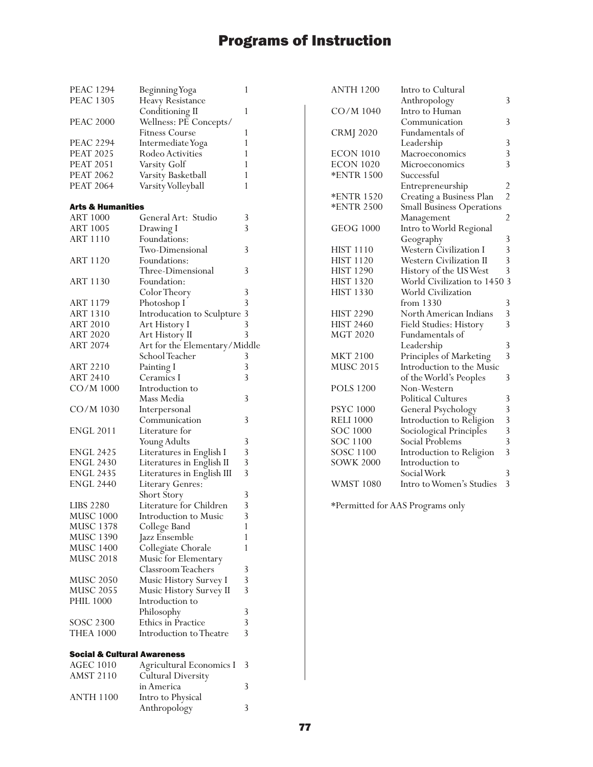| <b>PEAC 1294</b>                       | Beginning Yoga                                  | 1 | <b>ANTH 1200</b>  | Intro to Cultural                |                |
|----------------------------------------|-------------------------------------------------|---|-------------------|----------------------------------|----------------|
| <b>PEAC 1305</b>                       | Heavy Resistance                                |   |                   | Anthropology                     | 3              |
|                                        | Conditioning II                                 | 1 | CO/M 1040         | Intro to Human                   |                |
| <b>PEAC 2000</b>                       | Wellness: PE Concepts/                          |   |                   | Communication                    | 3              |
|                                        | <b>Fitness Course</b>                           | 1 | <b>CRMJ 2020</b>  | Fundamentals of                  |                |
| <b>PEAC 2294</b>                       | Intermediate Yoga                               |   |                   | Leadership                       | 3              |
| <b>PEAT 2025</b>                       | Rodeo Activities                                | 1 | <b>ECON 1010</b>  | Macroeconomics                   | $\mathfrak{Z}$ |
| <b>PEAT 2051</b>                       | Varsity Golf                                    |   | <b>ECON 1020</b>  | Microeconomics                   | 3              |
| <b>PEAT 2062</b>                       | Varsity Basketball                              | 1 | <b>*ENTR 1500</b> | Successful                       |                |
| <b>PEAT 2064</b>                       | Varsity Volleyball                              | 1 |                   | Entrepreneurship                 | $\overline{c}$ |
|                                        |                                                 |   | <b>*ENTR 1520</b> | Creating a Business Plan         | $\overline{2}$ |
| <b>Arts &amp; Humanities</b>           |                                                 |   | <b>*ENTR 2500</b> | <b>Small Business Operations</b> |                |
| <b>ART 1000</b>                        | General Art: Studio                             | 3 |                   | Management                       | $\overline{c}$ |
| <b>ART 1005</b>                        | Drawing I                                       | 3 | <b>GEOG 1000</b>  | Intro to World Regional          |                |
| <b>ART 1110</b>                        | Foundations:                                    |   |                   | Geography                        | 3              |
|                                        | Two-Dimensional                                 | 3 | <b>HIST 1110</b>  | Western Civilization I           | 3              |
| <b>ART 1120</b>                        | Foundations:                                    |   | <b>HIST 1120</b>  | Western Civilization II          | 3              |
|                                        | Three-Dimensional                               | 3 | <b>HIST 1290</b>  | History of the US West           | 3              |
| <b>ART 1130</b>                        | Foundation:                                     |   | <b>HIST 1320</b>  | World Civilization to 1450 3     |                |
|                                        | Color Theory                                    | 3 | <b>HIST 1330</b>  | World Civilization               |                |
| ART 1179                               | Photoshop I                                     | 3 |                   | from $1330$                      | 3              |
| <b>ART 1310</b>                        | Introducation to Sculpture 3                    |   | <b>HIST 2290</b>  | North American Indians           | 3              |
| <b>ART 2010</b>                        | Art History I                                   | 3 | <b>HIST 2460</b>  | Field Studies: History           | 3              |
| <b>ART 2020</b>                        |                                                 | 3 | <b>MGT 2020</b>   | Fundamentals of                  |                |
| <b>ART 2074</b>                        | Art History II<br>Art for the Elementary/Middle |   |                   |                                  | 3              |
|                                        |                                                 | 3 | <b>MKT 2100</b>   | Leadership                       | 3              |
|                                        | School Teacher                                  | 3 |                   | Principles of Marketing          |                |
| ART 2210                               | Painting I                                      | 3 | <b>MUSC 2015</b>  | Introduction to the Music        |                |
| <b>ART 2410</b>                        | Ceramics I<br>Introduction to                   |   | <b>POLS 1200</b>  | of the World's Peoples           | 3              |
| CO/M 1000                              |                                                 |   |                   | Non-Western                      |                |
|                                        | Mass Media                                      | 3 |                   | <b>Political Cultures</b>        | 3              |
| CO/M 1030                              | Interpersonal                                   |   | <b>PSYC 1000</b>  | General Psychology               | 3              |
|                                        | Communication                                   | 3 | <b>RELI 1000</b>  | Introduction to Religion         | 3              |
| <b>ENGL 2011</b>                       | Literature for                                  |   | SOC 1000          | Sociological Principles          | 3              |
|                                        | Young Adults                                    | 3 | SOC 1100          | Social Problems                  | 3              |
| <b>ENGL 2425</b>                       | Literatures in English I                        | 3 | SOSC 1100         | Introduction to Religion         | 3              |
| <b>ENGL 2430</b>                       | Literatures in English II                       | 3 | <b>SOWK 2000</b>  | Introduction to                  |                |
| <b>ENGL 2435</b>                       | Literatures in English III                      | 3 |                   | Social Work                      | 3              |
| <b>ENGL 2440</b>                       | Literary Genres:                                |   | <b>WMST 1080</b>  | Intro to Women's Studies         | -3             |
|                                        | Short Story                                     | 3 |                   |                                  |                |
| <b>LIBS 2280</b>                       | Literature for Children                         | 3 |                   | *Permitted for AAS Programs only |                |
| <b>MUSC 1000</b>                       | Introduction to Music                           | 3 |                   |                                  |                |
| <b>MUSC 1378</b>                       | College Band                                    | 1 |                   |                                  |                |
| <b>MUSC 1390</b>                       | Jazz Ensemble                                   | 1 |                   |                                  |                |
| <b>MUSC 1400</b>                       | Collegiate Chorale                              | 1 |                   |                                  |                |
| <b>MUSC 2018</b>                       | Music for Elementary                            |   |                   |                                  |                |
|                                        | Classroom Teachers                              | 3 |                   |                                  |                |
| <b>MUSC 2050</b>                       | Music History Survey I                          | 3 |                   |                                  |                |
| <b>MUSC 2055</b>                       | Music History Survey II                         | 3 |                   |                                  |                |
| <b>PHIL 1000</b>                       | Introduction to                                 |   |                   |                                  |                |
|                                        | Philosophy                                      | 3 |                   |                                  |                |
| SOSC 2300                              | Ethics in Practice                              | 3 |                   |                                  |                |
| <b>THEA 1000</b>                       | Introduction to Theatre                         | 3 |                   |                                  |                |
|                                        |                                                 |   |                   |                                  |                |
| <b>Social &amp; Cultural Awareness</b> |                                                 |   |                   |                                  |                |
| <b>AGEC 1010</b>                       | Agricultural Economics I 3                      |   |                   |                                  |                |
| <b>AMST 2110</b>                       | Cultural Diversity                              |   |                   |                                  |                |
|                                        | in America                                      | 3 |                   |                                  |                |
| <b>ANTH 1100</b>                       | Intro to Physical                               |   |                   |                                  |                |
|                                        | Anthropology                                    | 3 |                   |                                  |                |
|                                        |                                                 |   |                   |                                  |                |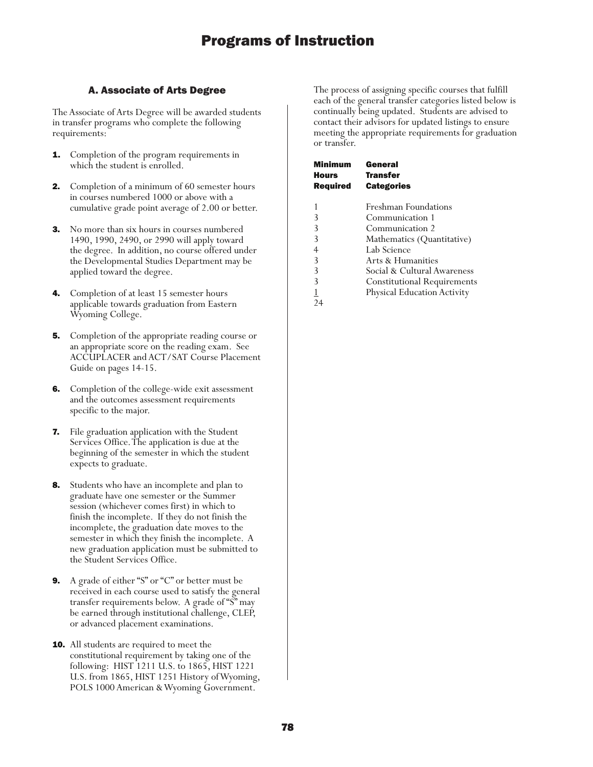### A. Associate of Arts Degree

The Associate of Arts Degree will be awarded students in transfer programs who complete the following requirements:

- **1.** Completion of the program requirements in which the student is enrolled.
- **2.** Completion of a minimum of 60 semester hours in courses numbered 1000 or above with a cumulative grade point average of 2.00 or better.
- **3.** No more than six hours in courses numbered 1490, 1990, 2490, or 2990 will apply toward the degree. In addition, no course offered under the Developmental Studies Department may be applied toward the degree.
- Completion of at least 15 semester hours applicable towards graduation from Eastern Wyoming College.
- **5.** Completion of the appropriate reading course or an appropriate score on the reading exam. See ACCUPLACER and ACT/SAT Course Placement Guide on pages 14-15.
- **6.** Completion of the college-wide exit assessment and the outcomes assessment requirements specific to the major.
- 7. File graduation application with the Student Services Office. The application is due at the beginning of the semester in which the student expects to graduate.
- Students who have an incomplete and plan to graduate have one semester or the Summer session (whichever comes first) in which to finish the incomplete. If they do not finish the incomplete, the graduation date moves to the semester in which they finish the incomplete. A new graduation application must be submitted to the Student Services Office.
- 9. A grade of either "S" or "C" or better must be received in each course used to satisfy the general transfer requirements below. A grade of "S" may be earned through institutional challenge, CLEP, or advanced placement examinations.
- **10.** All students are required to meet the constitutional requirement by taking one of the following: HIST 1211 U.S. to 1865, HIST 1221 U.S. from 1865, HIST 1251 History of Wyoming, POLS 1000 American & Wyoming Government.

The process of assigning specific courses that fulfill each of the general transfer categories listed below is continually being updated. Students are advised to contact their advisors for updated listings to ensure meeting the appropriate requirements for graduation or transfer.

| Minimum         | General                            |  |
|-----------------|------------------------------------|--|
| Hours           | <b>Transfer</b>                    |  |
| <b>Required</b> | <b>Categories</b>                  |  |
|                 |                                    |  |
|                 | <b>Freshman Foundations</b>        |  |
| 3               | Communication 1                    |  |
| 3               | Communication 2                    |  |
| 3               | Mathematics (Quantitative)         |  |
| 4               | Lab Science                        |  |
| 3               | Arts & Humanities                  |  |
| 3               | Social & Cultural Awareness        |  |
| 3               | <b>Constitutional Requirements</b> |  |
|                 | <b>Physical Education Activity</b> |  |
| 24              |                                    |  |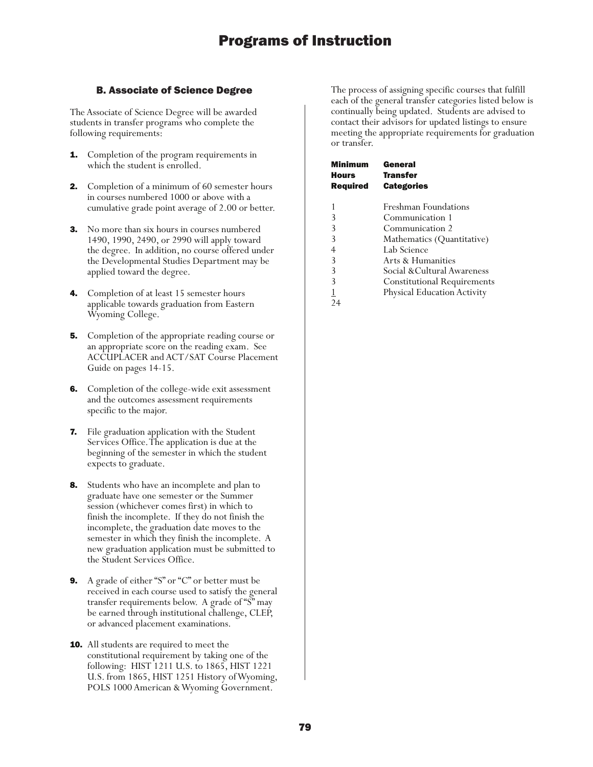### B. Associate of Science Degree

The Associate of Science Degree will be awarded students in transfer programs who complete the following requirements:

- **1.** Completion of the program requirements in which the student is enrolled.
- **2.** Completion of a minimum of 60 semester hours in courses numbered 1000 or above with a cumulative grade point average of 2.00 or better.
- **3.** No more than six hours in courses numbered 1490, 1990, 2490, or 2990 will apply toward the degree. In addition, no course offered under the Developmental Studies Department may be applied toward the degree.
- 4. Completion of at least 15 semester hours applicable towards graduation from Eastern Wyoming College.
- **5.** Completion of the appropriate reading course or an appropriate score on the reading exam. See ACCUPLACER and ACT/SAT Course Placement Guide on pages 14-15.
- **6.** Completion of the college-wide exit assessment and the outcomes assessment requirements specific to the major.
- 7. File graduation application with the Student Services Office. The application is due at the beginning of the semester in which the student expects to graduate.
- **8.** Students who have an incomplete and plan to graduate have one semester or the Summer session (whichever comes first) in which to finish the incomplete. If they do not finish the incomplete, the graduation date moves to the semester in which they finish the incomplete. A new graduation application must be submitted to the Student Services Office.
- 9. A grade of either "S" or "C" or better must be received in each course used to satisfy the general transfer requirements below. A grade of "S" may be earned through institutional challenge, CLEP, or advanced placement examinations.
- **10.** All students are required to meet the constitutional requirement by taking one of the following: HIST 1211 U.S. to 1865, HIST 1221 U.S. from 1865, HIST 1251 History of Wyoming, POLS 1000 American & Wyoming Government.

The process of assigning specific courses that fulfill each of the general transfer categories listed below is continually being updated. Students are advised to contact their advisors for updated listings to ensure meeting the appropriate requirements for graduation or transfer.

| Minimum<br>Hours<br><b>Required</b> | General<br><b>Transfer</b><br><b>Categories</b> |
|-------------------------------------|-------------------------------------------------|
| 1                                   | <b>Freshman Foundations</b>                     |
| 3                                   | Communication 1                                 |
| 3                                   | Communication 2                                 |
| 3                                   | Mathematics (Quantitative)                      |
| 4                                   | Lab Science                                     |
| 3                                   | Arts & Humanities                               |
| 3                                   | Social &Cultural Awareness                      |
| 3                                   | <b>Constitutional Requirements</b>              |
|                                     | Physical Education Activity                     |
|                                     |                                                 |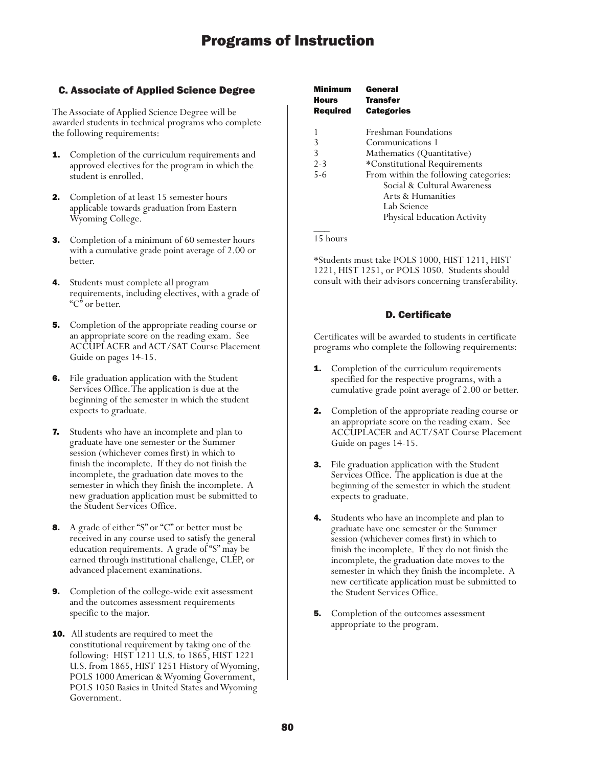### C. Associate of Applied Science Degree

The Associate of Applied Science Degree will be awarded students in technical programs who complete the following requirements:

- **1.** Completion of the curriculum requirements and approved electives for the program in which the student is enrolled.
- 2. Completion of at least 15 semester hours applicable towards graduation from Eastern Wyoming College.
- 3. Completion of a minimum of 60 semester hours with a cumulative grade point average of 2.00 or better.
- 4. Students must complete all program requirements, including electives, with a grade of "C" or better.
- **5.** Completion of the appropriate reading course or an appropriate score on the reading exam. See ACCUPLACER and ACT/SAT Course Placement Guide on pages 14-15.
- 6. File graduation application with the Student Services Office. The application is due at the beginning of the semester in which the student expects to graduate.
- Students who have an incomplete and plan to graduate have one semester or the Summer session (whichever comes first) in which to finish the incomplete. If they do not finish the incomplete, the graduation date moves to the semester in which they finish the incomplete. A new graduation application must be submitted to the Student Services Office.
- 8. A grade of either "S" or "C" or better must be received in any course used to satisfy the general education requirements. A grade of "S" may be earned through institutional challenge, CLEP, or advanced placement examinations.
- 9. Completion of the college-wide exit assessment and the outcomes assessment requirements specific to the major.
- **10.** All students are required to meet the constitutional requirement by taking one of the following: HIST 1211 U.S. to 1865, HIST 1221 U.S. from 1865, HIST 1251 History of Wyoming, POLS 1000 American & Wyoming Government, POLS 1050 Basics in United States and Wyoming Government.

| <b>Minimum</b><br><b>Hours</b><br>Required | General<br><b>Transfer</b><br><b>Categories</b> |
|--------------------------------------------|-------------------------------------------------|
|                                            | <b>Freshman Foundations</b>                     |
| 3                                          | Communications 1                                |
| 3                                          | Mathematics (Quantitative)                      |
| $2 - 3$                                    | *Constitutional Requirements                    |
| $5 - 6$                                    | From within the following categories:           |
|                                            | Social & Cultural Awareness                     |
|                                            | Arts & Humanities                               |
|                                            | Lab Science                                     |
|                                            | Physical Education Activity                     |
|                                            |                                                 |

 $\overline{\phantom{a}}$ 15 hours

\*Students must take POLS 1000, HIST 1211, HIST 1221, HIST 1251, or POLS 1050. Students should consult with their advisors concerning transferability.

### D. Certificate

Certificates will be awarded to students in certificate programs who complete the following requirements:

- **1.** Completion of the curriculum requirements specified for the respective programs, with a cumulative grade point average of 2.00 or better.
- **2.** Completion of the appropriate reading course or an appropriate score on the reading exam. See ACCUPLACER and ACT/SAT Course Placement Guide on pages 14-15.
- **3.** File graduation application with the Student Services Office. The application is due at the beginning of the semester in which the student expects to graduate.
- **4.** Students who have an incomplete and plan to graduate have one semester or the Summer session (whichever comes first) in which to finish the incomplete. If they do not finish the incomplete, the graduation date moves to the semester in which they finish the incomplete. A new certificate application must be submitted to the Student Services Office.
- 5. Completion of the outcomes assessment appropriate to the program.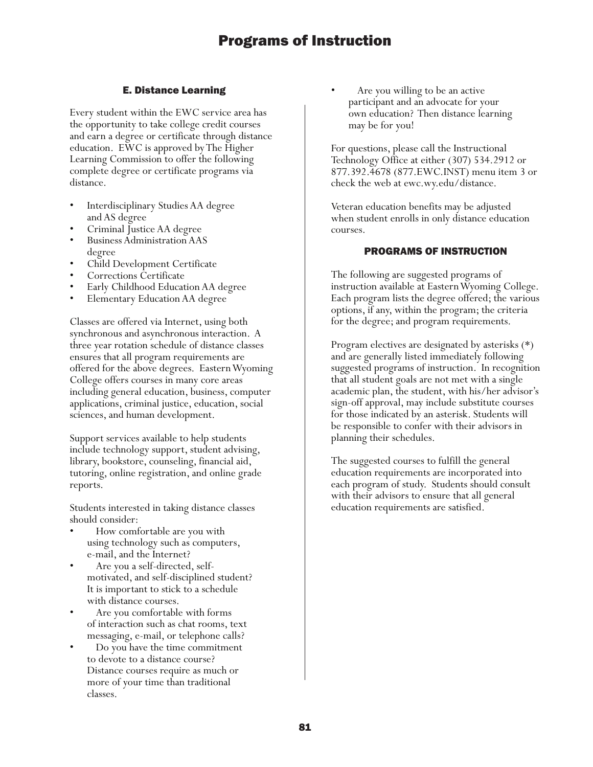### E. Distance Learning

Every student within the EWC service area has the opportunity to take college credit courses and earn a degree or certificate through distance education. EWC is approved by The Higher Learning Commission to offer the following complete degree or certificate programs via distance.

- Interdisciplinary Studies AA degree and AS degree
- Criminal Justice AA degree
- Business Administration AAS degree
- Child Development Certificate
- Corrections Certificate
- Early Childhood Education AA degree
- Elementary Education AA degree

Classes are offered via Internet, using both synchronous and asynchronous interaction. A three year rotation schedule of distance classes ensures that all program requirements are offered for the above degrees. Eastern Wyoming College offers courses in many core areas including general education, business, computer applications, criminal justice, education, social sciences, and human development.

Support services available to help students include technology support, student advising, library, bookstore, counseling, financial aid, tutoring, online registration, and online grade reports.

Students interested in taking distance classes should consider:

- How comfortable are you with using technology such as computers, e-mail, and the Internet?
- Are you a self-directed, selfmotivated, and self-disciplined student? It is important to stick to a schedule with distance courses.
- Are you comfortable with forms of interaction such as chat rooms, text messaging, e-mail, or telephone calls?
- Do you have the time commitment to devote to a distance course? Distance courses require as much or more of your time than traditional classes.

Are you willing to be an active participant and an advocate for your own education? Then distance learning may be for you!

For questions, please call the Instructional Technology Office at either (307) 534.2912 or 877.392.4678 (877.EWC.INST) menu item 3 or check the web at ewc.wy.edu/distance.

Veteran education benefits may be adjusted when student enrolls in only distance education courses.

### PROGRAMS OF INSTRUCTION

The following are suggested programs of instruction available at Eastern Wyoming College. Each program lists the degree offered; the various options, if any, within the program; the criteria for the degree; and program requirements.

Program electives are designated by asterisks (\*) and are generally listed immediately following suggested programs of instruction. In recognition that all student goals are not met with a single academic plan, the student, with his/her advisor's sign-off approval, may include substitute courses for those indicated by an asterisk. Students will be responsible to confer with their advisors in planning their schedules.

The suggested courses to fulfill the general education requirements are incorporated into each program of study. Students should consult with their advisors to ensure that all general education requirements are satisfied.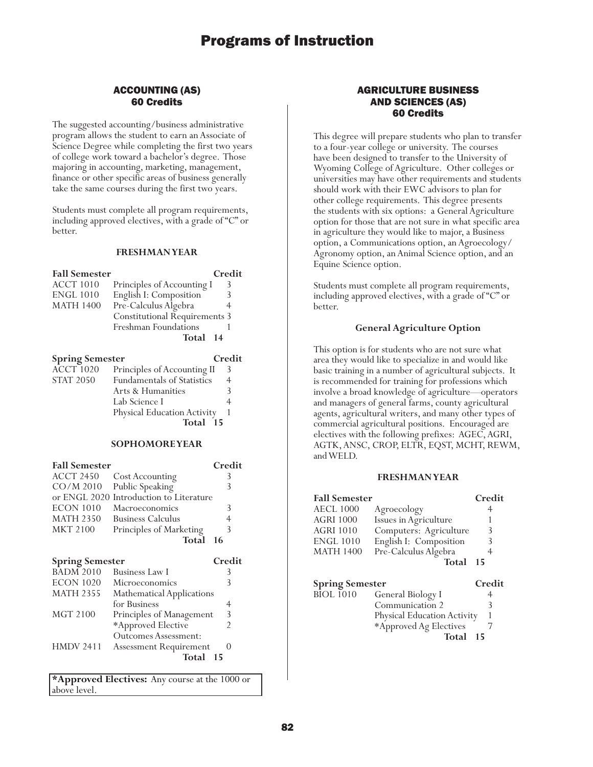### ACCOUNTING (AS) 60 Credits

The suggested accounting/business administrative program allows the student to earn an Associate of Science Degree while completing the first two years of college work toward a bachelor's degree. Those majoring in accounting, marketing, management, finance or other specific areas of business generally take the same courses during the first two years.

Students must complete all program requirements, including approved electives, with a grade of "C" or better.

#### **FRESHMAN YEAR**

| <b>Fall Semester</b> |                               | Credit |
|----------------------|-------------------------------|--------|
| <b>ACCT 1010</b>     | Principles of Accounting I    | 3      |
| <b>ENGL 1010</b>     | English I: Composition        |        |
| <b>MATH 1400</b>     | Pre-Calculus Algebra          |        |
|                      | Constitutional Requirements 3 |        |
|                      | Freshman Foundations          |        |
|                      | Total 14                      |        |

| <b>Spring Semester</b> |                                   | Credit |
|------------------------|-----------------------------------|--------|
| $\widehat{ACCT}$ 1020  | Principles of Accounting II       | 3      |
| <b>STAT 2050</b>       | <b>Fundamentals of Statistics</b> | 4      |
|                        | Arts & Humanities                 |        |
|                        | Lab Science I                     |        |
|                        | Physical Education Activity       |        |
|                        | Total 15                          |        |

#### **SOPHOMORE YEAR**

| <b>Fall Semester</b>   |                                         | Credit |
|------------------------|-----------------------------------------|--------|
| <b>ACCT 2450</b>       | Cost Accounting                         | 3      |
| $CO/M$ 2010            | Public Speaking                         | 3      |
|                        | or ENGL 2020 Introduction to Literature |        |
| <b>ECON 1010</b>       | Macroeconomics                          | 3      |
| <b>MATH 2350</b>       | <b>Business Calculus</b>                | 4      |
| <b>MKT 2100</b>        | Principles of Marketing                 | 3      |
|                        | Total                                   | - 16   |
| <b>Spring Semester</b> |                                         | Credit |
| <b>BADM 2010</b>       | Business Law I                          | 3      |
| <b>ECON 1020</b>       | Microeconomics                          | 3      |

| <b>ECON 1020</b> | Microeconomics                   |   |
|------------------|----------------------------------|---|
| <b>MATH 2355</b> | <b>Mathematical Applications</b> |   |
|                  | for Business                     |   |
| <b>MGT 2100</b>  | Principles of Management         | 3 |
|                  | *Approved Elective               |   |
|                  | Outcomes Assessment:             |   |
| <b>HMDV 2411</b> | <b>Assessment Requirement</b>    |   |
|                  | Total<br>-15                     |   |

**\*Approved Electives:** Any course at the 1000 or above level.

### AGRICULTURE BUSINESS AND SCIENCES (AS) 60 Credits

This degree will prepare students who plan to transfer to a four-year college or university. The courses have been designed to transfer to the University of Wyoming College of Agriculture. Other colleges or universities may have other requirements and students should work with their EWC advisors to plan for other college requirements. This degree presents the students with six options: a General Agriculture option for those that are not sure in what specific area in agriculture they would like to major, a Business option, a Communications option, an Agroecology/ Agronomy option, an Animal Science option, and an Equine Science option.

Students must complete all program requirements, including approved electives, with a grade of "C" or better.

### **General Agriculture Option**

This option is for students who are not sure what area they would like to specialize in and would like basic training in a number of agricultural subjects. It is recommended for training for professions which involve a broad knowledge of agriculture—operators and managers of general farms, county agricultural agents, agricultural writers, and many other types of commercial agricultural positions. Encouraged are electives with the following prefixes: AGEC, AGRI, AGTK, ANSC, CROP, ELTR, EQST, MCHT, REWM, and WELD.

#### **FRESHMAN YEAR**

| <b>Fall Semester</b>   |                        | Credit |
|------------------------|------------------------|--------|
| <b>AECL 1000</b>       | Agroecology            |        |
| <b>AGRI 1000</b>       | Issues in Agriculture  |        |
| <b>AGRI 1010</b>       | Computers: Agriculture | 3      |
| <b>ENGL 1010</b>       | English I: Composition | 3      |
| <b>MATH 1400</b>       | Pre-Calculus Algebra   | 4      |
|                        | Total                  | -15    |
| <b>Spring Semester</b> |                        | Credit |
| <b>BIOL 1010</b>       | General Biology I      |        |
|                        | Communication ?        | 2      |

Communication 2 Physical Education Activity 1 \*Approved Ag Electives 7 **Total 15**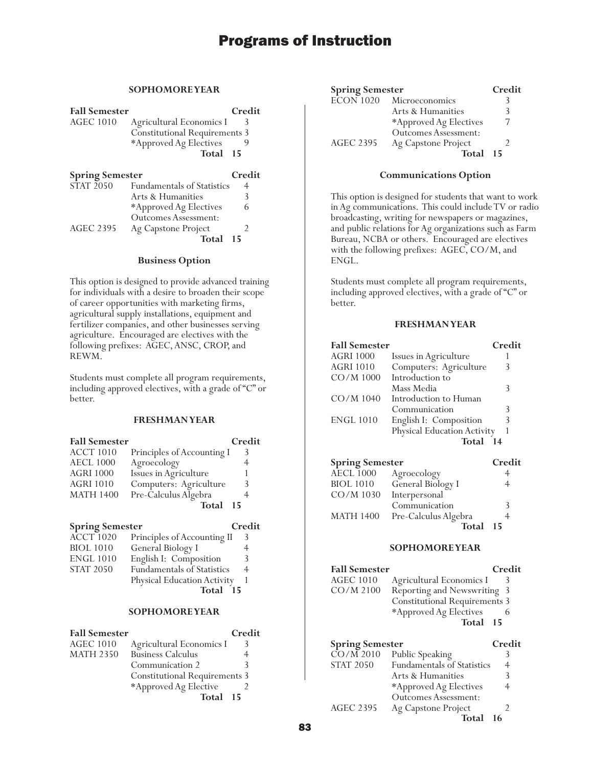### **SOPHOMORE YEAR**

| <b>Fall Semester</b>   |                                      | Credit |
|------------------------|--------------------------------------|--------|
| <b>AGEC 1010</b>       | Agricultural Economics I             |        |
|                        | <b>Constitutional Requirements 3</b> |        |
|                        | *Approved Ag Electives               |        |
|                        | Total 15                             |        |
| <b>Spring Semester</b> |                                      | Credit |
| STAT 2050              | <b>Fundamentals of Statistics</b>    | 4      |
|                        | Arts & Humanities                    | 3      |
|                        | *Approved Ag Electives               | 6      |

Outcomes Assessment: AGEC 2395 Ag Capstone Project 2 **Total 15**

### **Business Option**

This option is designed to provide advanced training for individuals with a desire to broaden their scope of career opportunities with marketing firms, agricultural supply installations, equipment and fertilizer companies, and other businesses serving agriculture. Encouraged are electives with the following prefixes: AGEC, ANSC, CROP, and REWM.

Students must complete all program requirements, including approved electives, with a grade of "C" or better.

### **FRESHMAN YEAR**

| <b>Fall Semester</b> |                            | Credit |
|----------------------|----------------------------|--------|
| <b>ACCT 1010</b>     | Principles of Accounting I | 3      |
| <b>AECL 1000</b>     | Agroecology                | 4      |
| <b>AGRI 1000</b>     | Issues in Agriculture      |        |
| <b>AGRI 1010</b>     | Computers: Agriculture     | 3      |
| <b>MATH 1400</b>     | Pre-Calculus Algebra       |        |
|                      | Total                      | - 15   |

### **Spring Semester Credit**

| <b>ACCT 1020</b> | Principles of Accounting II       | 3 |
|------------------|-----------------------------------|---|
| <b>BIOL 1010</b> | General Biology I                 |   |
| <b>ENGL 1010</b> | English I: Composition            | 3 |
| <b>STAT 2050</b> | <b>Fundamentals of Statistics</b> | 4 |
|                  | Physical Education Activity       |   |
|                  | <b>Total</b><br>15                |   |

#### **SOPHOMORE YEAR**

| <b>Fall Semester</b> |                                      | Credit |
|----------------------|--------------------------------------|--------|
| <b>AGEC 1010</b>     | Agricultural Economics I             |        |
| <b>MATH 2350</b>     | <b>Business Calculus</b>             |        |
|                      | Communication 2                      |        |
|                      | <b>Constitutional Requirements 3</b> |        |
|                      | *Approved Ag Elective                |        |
|                      | Total 15                             |        |

| <b>Spring Semester</b> |                             | Credit |
|------------------------|-----------------------------|--------|
| <b>ECON 1020</b>       | Microeconomics              |        |
|                        | Arts & Humanities           |        |
|                        | *Approved Ag Electives      |        |
|                        | <b>Outcomes Assessment:</b> |        |
| <b>AGEC 2395</b>       | Ag Capstone Project         |        |
|                        | Total                       | - 15   |

#### **Communications Option**

This option is designed for students that want to work in Ag communications. This could include TV or radio broadcasting, writing for newspapers or magazines, and public relations for Ag organizations such as Farm Bureau, NCBA or others. Encouraged are electives with the following prefixes: AGEC, CO/M, and ENGL.

Students must complete all program requirements, including approved electives, with a grade of "C" or better.

### **FRESHMAN YEAR**

| <b>Fall Semester</b> |                             | Credit |
|----------------------|-----------------------------|--------|
| <b>AGRI 1000</b>     | Issues in Agriculture       |        |
| <b>AGRI 1010</b>     | Computers: Agriculture      | 3      |
| CO/M 1000            | Introduction to             |        |
|                      | Mass Media                  | 3      |
| $CO/M$ 1040          | Introduction to Human       |        |
|                      | Communication               | 3      |
| <b>ENGL 1010</b>     | English I: Composition      | 3      |
|                      | Physical Education Activity |        |
|                      | Total                       | 14     |

| <b>Spring Semester</b> |                      | Credit |
|------------------------|----------------------|--------|
| <b>AECL 1000</b>       | Agroecology          |        |
| <b>BIOL 1010</b>       | General Biology I    |        |
| CO/M 1030              | Interpersonal        |        |
|                        | Communication        |        |
| <b>MATH 1400</b>       | Pre-Calculus Algebra |        |
|                        | Total                | 15     |

#### **SOPHOMORE YEAR**

| <b>Fall Semester</b> | Credit                               |
|----------------------|--------------------------------------|
| <b>AGEC 1010</b>     | Agricultural Economics I<br>К        |
| $CO/M$ 2100          | Reporting and Newswriting 3          |
|                      | <b>Constitutional Requirements 3</b> |
|                      | *Approved Ag Electives               |
|                      | Total 15                             |

| <b>Spring Semester</b> |                                   | Credit |
|------------------------|-----------------------------------|--------|
| $\overline{CO/M}$ 2010 | Public Speaking                   |        |
| <b>STAT 2050</b>       | <b>Fundamentals of Statistics</b> | 4      |
|                        | Arts & Humanities                 | 3      |
|                        | *Approved Ag Electives            | 4      |
|                        | <b>Outcomes Assessment:</b>       |        |
| <b>AGEC 2395</b>       | Ag Capstone Project               |        |
|                        | Total                             | 16     |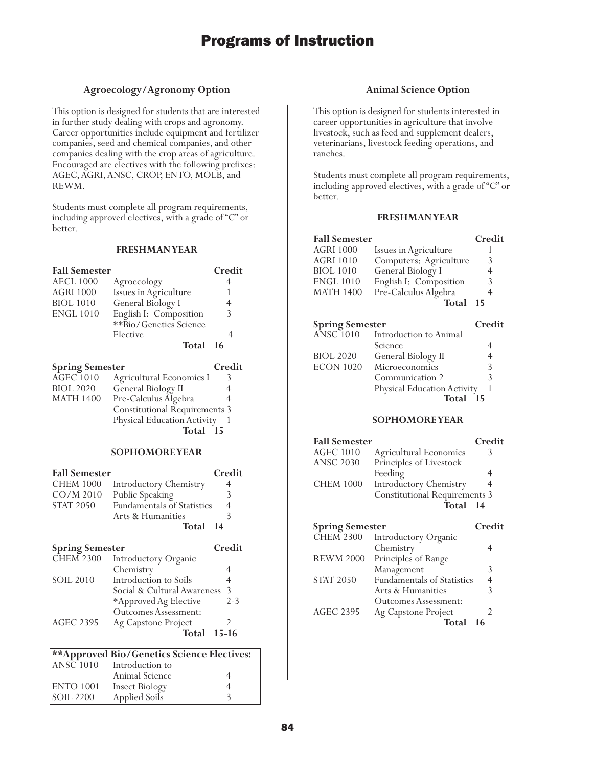### **Agroecology/Agronomy Option**

This option is designed for students that are interested in further study dealing with crops and agronomy. Career opportunities include equipment and fertilizer companies, seed and chemical companies, and other companies dealing with the crop areas of agriculture. Encouraged are electives with the following prefixes: AGEC, AGRI, ANSC, CROP, ENTO, MOLB, and REWM.

Students must complete all program requirements, including approved electives, with a grade of "C" or better.

#### **FRESHMAN YEAR**

| <b>Fall Semester</b>   |                        | Credit |
|------------------------|------------------------|--------|
| <b>AECL 1000</b>       | Agroecology            | 4      |
| <b>AGRI 1000</b>       | Issues in Agriculture  |        |
| <b>BIOL 1010</b>       | General Biology I      | 4      |
| <b>ENGL 1010</b>       | English I: Composition | 3      |
|                        | **Bio/Genetics Science |        |
|                        | Elective               |        |
|                        | Total 16               |        |
| <b>Spring Semester</b> |                        | Credit |

| Spring semester  |                                      | Стеан |
|------------------|--------------------------------------|-------|
| $AGEC$ $1010$    | Agricultural Economics I             |       |
| <b>BIOL 2020</b> | General Biology II                   | 4     |
| <b>MATH 1400</b> | Pre-Calculus Algebra                 | 4     |
|                  | <b>Constitutional Requirements 3</b> |       |
|                  | Physical Education Activity          |       |
|                  | Total 15                             |       |
|                  |                                      |       |

### **SOPHOMORE YEAR**

| <b>Fall Semester</b>   |                                   | Credit         |
|------------------------|-----------------------------------|----------------|
| <b>CHEM 1000</b>       | <b>Introductory Chemistry</b>     |                |
| $CO/M$ 2010            | Public Speaking                   | 3              |
| <b>STAT 2050</b>       | <b>Fundamentals of Statistics</b> | $\overline{4}$ |
|                        | Arts & Humanities                 | 3              |
|                        | Total 14                          |                |
| <b>Spring Semester</b> |                                   | Credit         |

| <b>CHEM 2300</b> | Introductory Organic        |           |
|------------------|-----------------------------|-----------|
|                  | Chemistry                   | 4         |
| <b>SOIL 2010</b> | Introduction to Soils       | 4         |
|                  | Social & Cultural Awareness | 3         |
|                  | *Approved Ag Elective       | $2 - 3$   |
|                  | <b>Outcomes Assessment:</b> |           |
| <b>AGEC 2395</b> | Ag Capstone Project         |           |
|                  | Total                       | $15 - 16$ |
|                  |                             |           |

| **Approved Bio/Genetics Science Electives: |                            |   |  |
|--------------------------------------------|----------------------------|---|--|
|                                            | $ANSC1010$ Introduction to |   |  |
|                                            | Animal Science             | 4 |  |
| ENTO 1001                                  | <b>Insect Biology</b>      |   |  |
| <b>SOIL 2200</b>                           | Applied Soils              |   |  |

### **Animal Science Option**

This option is designed for students interested in career opportunities in agriculture that involve livestock, such as feed and supplement dealers, veterinarians, livestock feeding operations, and ranches.

Students must complete all program requirements, including approved electives, with a grade of "C" or better.

| <b>Fall Semester</b>   |                             | Credit |
|------------------------|-----------------------------|--------|
| AGRI 1000              | Issues in Agriculture       |        |
| <b>AGRI 1010</b>       | Computers: Agriculture      | 3      |
| <b>BIOL</b> 1010       | General Biology I           | 4      |
| <b>ENGL 1010</b>       | English I: Composition      | 3      |
| <b>MATH 1400</b>       | Pre-Calculus Algebra        | 4      |
|                        | Total                       | 15     |
| <b>Spring Semester</b> |                             | Credit |
| <b>ANSC 1010</b>       | Introduction to Animal      |        |
|                        | Science                     | 4      |
| <b>BIOL 2020</b>       | General Biology II          | 4      |
| ECON 1020              | Microeconomics              | 3      |
|                        | Communication 2             | 3      |
|                        | Physical Education Activity |        |
|                        | Total 15                    |        |
|                        | <b>SOPHOMOREYEAR</b>        |        |

| <b>Fall Semester</b> |                                      | Credit |
|----------------------|--------------------------------------|--------|
| <b>AGEC 1010</b>     | Agricultural Economics               |        |
| <b>ANSC 2030</b>     | Principles of Livestock              |        |
|                      | Feeding                              |        |
| <b>CHEM 1000</b>     | <b>Introductory Chemistry</b>        |        |
|                      | <b>Constitutional Requirements 3</b> |        |
|                      | Total 14                             |        |
|                      |                                      |        |

| <b>Spring Semester</b> |                                   | Credit |
|------------------------|-----------------------------------|--------|
| <b>CHEM 2300</b>       | Introductory Organic              |        |
|                        | Chemistry                         |        |
| <b>REWM 2000</b>       | Principles of Range               |        |
|                        | Management                        | 3      |
| <b>STAT 2050</b>       | <b>Fundamentals of Statistics</b> |        |
|                        | Arts & Humanities                 | ੨      |
|                        | <b>Outcomes Assessment:</b>       |        |
| <b>AGEC 2395</b>       | Ag Capstone Project               |        |
|                        | Total                             |        |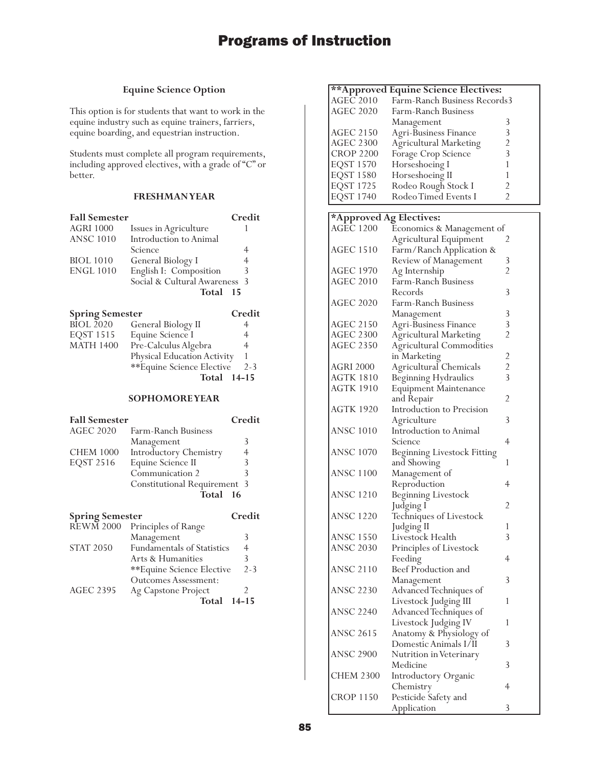### **Equine Science Option**

This option is for students that want to work in the equine industry such as equine trainers, farriers, equine boarding, and equestrian instruction.

Students must complete all program requirements, including approved electives, with a grade of "C" or better.

### **FRESHMAN YEAR**

| <b>Fall Semester</b>   |                               | Credit |
|------------------------|-------------------------------|--------|
| <b>AGRI 1000</b>       | Issues in Agriculture         |        |
| <b>ANSC 1010</b>       | Introduction to Animal        |        |
|                        | Science                       | 4      |
| <b>BIOL 1010</b>       | General Biology I             | 4      |
| <b>ENGL 1010</b>       | English I: Composition        | 3      |
|                        | Social & Cultural Awareness 3 |        |
|                        | Total                         | - 15   |
| <b>Spring Semester</b> |                               | Credit |

| Spring semester  |                                    | Стеан   |
|------------------|------------------------------------|---------|
| <b>BIOL 2020</b> | General Biology II                 |         |
| <b>EOST 1515</b> | Equine Science I                   | 4       |
| <b>MATH 1400</b> | Pre-Calculus Algebra               | 4       |
|                  | <b>Physical Education Activity</b> |         |
|                  | **Equine Science Elective          | $2 - 3$ |
|                  | <b>Total</b> 14-15                 |         |
|                  |                                    |         |

### **SOPHOMORE YEAR**

| <b>Fall Semester</b> |                                     | Credit |
|----------------------|-------------------------------------|--------|
| <b>AGEC 2020</b>     | Farm-Ranch Business                 |        |
|                      | Management                          | 3      |
| <b>CHEM 1000</b>     | Introductory Chemistry              | 4      |
| EQST 2516            | Equine Science II                   |        |
|                      | Communication 2                     |        |
|                      | <b>Constitutional Requirement 3</b> |        |
|                      | Total 16                            |        |

| <b>Spring Semester</b> |                             | Credit    |
|------------------------|-----------------------------|-----------|
| <b>REWM 2000</b>       | Principles of Range         |           |
|                        | Management                  | 3         |
| <b>STAT 2050</b>       | Fundamentals of Statistics  | 4         |
|                        | Arts & Humanities           | 3         |
|                        | **Equine Science Elective   | $2 - 3$   |
|                        | <b>Outcomes Assessment:</b> |           |
| <b>AGEC 2395</b>       | Ag Capstone Project         |           |
|                        | Total                       | $14 - 15$ |

|                         | ** Approved Equine Science Electives: |                         |
|-------------------------|---------------------------------------|-------------------------|
| $AGE\bar{C}2010$        | Farm-Ranch Business Records3          |                         |
| <b>AGEC 2020</b>        | Farm-Ranch Business                   |                         |
|                         |                                       |                         |
|                         | Management                            | 3                       |
| <b>AGEC 2150</b>        | Agri-Business Finance                 | 3                       |
| <b>AGEC 2300</b>        | Agricultural Marketing                | $\overline{c}$          |
| <b>CROP 2200</b>        | Forage Crop Science                   | 3                       |
| <b>EQST 1570</b>        | Horseshoeing I                        | 1                       |
| <b>EQST 1580</b>        | Horseshoeing II                       | 1                       |
| EQST 1725               | Rodeo Rough Stock I                   | $\overline{2}$          |
| <b>EQST 1740</b>        | Rodeo Timed Events I                  | $\overline{2}$          |
|                         |                                       |                         |
| *Approved Ag Electives: |                                       |                         |
| <b>AGEC 1200</b>        | Economics & Management of             |                         |
|                         | Agricultural Equipment                | 2                       |
| AGEC 1510               | Farm/Ranch Application &              |                         |
|                         | Review of Management                  | 3                       |
| AGEC 1970               |                                       | $\overline{2}$          |
| <b>AGEC 2010</b>        | Ag Internship<br>Farm-Ranch Business  |                         |
|                         | Records                               | 3                       |
|                         |                                       |                         |
| <b>AGEC 2020</b>        | Farm-Ranch Business                   |                         |
|                         | Management                            | 3                       |
| <b>AGEC 2150</b>        | Agri-Business Finance                 | 3                       |
| <b>AGEC 2300</b>        | <b>Agricultural Marketing</b>         | $\overline{2}$          |
| <b>AGEC 2350</b>        | Agricultural Commodities              |                         |
|                         | in Marketing                          | $\overline{\mathbf{c}}$ |
| <b>AGRI 2000</b>        | Agricultural Chemicals                | $\overline{c}$          |
| AGTK 1810               | Beginning Hydraulics                  | 3                       |
| <b>AGTK 1910</b>        | <b>Equipment Maintenance</b>          |                         |
|                         | and Repair                            | 2                       |
| <b>AGTK 1920</b>        | Introduction to Precision             |                         |
|                         | Agriculture                           | 3                       |
| <b>ANSC 1010</b>        | Introduction to Animal                |                         |
|                         |                                       | 4                       |
|                         | Science                               |                         |
| <b>ANSC 1070</b>        | Beginning Livestock Fitting           |                         |
|                         | and Showing                           | 1                       |
| <b>ANSC 1100</b>        | Management of                         |                         |
|                         | Reproduction                          | 4                       |
| ANSC 1210               | Beginning Livestock                   |                         |
|                         | Judging I                             | 2                       |
| <b>ANSC 1220</b>        | Techniques of Livestock               |                         |
|                         | Judging II                            | 1                       |
| ANSC 1550               | Livestock Health                      | 3                       |
| <b>ANSC 2030</b>        | Principles of Livestock               |                         |
|                         | Feeding                               | 4                       |
| <b>ANSC 2110</b>        | Beef Production and                   |                         |
|                         |                                       | 3                       |
| ANSC 2230               | Management                            |                         |
|                         | Advanced Techniques of                |                         |
|                         | Livestock Judging III                 | 1                       |
| <b>ANSC 2240</b>        | Advanced Techniques of                |                         |
|                         | Livestock Judging IV                  | 1                       |
| ANSC 2615               | Anatomy & Physiology of               |                         |
|                         | Domestic Animals I/II                 | 3                       |
| ANSC 2900               | Nutrition in Veterinary               |                         |
|                         | Medicine                              | 3                       |
| CHEM 2300               | Introductory Organic                  |                         |
|                         | Chemistry                             | 4                       |
| CROP 1150               | Pesticide Safety and                  |                         |
|                         | Application                           | 3                       |
|                         |                                       |                         |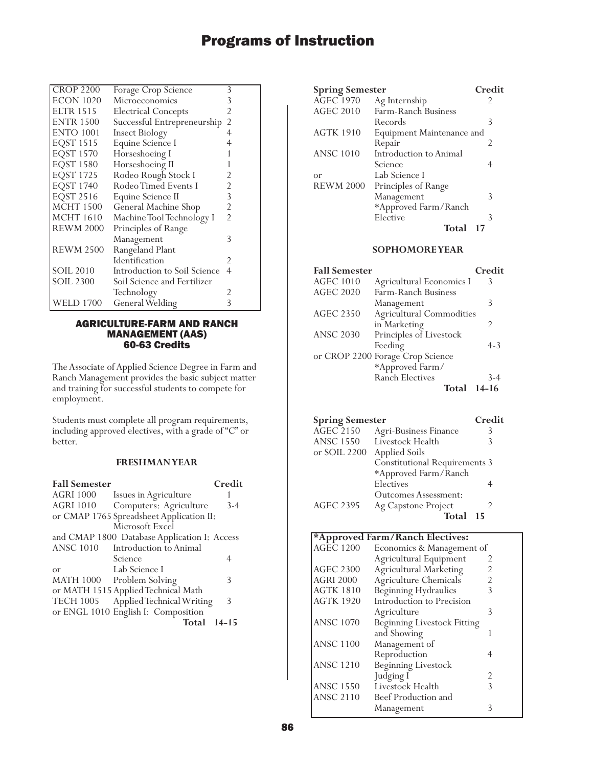| <b>CROP 2200</b> | Forage Crop Science          | 3              |
|------------------|------------------------------|----------------|
| <b>ECON 1020</b> | Microeconomics               | 3              |
| <b>ELTR 1515</b> | <b>Electrical Concepts</b>   | 2              |
| <b>ENTR 1500</b> | Successful Entrepreneurship  | $\overline{2}$ |
| <b>ENTO 1001</b> | <b>Insect Biology</b>        | 4              |
| EQST 1515        | Equine Science I             |                |
| <b>EQST 1570</b> | Horseshoeing I               |                |
| <b>EQST 1580</b> | Horseshoeing II              |                |
| <b>EQST 1725</b> | Rodeo Rough Stock I          | 2              |
| <b>EQST 1740</b> | Rodeo Timed Events I         | 2              |
| <b>EQST 2516</b> | Equine Science II            | 3              |
| <b>MCHT 1500</b> | General Machine Shop         | 2              |
| <b>MCHT</b> 1610 | Machine Tool Technology I    | $\overline{2}$ |
| <b>REWM 2000</b> | Principles of Range          |                |
|                  | Management                   | 3              |
| <b>REWM 2500</b> | Rangeland Plant              |                |
|                  | Identification               | 2              |
| <b>SOIL 2010</b> | Introduction to Soil Science | 4              |
| <b>SOIL 2300</b> | Soil Science and Fertilizer  |                |
|                  | Technology                   | 2              |
| <b>WELD 1700</b> | General Welding              | 3              |
|                  |                              |                |

### AGRICULTURE-FARM AND RANCH MANAGEMENT (AAS) 60-63 Credits

The Associate of Applied Science Degree in Farm and Ranch Management provides the basic subject matter and training for successful students to compete for employment.

Students must complete all program requirements, including approved electives, with a grade of "C" or better.

### **FRESHMAN YEAR**

| <b>Fall Semester</b> |                                              | Credit    |
|----------------------|----------------------------------------------|-----------|
| <b>AGRI 1000</b>     | Issues in Agriculture                        |           |
| <b>AGRI 1010</b>     | Computers: Agriculture                       | $3-4$     |
|                      | or CMAP 1765 Spreadsheet Application II:     |           |
|                      | Microsoft Excel                              |           |
|                      | and CMAP 1800 Database Application I: Access |           |
| <b>ANSC 1010</b>     | Introduction to Animal                       |           |
|                      | Science                                      | 4         |
| or                   | Lab Science I                                |           |
|                      | MATH 1000 Problem Solving                    | 3         |
|                      | or MATH 1515 Applied Technical Math          |           |
| <b>TECH 1005</b>     | Applied Technical Writing                    | 3         |
|                      | or ENGL 1010 English I: Composition          |           |
|                      | Total                                        | $14 - 15$ |

| <b>Spring Semester</b> |                           | Credit |
|------------------------|---------------------------|--------|
| <b>AGEC 1970</b>       | Ag Internship             | 2      |
| AGEC 2010              | Farm-Ranch Business       |        |
|                        | Records                   | 3      |
| <b>AGTK 1910</b>       | Equipment Maintenance and |        |
|                        | Repair                    | 2      |
| <b>ANSC 1010</b>       | Introduction to Animal    |        |
|                        | Science                   |        |
| or                     | Lab Science I             |        |
| <b>REWM 2000</b>       | Principles of Range       |        |
|                        | Management                | 3      |
|                        | *Approved Farm/Ranch      |        |
|                        | Elective                  | 3      |
|                        | <b>Total</b>              | 17     |
|                        |                           |        |

### **SOPHOMORE YEAR**

| <b>Fall Semester</b> |                                  | Credit         |
|----------------------|----------------------------------|----------------|
| <b>AGEC 1010</b>     | Agricultural Economics I         | Κ              |
| <b>AGEC 2020</b>     | Farm-Ranch Business              |                |
|                      | Management                       | 3              |
| <b>AGEC 2350</b>     | <b>Agricultural Commodities</b>  |                |
|                      | in Marketing                     | $\mathfrak{D}$ |
| <b>ANSC 2030</b>     | Principles of Livestock          |                |
|                      | Feeding                          | $4 - 3$        |
|                      | or CROP 2200 Forage Crop Science |                |
|                      | *Approved Farm/                  |                |
|                      | <b>Ranch Electives</b>           | $3 - 4$        |
|                      | Total                            | 14-16          |

| <b>Spring Semester</b> |                                      | Credit |
|------------------------|--------------------------------------|--------|
| <b>AGEC 2150</b>       | <b>Agri-Business Finance</b>         | 3      |
| <b>ANSC 1550</b>       | Livestock Health                     | 3      |
| or SOIL 2200           | <b>Applied Soils</b>                 |        |
|                        | <b>Constitutional Requirements 3</b> |        |
|                        | *Approved Farm/Ranch                 |        |
|                        | Electives                            |        |
|                        | <b>Outcomes Assessment:</b>          |        |
| <b>AGEC 2395</b>       | Ag Capstone Project                  | 2      |
|                        | Total                                | 15     |

### **\*Approved Farm/Ranch Electives:**

| <b>AGEC 1200</b> | Economics & Management of          |   |
|------------------|------------------------------------|---|
|                  | Agricultural Equipment             |   |
| <b>AGEC 2300</b> | <b>Agricultural Marketing</b>      |   |
| <b>AGRI 2000</b> | Agriculture Chemicals              |   |
| <b>AGTK 1810</b> | Beginning Hydraulics               |   |
| <b>AGTK 1920</b> | Introduction to Precision          |   |
|                  | Agriculture                        | 3 |
| <b>ANSC 1070</b> | <b>Beginning Livestock Fitting</b> |   |
|                  | and Showing                        |   |
| <b>ANSC 1100</b> | Management of                      |   |
|                  | Reproduction                       |   |
| <b>ANSC 1210</b> | <b>Beginning Livestock</b>         |   |
|                  | Judging I                          | 2 |
| <b>ANSC 1550</b> | Livestock Health                   | 3 |
| <b>ANSC 2110</b> | Beef Production and                |   |
|                  | Management                         |   |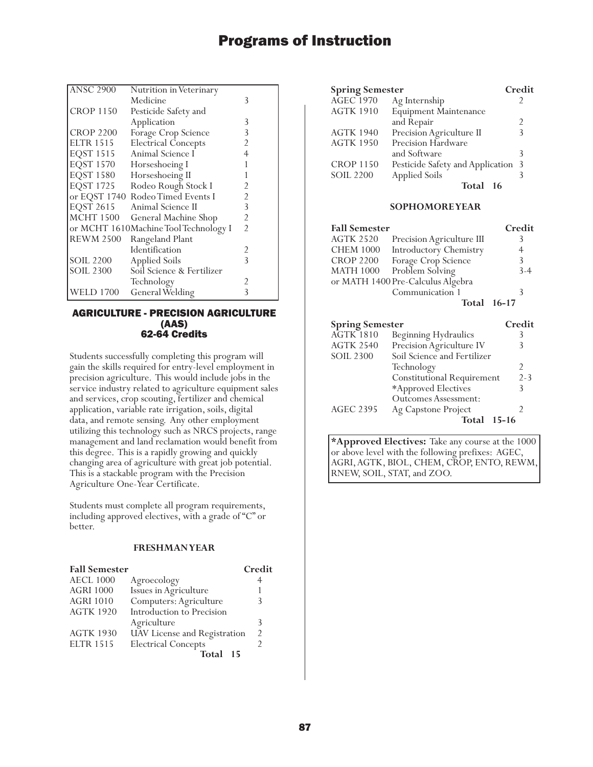| <b>ANSC 2900</b> | Nutrition in Veterinary               |                |
|------------------|---------------------------------------|----------------|
|                  | Medicine                              | 3              |
| <b>CROP 1150</b> | Pesticide Safety and                  |                |
|                  | Application                           | 3              |
| <b>CROP 2200</b> | Forage Crop Science                   | 3              |
| <b>ELTR 1515</b> | <b>Electrical Concepts</b>            | 2              |
| <b>EQST 1515</b> | Animal Science I                      | 4              |
| <b>EQST 1570</b> | Horseshoeing I                        |                |
| <b>EQST 1580</b> | Horseshoeing II                       |                |
| <b>EQST 1725</b> | Rodeo Rough Stock I                   | 2              |
|                  | or EQST 1740 Rodeo Timed Events I     | 2              |
| <b>EQST 2615</b> | Animal Science II                     | 3              |
| <b>MCHT 1500</b> | General Machine Shop                  | 2              |
|                  | or MCHT 1610Machine Tool Technology I | $\overline{2}$ |
| <b>REWM 2500</b> | Rangeland Plant                       |                |
|                  | Identification                        | 2              |
| <b>SOIL 2200</b> | <b>Applied Soils</b>                  | 3              |
| <b>SOIL 2300</b> | Soil Science & Fertilizer             |                |
|                  | Technology                            |                |
| <b>WELD 1700</b> | General Welding                       | 3              |

### AGRICULTURE - PRECISION AGRICULTURE (AAS) 62-64 Credits

Students successfully completing this program will gain the skills required for entry-level employment in precision agriculture. This would include jobs in the service industry related to agriculture equipment sales and services, crop scouting, fertilizer and chemical application, variable rate irrigation, soils, digital data, and remote sensing. Any other employment utilizing this technology such as NRCS projects, range management and land reclamation would benefit from this degree. This is a rapidly growing and quickly changing area of agriculture with great job potential. This is a stackable program with the Precision Agriculture One-Year Certificate.

Students must complete all program requirements, including approved electives, with a grade of "C" or better.

### **FRESHMAN YEAR**

| <b>Fall Semester</b> |                              | Credit        |
|----------------------|------------------------------|---------------|
| <b>AECL 1000</b>     | Agroecology                  | 4             |
| <b>AGRI 1000</b>     | Issues in Agriculture        |               |
| <b>AGRI 1010</b>     | Computers: Agriculture       |               |
| <b>AGTK 1920</b>     | Introduction to Precision    |               |
|                      | Agriculture                  | 3             |
| <b>AGTK 1930</b>     | UAV License and Registration | $\mathcal{D}$ |
| <b>ELTR 1515</b>     | <b>Electrical Concepts</b>   |               |
|                      | Total<br>15                  |               |

| <b>Spring Semester</b> |                                    | Credit         |
|------------------------|------------------------------------|----------------|
| <b>AGEC</b> 1970       | Ag Internship                      |                |
| <b>AGTK 1910</b>       | <b>Equipment Maintenance</b>       |                |
|                        | and Repair                         | $\mathfrak{D}$ |
| <b>AGTK 1940</b>       | Precision Agriculture II           | 3              |
| <b>AGTK 1950</b>       | Precision Hardware                 |                |
|                        | and Software                       | 3              |
| <b>CROP 1150</b>       | Pesticide Safety and Application 3 |                |
| <b>SOIL 2200</b>       | <b>Applied Soils</b>               | 3              |
|                        | Total<br>16                        |                |

### **SOPHOMORE YEAR**

| <b>Fall Semester</b> |                                   | Credit  |
|----------------------|-----------------------------------|---------|
| <b>AGTK 2520</b>     | Precision Agriculture III         |         |
| <b>CHEM 1000</b>     | Introductory Chemistry            | 4       |
| <b>CROP 2200</b>     | Forage Crop Science               | 3       |
| <b>MATH 1000</b>     | Problem Solving                   | $3 - 4$ |
|                      | or MATH 1400 Pre-Calculus Algebra |         |
|                      | Communication 1                   |         |
|                      | Total 16-17                       |         |

| <b>Spring Semester</b> |                                   | Credit  |
|------------------------|-----------------------------------|---------|
| <b>AGTK 1810</b>       | Beginning Hydraulics              | 3       |
| <b>AGTK 2540</b>       | Precision Agriculture IV          | 3       |
| <b>SOIL 2300</b>       | Soil Science and Fertilizer       |         |
|                        | Technology                        | 2       |
|                        | <b>Constitutional Requirement</b> | $2 - 3$ |
|                        | *Approved Electives               | 3       |
|                        | <b>Outcomes Assessment:</b>       |         |
| <b>AGEC 2395</b>       | Ag Capstone Project               | 2       |
|                        | $15-16$<br>Total                  |         |

**\*Approved Electives:** Take any course at the 1000 or above level with the following prefixes: AGEC, AGRI, AGTK, BIOL, CHEM, CROP, ENTO, REWM, RNEW, SOIL, STAT, and ZOO.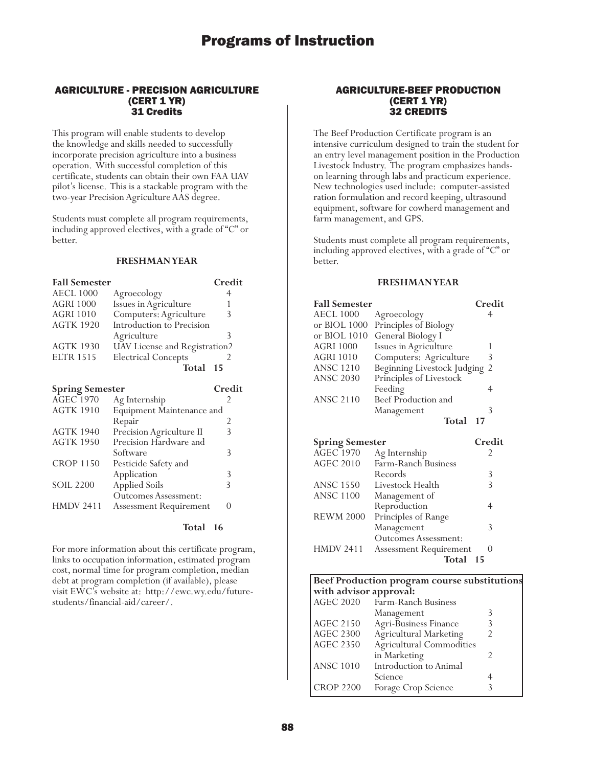### AGRICULTURE - PRECISION AGRICULTURE (CERT 1 YR) 31 Credits

This program will enable students to develop the knowledge and skills needed to successfully incorporate precision agriculture into a business operation. With successful completion of this certificate, students can obtain their own FAA UAV pilot's license. This is a stackable program with the two-year Precision Agriculture AAS degree.

Students must complete all program requirements, including approved electives, with a grade of "C" or better.

### **FRESHMAN YEAR**

| <b>Fall Semester</b> |                               | Credit |
|----------------------|-------------------------------|--------|
| <b>AECL 1000</b>     | Agroecology                   |        |
| <b>AGRI 1000</b>     | Issues in Agriculture         |        |
| <b>AGRI 1010</b>     | Computers: Agriculture        | 3      |
| <b>AGTK 1920</b>     | Introduction to Precision     |        |
|                      | Agriculture                   | 3      |
| <b>AGTK 1930</b>     | UAV License and Registration2 |        |
| <b>ELTR 1515</b>     | <b>Electrical Concepts</b>    |        |
|                      | Total                         | 15     |

| <b>Spring Semester</b> |                               | Credit |
|------------------------|-------------------------------|--------|
| <b>AGEC</b> 1970       | Ag Internship                 |        |
| <b>AGTK 1910</b>       | Equipment Maintenance and     |        |
|                        | Repair                        | 2      |
| <b>AGTK 1940</b>       | Precision Agriculture II      |        |
| <b>AGTK 1950</b>       | Precision Hardware and        |        |
|                        | Software                      | 3      |
| <b>CROP 1150</b>       | Pesticide Safety and          |        |
|                        | Application                   | 3      |
| <b>SOIL 2200</b>       | <b>Applied Soils</b>          | ζ      |
|                        | <b>Outcomes Assessment:</b>   |        |
| <b>HMDV 2411</b>       | <b>Assessment Requirement</b> |        |
|                        |                               |        |

### **Total 16**

For more information about this certificate program, links to occupation information, estimated program cost, normal time for program completion, median debt at program completion (if available), please visit EWC's website at: http://ewc.wy.edu/futurestudents/financial-aid/career/.

### AGRICULTURE-BEEF PRODUCTION (CERT 1 YR) 32 CREDITS

The Beef Production Certificate program is an intensive curriculum designed to train the student for an entry level management position in the Production Livestock Industry. The program emphasizes handson learning through labs and practicum experience. New technologies used include: computer-assisted ration formulation and record keeping, ultrasound equipment, software for cowherd management and farm management, and GPS.

Students must complete all program requirements, including approved electives, with a grade of "C" or better.

| <b>Fall Semester</b>   |                                     | Credit           |
|------------------------|-------------------------------------|------------------|
| <b>AECL 1000</b>       | Agroecology                         | 4                |
| or BIOL $1000$         | Principles of Biology               |                  |
| or BIOL $1010$         | General Biology I                   |                  |
| AGRI 1000              | Issues in Agriculture               | 1                |
| <b>AGRI 1010</b>       | Computers: Agriculture              | 3                |
| ANSC 1210              | Beginning Livestock Judging         | 2                |
| <b>ANSC 2030</b>       | Principles of Livestock             |                  |
|                        | Feeding                             | 4                |
| <b>ANSC 2110</b>       | Beef Production and                 |                  |
|                        | Management                          | 3                |
|                        | Total                               | 17               |
|                        |                                     |                  |
|                        |                                     |                  |
| <b>Spring Semester</b> |                                     | Credit           |
| <b>AGEC 1970</b>       | Ag Internship                       | 2                |
| <b>AGEC 2010</b>       | Farm-Ranch Business                 |                  |
|                        | Records                             | 3                |
| <b>ANSC 1550</b>       | Livestock Health                    | 3                |
| ANSC 1100              |                                     |                  |
|                        | Management of                       | 4                |
| <b>REWM 2000</b>       | Reproduction<br>Principles of Range |                  |
|                        | Management                          | 3                |
|                        | <b>Outcomes Assessment:</b>         |                  |
| HMDV 2411              | Assessment Requirement              | $\left( \right)$ |

| Beef Production program course substitutions |                               |  |  |
|----------------------------------------------|-------------------------------|--|--|
| with advisor approval:                       |                               |  |  |
| <b>AGEC 2020</b>                             | Farm-Ranch Business           |  |  |
|                                              | Management                    |  |  |
| <b>AGEC 2150</b>                             | Agri-Business Finance         |  |  |
| <b>AGEC 2300</b>                             | Agricultural Marketing        |  |  |
| <b>AGEC 2350</b>                             | Agricultural Commodities      |  |  |
|                                              | in Marketing                  |  |  |
| <b>ANSC 1010</b>                             | <b>Introduction</b> to Animal |  |  |
|                                              | Science                       |  |  |
| <b>CROP 2200</b>                             | Forage Crop Science           |  |  |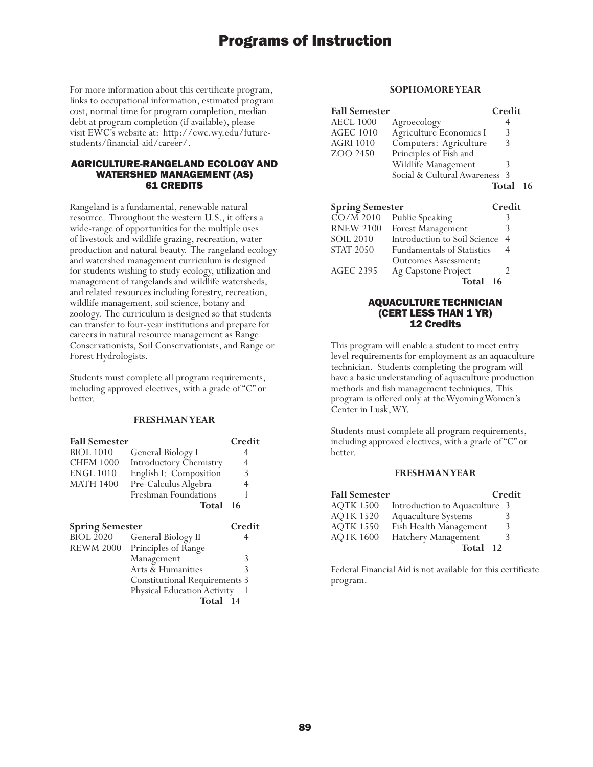For more information about this certificate program, links to occupational information, estimated program cost, normal time for program completion, median debt at program completion (if available), please visit EWC's website at: http://ewc.wy.edu/futurestudents/financial-aid/career/.

### AGRICULTURE-RANGELAND ECOLOGY AND WATERSHED MANAGEMENT (AS) 61 CREDITS

Rangeland is a fundamental, renewable natural resource. Throughout the western U.S., it offers a wide-range of opportunities for the multiple uses of livestock and wildlife grazing, recreation, water production and natural beauty. The rangeland ecology and watershed management curriculum is designed for students wishing to study ecology, utilization and management of rangelands and wildlife watersheds, and related resources including forestry, recreation, wildlife management, soil science, botany and zoology. The curriculum is designed so that students can transfer to four-year institutions and prepare for careers in natural resource management as Range Conservationists, Soil Conservationists, and Range or Forest Hydrologists.

Students must complete all program requirements, including approved electives, with a grade of "C" or better.

### **FRESHMAN YEAR**

| <b>Fall Semester</b>                       |                                      | Credit |
|--------------------------------------------|--------------------------------------|--------|
| <b>BIOL</b> 1010                           | General Biology I                    |        |
| <b>CHEM 1000</b>                           | <b>Introductory Chemistry</b>        | 4      |
| <b>ENGL 1010</b>                           | English I: Composition               | 3      |
| <b>MATH 1400</b>                           | Pre-Calculus Algebra                 | 4      |
|                                            | Freshman Foundations                 |        |
|                                            | Total                                | 16     |
|                                            |                                      |        |
|                                            |                                      | Credit |
| <b>Spring Semester</b><br><b>BIOL 2020</b> | General Biology II                   | 4      |
| <b>REWM 2000</b>                           |                                      |        |
|                                            | Principles of Range                  | 3      |
|                                            | Management<br>Arts & Humanities      | 3      |
|                                            | <b>Constitutional Requirements 3</b> |        |
|                                            | Physical Education Activity          |        |

### **SOPHOMORE YEAR**

| <b>Fall Semester</b> |                             | Credit |    |
|----------------------|-----------------------------|--------|----|
| AECL 1000            | Agroecology                 |        |    |
| AGEC 1010            | Agriculture Economics I     | 3      |    |
| AGRI 1010            | Computers: Agriculture      | 3      |    |
| ZOO 2450             | Principles of Fish and      |        |    |
|                      | Wildlife Management         |        |    |
|                      | Social & Cultural Awareness | -3     |    |
|                      |                             | Total  | 16 |

| <b>Spring Semester</b> |                                   | Credit         |
|------------------------|-----------------------------------|----------------|
| $\overline{CO/M}$ 2010 | Public Speaking                   | 3              |
| <b>RNEW 2100</b>       | Forest Management                 | 3              |
| <b>SOIL 2010</b>       | Introduction to Soil Science      | $\overline{4}$ |
| <b>STAT 2050</b>       | <b>Fundamentals of Statistics</b> | 4              |
|                        | Outcomes Assessment:              |                |
| <b>AGEC 2395</b>       | Ag Capstone Project               |                |
|                        | Total                             |                |

#### AQUACULTURE TECHNICIAN (CERT LESS THAN 1 YR) 12 Credits

This program will enable a student to meet entry level requirements for employment as an aquaculture technician. Students completing the program will have a basic understanding of aquaculture production methods and fish management techniques. This program is offered only at the Wyoming Women's Center in Lusk, WY.

Students must complete all program requirements, including approved electives, with a grade of "C" or better.

#### **FRESHMAN YEAR**

| <b>Fall Semester</b> |                               | Credit |
|----------------------|-------------------------------|--------|
| <b>AQTK 1500</b>     | Introduction to Aquaculture 3 |        |
| <b>AQTK 1520</b>     | Aquaculture Systems           |        |
| <b>AQTK 1550</b>     | Fish Health Management        | 3      |
| <b>AQTK 1600</b>     | Hatchery Management           |        |
|                      | Total 12                      |        |

Federal Financial Aid is not available for this certificate program.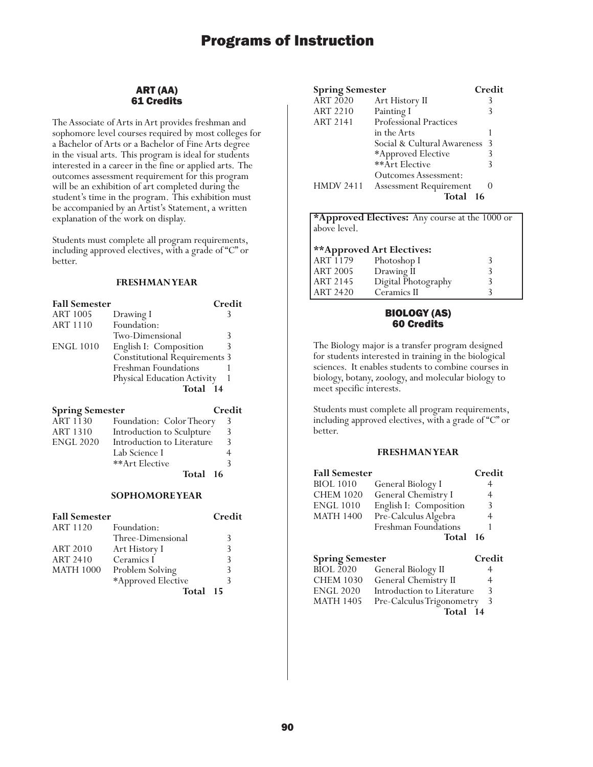### ART (AA) 61 Credits

The Associate of Arts in Art provides freshman and sophomore level courses required by most colleges for a Bachelor of Arts or a Bachelor of Fine Arts degree in the visual arts. This program is ideal for students interested in a career in the fine or applied arts. The outcomes assessment requirement for this program will be an exhibition of art completed during the student's time in the program. This exhibition must be accompanied by an Artist's Statement, a written explanation of the work on display.

Students must complete all program requirements, including approved electives, with a grade of "C" or better.

### **FRESHMAN YEAR**

| <b>Fall Semester</b> |                                      | Credit |
|----------------------|--------------------------------------|--------|
| <b>ART 1005</b>      | Drawing I                            |        |
| <b>ART 1110</b>      | Foundation:                          |        |
|                      | Two-Dimensional                      | 3      |
| <b>ENGL 1010</b>     | English I: Composition               |        |
|                      | <b>Constitutional Requirements 3</b> |        |
|                      | Freshman Foundations                 |        |
|                      | Physical Education Activity          |        |
|                      | Total 14                             |        |
|                      |                                      |        |

| <b>Spring Semester</b> |                            | Credit |
|------------------------|----------------------------|--------|
| ART 1130               | Foundation: Color Theory   |        |
| <b>ART 1310</b>        | Introduction to Sculpture  | 3      |
| <b>ENGL 2020</b>       | Introduction to Literature | ζ      |
|                        | Lab Science I              |        |
|                        | **Art Elective             |        |
|                        | Total 16                   |        |

### **SOPHOMORE YEAR**

| <b>Fall Semester</b> |                    | Credit |
|----------------------|--------------------|--------|
| <b>ART 1120</b>      | Foundation:        |        |
|                      | Three-Dimensional  | 3      |
| <b>ART 2010</b>      | Art History I      | 3      |
| <b>ART 2410</b>      | Ceramics I         | 3      |
| <b>MATH 1000</b>     | Problem Solving    | 3      |
|                      | *Approved Elective |        |
|                      | Total              | 15     |

| <b>Spring Semester</b> |                               | Credit |
|------------------------|-------------------------------|--------|
| ART 2020               | Art History II                |        |
| <b>ART 2210</b>        | Painting I                    |        |
| ART 2141               | <b>Professional Practices</b> |        |
|                        | in the Arts                   |        |
|                        | Social & Cultural Awareness   | -3     |
|                        | *Approved Elective            |        |
|                        | **Art Elective                |        |
|                        | <b>Outcomes Assessment:</b>   |        |
| <b>HMDV 2411</b>       | <b>Assessment Requirement</b> |        |
|                        | Total                         | 16     |

|                 | <b>*Approved Electives:</b> Any course at the 1000 or |  |
|-----------------|-------------------------------------------------------|--|
| above level.    |                                                       |  |
|                 |                                                       |  |
|                 | **Approved Art Electives:                             |  |
| ART 1179        | Photoshop I                                           |  |
| <b>ART 2005</b> | Drawing II                                            |  |
| ART 2145        | Digital Photography                                   |  |
| ART 2420        | Ceramics II                                           |  |

### BIOLOGY (AS) 60 Credits

The Biology major is a transfer program designed for students interested in training in the biological sciences. It enables students to combine courses in biology, botany, zoology, and molecular biology to meet specific interests.

Students must complete all program requirements, including approved electives, with a grade of "C" or better.

### **FRESHMAN YEAR**

| <b>Fall Semester</b>   |                            | Credit |
|------------------------|----------------------------|--------|
| <b>BIOL 1010</b>       | General Biology I          | 4      |
| <b>CHEM 1020</b>       | General Chemistry I        | 4      |
| <b>ENGL 1010</b>       | English I: Composition     | 3      |
| <b>MATH 1400</b>       | Pre-Calculus Algebra       | 4      |
|                        | Freshman Foundations       |        |
|                        | Total                      | 16     |
| <b>Spring Semester</b> |                            | Credit |
| <b>BIOL 2020</b>       | General Biology II         | 4      |
| <b>CHEM 1030</b>       | General Chemistry II       | 4      |
| <b>ENGL 2020</b>       | Introduction to Literature | 3      |
| <b>MATH 1405</b>       | Pre-Calculus Trigonometry  | 3      |

**Total 14**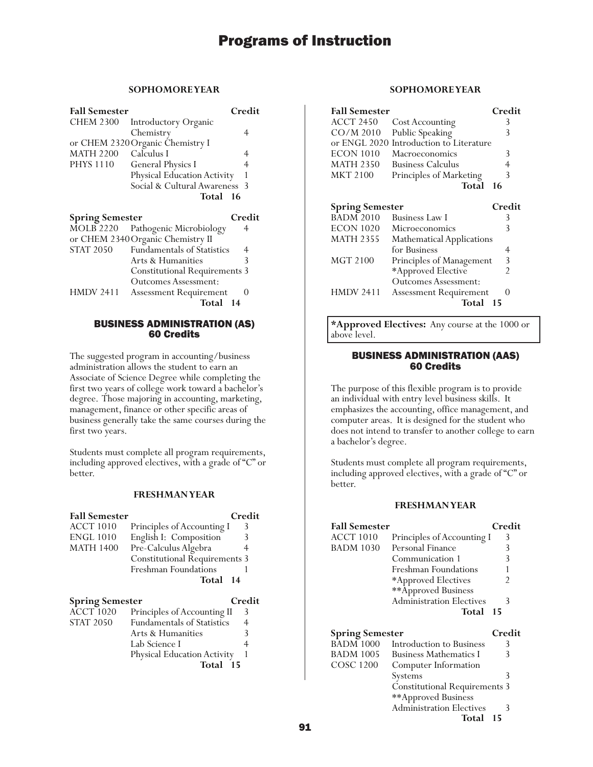### **SOPHOMORE YEAR**

| <b>Fall Semester</b>   |                                      | Credit   |
|------------------------|--------------------------------------|----------|
| <b>CHEM 2300</b>       | Introductory Organic                 |          |
|                        | Chemistry                            | 4        |
|                        | or CHEM 2320 Organic Chemistry I     |          |
| <b>MATH 2200</b>       | Calculus I                           | 4        |
| <b>PHYS 1110</b>       | <b>General Physics I</b>             | 4        |
|                        | Physical Education Activity          | 1        |
|                        | Social & Cultural Awareness          | 3        |
|                        | Total 16                             |          |
| <b>Spring Semester</b> |                                      | Credit   |
| <b>MOLB 2220</b>       | Pathogenic Microbiology              | 4        |
|                        | or CHEM 2340 Organic Chemistry II    |          |
| <b>STAT 2050</b>       | <b>Fundamentals of Statistics</b>    | 4        |
|                        | Arts & Humanities                    | 3        |
|                        | <b>Constitutional Requirements 3</b> |          |
|                        | <b>Outcomes Assessment:</b>          |          |
| <b>HMDV 2411</b>       | <b>Assessment Requirement</b>        | $\theta$ |
|                        | Total 14                             |          |

#### BUSINESS ADMINISTRATION (AS) 60 Credits

The suggested program in accounting/business administration allows the student to earn an Associate of Science Degree while completing the first two years of college work toward a bachelor's degree. Those majoring in accounting, marketing, management, finance or other specific areas of business generally take the same courses during the first two years.

Students must complete all program requirements, including approved electives, with a grade of "C" or better.

### **FRESHMAN YEAR**

| <b>Fall Semester</b>                       |                                                                  | Credit |
|--------------------------------------------|------------------------------------------------------------------|--------|
| <b>ACCT 1010</b>                           | Principles of Accounting I                                       | 3      |
| <b>ENGL 1010</b>                           | English I: Composition                                           | 3      |
| <b>MATH 1400</b>                           | Pre-Calculus Algebra                                             | 4      |
|                                            | <b>Constitutional Requirements 3</b>                             |        |
|                                            | Freshman Foundations                                             |        |
|                                            | Total                                                            | 14     |
|                                            |                                                                  |        |
|                                            |                                                                  | Credit |
| <b>Spring Semester</b><br><b>ACCT 1020</b> |                                                                  | 3      |
| <b>STAT 2050</b>                           | Principles of Accounting II<br><b>Fundamentals of Statistics</b> | 4      |
|                                            | Arts & Humanities                                                | 3      |
|                                            | Lab Science I                                                    | 4      |

**Total 15**

#### **SOPHOMORE YEAR**

| <b>Fall Semester</b>   |                                  | Credit            |
|------------------------|----------------------------------|-------------------|
| ACCT 2450              | Cost Accounting                  | 3                 |
| $CO/M$ 2010            | Public Speaking                  | 3                 |
| or ENGL 2020           | Introduction to Literature       |                   |
| ECON 1010              | Macroeconomics                   | 3                 |
| <b>MATH 2350</b>       | <b>Business Calculus</b>         | 4                 |
| <b>MKT 2100</b>        | Principles of Marketing          | 3                 |
|                        | Total                            | 16                |
|                        |                                  |                   |
| <b>Spring Semester</b> |                                  | Credit            |
| <b>BADM 2010</b>       | Business Law I                   | 3                 |
| <b>ECON 1020</b>       | Microeconomics                   | 3                 |
| <b>MATH 2355</b>       | <b>Mathematical Applications</b> |                   |
|                        | for Business                     | 4                 |
| MGT 2100               | Principles of Management         | 3                 |
|                        | *Approved Elective               | $\mathfrak{D}$    |
|                        | Outcomes Assessment:             |                   |
| HMDV 2411              | <b>Assessment Requirement</b>    | $\mathbf{\Omega}$ |
|                        | Total                            | 15                |

**\*Approved Electives:** Any course at the 1000 or above level.

### BUSINESS ADMINISTRATION (AAS) 60 Credits

The purpose of this flexible program is to provide an individual with entry level business skills. It emphasizes the accounting, office management, and computer areas. It is designed for the student who does not intend to transfer to another college to earn a bachelor's degree.

Students must complete all program requirements, including approved electives, with a grade of "C" or better.

### **FRESHMAN YEAR**

| <b>Fall Semester</b>   |                                 | Credit |
|------------------------|---------------------------------|--------|
| <b>ACCT 1010</b>       | Principles of Accounting I      | 3      |
| <b>BADM 1030</b>       | Personal Finance                | 3      |
|                        | Communication 1                 | 3      |
|                        | Freshman Foundations            |        |
|                        | *Approved Electives             |        |
|                        | **Approved Business             |        |
|                        | <b>Administration Electives</b> | 3      |
|                        | Total                           | -15    |
| <b>Spring Semester</b> |                                 | Credit |
| <b>BADM 1000</b>       | Introduction to Business        | 3      |
| <b>BADM 1005</b>       | <b>Business Mathematics I</b>   | 3      |
| COSC 1200              | Computer Information            |        |

Systems 3 Constitutional Requirements 3

Administration Electives 3

**Total 15**

\*\*Approved Business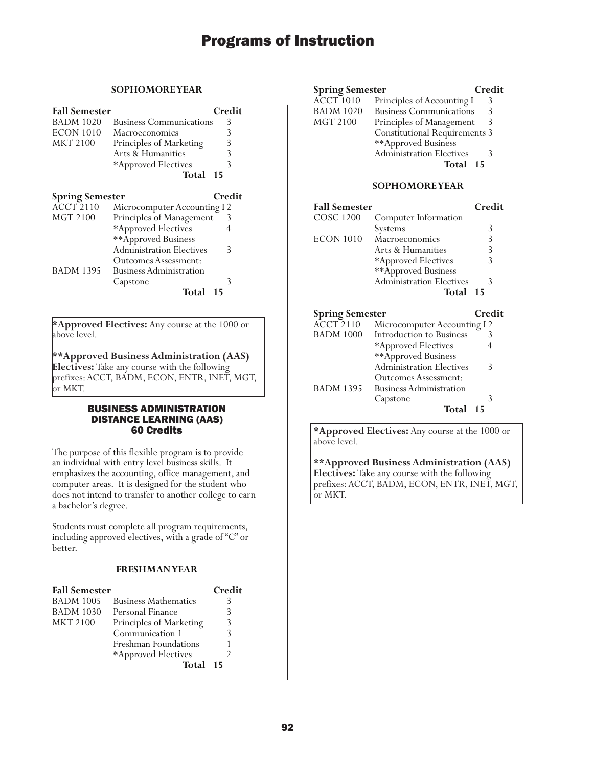### **SOPHOMORE YEAR**

| <b>Fall Semester</b>   |                                 | Credit |
|------------------------|---------------------------------|--------|
| <b>BADM 1020</b>       | <b>Business Communications</b>  | 3      |
| <b>ECON 1010</b>       | Macroeconomics                  | 3      |
| <b>MKT 2100</b>        | Principles of Marketing         | 3      |
|                        | Arts & Humanities               | 3      |
|                        | *Approved Electives             | 3      |
|                        | Total                           | 15     |
| <b>Spring Semester</b> |                                 | Credit |
| <b>ACCT 2110</b>       | Microcomputer Accounting I 2    |        |
| MGT 2100               | Principles of Management        | 3      |
|                        | *Approved Electives             | 4      |
|                        | **Approved Business             |        |
|                        | <b>Administration Electives</b> | 3      |
|                        | <b>Outcomes Assessment:</b>     |        |
| <b>BADM 1395</b>       | <b>Business Administration</b>  |        |
|                        | Capstone                        | 3      |
|                        | Total                           | 15     |

**\*Approved Electives:** Any course at the 1000 or above level.

**\*\*Approved Business Administration (AAS) Electives:** Take any course with the following prefixes: ACCT, BADM, ECON, ENTR, INET, MGT, or MKT.

### BUSINESS ADMINISTRATION DISTANCE LEARNING (AAS) 60 Credits

The purpose of this flexible program is to provide an individual with entry level business skills. It emphasizes the accounting, office management, and computer areas. It is designed for the student who does not intend to transfer to another college to earn a bachelor's degree.

Students must complete all program requirements, including approved electives, with a grade of "C" or better.

### **FRESHMAN YEAR**

| <b>Fall Semester</b> |                             | Credit |
|----------------------|-----------------------------|--------|
| <b>BADM 1005</b>     | <b>Business Mathematics</b> | 3      |
| <b>BADM 1030</b>     | Personal Finance            | ζ      |
| <b>MKT 2100</b>      | Principles of Marketing     | 3      |
|                      | Communication 1             | 3      |
|                      | Freshman Foundations        |        |
|                      | *Approved Electives         |        |
|                      | Total                       | 15     |

| <b>Spring Semester</b> |                                      | Credit |
|------------------------|--------------------------------------|--------|
| <b>ACCT 1010</b>       | Principles of Accounting I           | 3      |
| <b>BADM 1020</b>       | <b>Business Communications</b>       |        |
| <b>MGT 2100</b>        | Principles of Management             | 3      |
|                        | <b>Constitutional Requirements 3</b> |        |
|                        | **Approved Business                  |        |
|                        | Administration Electives             |        |
|                        | Total 15                             |        |
|                        |                                      |        |

#### **SOPHOMORE YEAR**

| <b>Fall Semester</b>               |                                 | Credit |
|------------------------------------|---------------------------------|--------|
| <b>COSC 1200</b>                   | Computer Information            |        |
|                                    | Systems                         | 3      |
| <b>ECON 1010</b><br>Macroeconomics |                                 | 3      |
|                                    | Arts & Humanities               | 3      |
|                                    | *Approved Electives             | 3      |
|                                    | **Approved Business             |        |
|                                    | <b>Administration Electives</b> | 3      |
|                                    | Total                           | 15     |
|                                    |                                 |        |
|                                    |                                 |        |
| <b>Spring Semester</b>             |                                 | Credit |
| <b>ACCT 2110</b>                   | Microcomputer Accounting I2     |        |
| BADM 1000                          | Introduction to Business        | 3      |
|                                    | *Approved Electives             | 4      |
|                                    | ** Approved Business            |        |
|                                    | <b>Administration Electives</b> | 3      |
|                                    | <b>Outcomes Assessment:</b>     |        |
| <b>BADM 1395</b>                   | <b>Business Administration</b>  |        |

**Total 15**

**\*Approved Electives:** Any course at the 1000 or above level.

**\*\*Approved Business Administration (AAS) Electives:** Take any course with the following prefixes: ACCT, BADM, ECON, ENTR, INET, MGT, or MKT.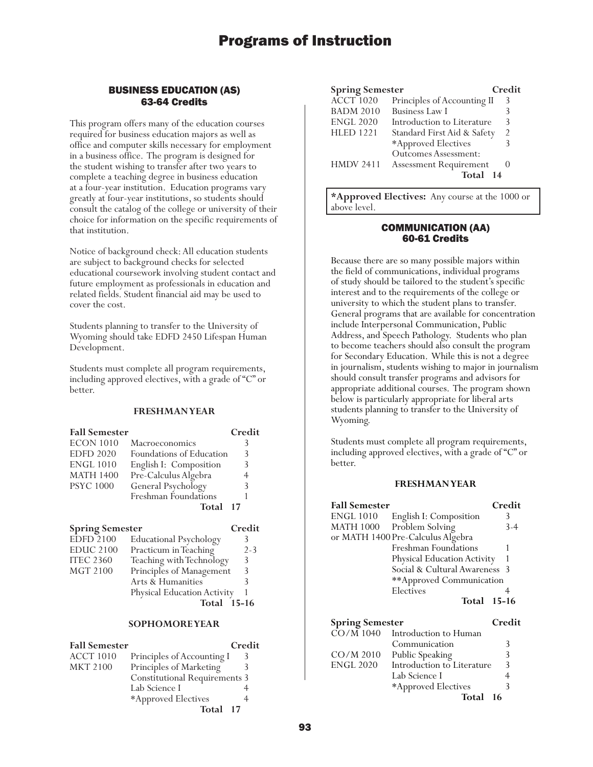### BUSINESS EDUCATION (AS) 63-64 Credits

This program offers many of the education courses required for business education majors as well as office and computer skills necessary for employment in a business office. The program is designed for the student wishing to transfer after two years to complete a teaching degree in business education at a four-year institution. Education programs vary greatly at four-year institutions, so students should consult the catalog of the college or university of their choice for information on the specific requirements of that institution.

Notice of background check: All education students are subject to background checks for selected educational coursework involving student contact and future employment as professionals in education and related fields. Student financial aid may be used to cover the cost.

Students planning to transfer to the University of Wyoming should take EDFD 2450 Lifespan Human Development.

Students must complete all program requirements, including approved electives, with a grade of "C" or better.

### **FRESHMAN YEAR**

| <b>Fall Semester</b> |                          | Credit |
|----------------------|--------------------------|--------|
| <b>ECON 1010</b>     | Macroeconomics           |        |
| <b>EDFD 2020</b>     | Foundations of Education | 3      |
| <b>ENGL 1010</b>     | English I: Composition   | 3      |
| <b>MATH 1400</b>     | Pre-Calculus Algebra     |        |
| <b>PSYC 1000</b>     | General Psychology       | 3      |
|                      | Freshman Foundations     |        |
|                      | Total 17                 |        |

#### **Spring Semester Credit**

|                  | <b>Total</b> 15-16            |         |
|------------------|-------------------------------|---------|
|                  | Physical Education Activity   |         |
|                  | Arts & Humanities             |         |
| MGT 2100         | Principles of Management      | 3       |
| <b>ITEC 2360</b> | Teaching with Technology      | 3       |
| <b>EDUC 2100</b> | Practicum in Teaching         | $2 - 3$ |
| <b>EDFD 2100</b> | <b>Educational Psychology</b> |         |
|                  |                               |         |

#### **SOPHOMORE YEAR**

| <b>Fall Semester</b> |                                      | Credit |
|----------------------|--------------------------------------|--------|
| <b>ACCT 1010</b>     | Principles of Accounting I           | 3      |
| <b>MKT 2100</b>      | Principles of Marketing              |        |
|                      | <b>Constitutional Requirements 3</b> |        |
|                      | Lab Science I                        |        |
|                      | *Approved Electives                  |        |
|                      | Total 17                             |        |

| <b>Spring Semester</b> |                               | Credit         |
|------------------------|-------------------------------|----------------|
| ACCT <sub>1020</sub>   | Principles of Accounting II   | 3              |
| <b>BADM 2010</b>       | <b>Business Law I</b>         |                |
| <b>ENGL 2020</b>       | Introduction to Literature    | 3              |
| <b>HLED 1221</b>       | Standard First Aid & Safety   | $\mathfrak{D}$ |
|                        | *Approved Electives           |                |
|                        | <b>Outcomes Assessment:</b>   |                |
| <b>HMDV 2411</b>       | <b>Assessment Requirement</b> |                |
|                        | Total<br>14                   |                |

**\*Approved Electives:** Any course at the 1000 or above level.

### COMMUNICATION (AA) 60-61 Credits

Because there are so many possible majors within the field of communications, individual programs of study should be tailored to the student's specific interest and to the requirements of the college or university to which the student plans to transfer. General programs that are available for concentration include Interpersonal Communication, Public Address, and Speech Pathology. Students who plan to become teachers should also consult the program for Secondary Education. While this is not a degree in journalism, students wishing to major in journalism should consult transfer programs and advisors for appropriate additional courses. The program shown below is particularly appropriate for liberal arts students planning to transfer to the University of Wyoming.

Students must complete all program requirements, including approved electives, with a grade of "C" or better.

| <b>Fall Semester</b>                |                                               | Credit |
|-------------------------------------|-----------------------------------------------|--------|
| <b>ENGL 1010</b>                    | English I: Composition                        | 3      |
| <b>MATH 1000</b>                    | Problem Solving                               | $3-4$  |
|                                     | or MATH 1400 Pre-Calculus Algebra             |        |
|                                     | <b>Freshman Foundations</b>                   |        |
|                                     | Physical Education Activity                   |        |
|                                     | Social & Cultural Awareness                   | -3     |
|                                     | **Approved Communication                      |        |
|                                     | Electives                                     | 4      |
|                                     | Total 15-16                                   |        |
|                                     |                                               |        |
|                                     |                                               |        |
|                                     |                                               | Credit |
| <b>Spring Semester</b><br>CO/M 1040 | Introduction to Human                         |        |
|                                     | Communication                                 | 3      |
| CO/M 2010                           |                                               | 3      |
| <b>ENGL 2020</b>                    | Public Speaking<br>Introduction to Literature | 3      |
|                                     | Lab Science I                                 | 4      |
|                                     | *Approved Electives                           | 3      |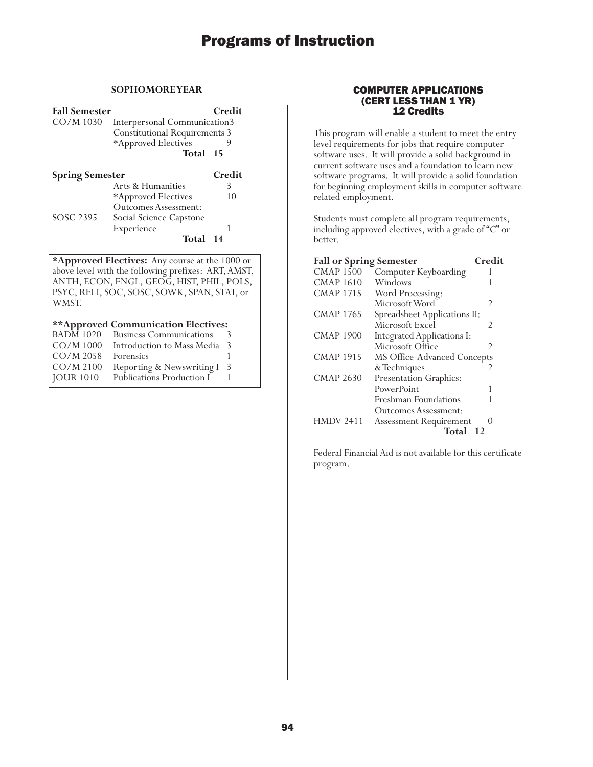### **SOPHOMORE YEAR**

**Fall Semester Credit**<br>CO/M 1030 Interpersonal Communication3 Interpersonal Communication3 Constitutional Requirements 3 \*Approved Electives 9 **Total 15**

| <b>Spring Semester</b> |                             | Credit |
|------------------------|-----------------------------|--------|
|                        | Arts & Humanities           |        |
|                        | *Approved Electives         | 10     |
|                        | <b>Outcomes Assessment:</b> |        |
| SOSC 2395              | Social Science Capstone     |        |
|                        | Experience                  |        |
|                        | Total 14                    |        |

**\*Approved Electives:** Any course at the 1000 or above level with the following prefixes: ART, AMST, ANTH, ECON, ENGL, GEOG, HIST, PHIL, POLS, PSYC, RELI, SOC, SOSC, SOWK, SPAN, STAT, or WMST.

### **\*\*Approved Communication Electives:**

| <b>BADM 1020</b> | <b>Business Communications</b> | 3  |
|------------------|--------------------------------|----|
| $CO/M$ 1000      | Introduction to Mass Media     | -3 |
| $CO/M$ 2058      | Forensics                      |    |
| $CO/M$ 2100      | Reporting & Newswriting I      | 3  |
| <b>JOUR 1010</b> | Publications Production I      |    |

### COMPUTER APPLICATIONS (CERT LESS THAN 1 YR) 12 Credits

This program will enable a student to meet the entry level requirements for jobs that require computer software uses. It will provide a solid background in current software uses and a foundation to learn new software programs. It will provide a solid foundation for beginning employment skills in computer software related employment.

Students must complete all program requirements, including approved electives, with a grade of "C" or better.

| <b>Fall or Spring Semester</b> |                               | Credit           |
|--------------------------------|-------------------------------|------------------|
| <b>CMAP 1500</b>               | Computer Keyboarding          |                  |
| <b>CMAP 1610</b>               | Windows                       |                  |
| <b>CMAP 1715</b>               | Word Processing:              |                  |
|                                | Microsoft Word                | 2                |
| CMAP 1765                      | Spreadsheet Applications II:  |                  |
|                                | Microsoft Excel               | 2                |
| <b>CMAP 1900</b>               | Integrated Applications I:    |                  |
|                                | Microsoft Office              | 2                |
| <b>CMAP 1915</b>               | MS Office-Advanced Concepts   |                  |
|                                | & Techniques                  | 2                |
| CMAP 2630                      | Presentation Graphics:        |                  |
|                                | PowerPoint                    |                  |
|                                | Freshman Foundations          |                  |
|                                | Outcomes Assessment:          |                  |
| <b>HMDV 2411</b>               | <b>Assessment Requirement</b> | $\left( \right)$ |
|                                | Total                         | 12               |

Federal Financial Aid is not available for this certificate program.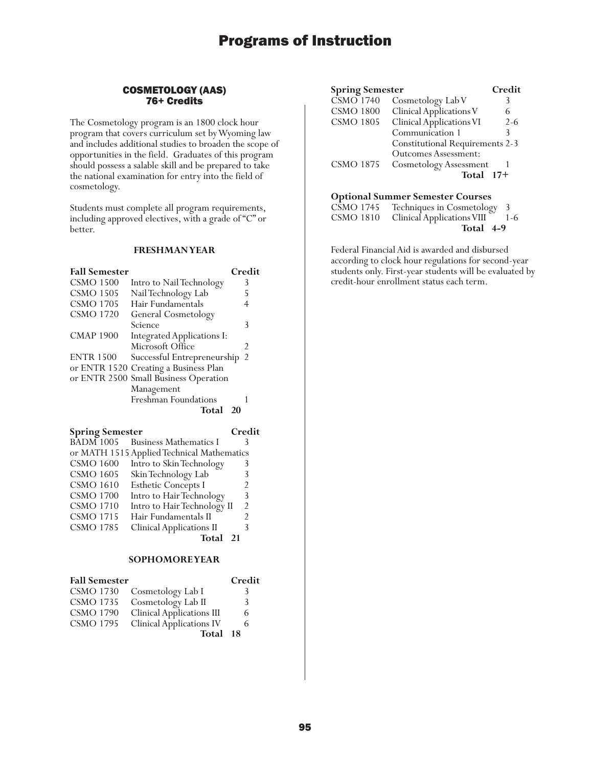### COSMETOLOGY (AAS) 76+ Credits

The Cosmetology program is an 1800 clock hour program that covers curriculum set by Wyoming law and includes additional studies to broaden the scope of opportunities in the field. Graduates of this program should possess a salable skill and be prepared to take the national examination for entry into the field of cosmetology.

Students must complete all program requirements, including approved electives, with a grade of "C" or better.

### **FRESHMAN YEAR**

| <b>Fall Semester</b> |                                       | Credit |
|----------------------|---------------------------------------|--------|
| <b>CSMO 1500</b>     | Intro to Nail Technology              | 3      |
| <b>CSMO 1505</b>     | Nail Technology Lab                   | 5      |
| <b>CSMO 1705</b>     | Hair Fundamentals                     | 4      |
| <b>CSMO 1720</b>     | General Cosmetology                   |        |
|                      | Science                               | 3      |
| <b>CMAP 1900</b>     | Integrated Applications I:            |        |
|                      | Microsoft Office                      | 2      |
| <b>ENTR 1500</b>     | Successful Entrepreneurship           | -2     |
|                      | or ENTR 1520 Creating a Business Plan |        |
|                      | or ENTR 2500 Small Business Operation |        |
|                      | Management                            |        |
|                      | Freshman Foundations                  |        |
|                      | Total<br>- 20                         |        |

| <b>Spring Semester</b>           | Credit |
|----------------------------------|--------|
| BADM 1005 Business Mathematics I |        |

|                  | or MATH 1515 Applied Technical Mathematics |               |
|------------------|--------------------------------------------|---------------|
| <b>CSMO 1600</b> | Intro to Skin Technology                   |               |
| <b>CSMO 1605</b> | Skin Technology Lab                        | 3             |
| <b>CSMO 1610</b> | Esthetic Concepts I                        | 2             |
| <b>CSMO 1700</b> | Intro to Hair Technology                   | 3             |
| <b>CSMO 1710</b> | Intro to Hair Technology II                | $\mathcal{P}$ |
| <b>CSMO 1715</b> | Hair Fundamentals II                       | 2             |
| <b>CSMO 1785</b> | <b>Clinical Applications II</b>            | 3             |
|                  |                                            |               |

Total 21

### **SOPHOMORE YEAR**

| <b>Fall Semester</b> |                                  | Credit |
|----------------------|----------------------------------|--------|
| <b>CSMO 1730</b>     | Cosmetology Lab I                | 3      |
| <b>CSMO 1735</b>     | Cosmetology Lab II               | 3      |
| <b>CSMO 1790</b>     | <b>Clinical Applications III</b> | 6      |
| <b>CSMO 1795</b>     | <b>Clinical Applications IV</b>  | 6      |
|                      | Total 18                         |        |

| <b>Spring Semester</b> |                                        | Credit  |
|------------------------|----------------------------------------|---------|
| $\overline{CSMO}$ 1740 | Cosmetology Lab V                      |         |
| <b>CSMO 1800</b>       | Clinical Applications V                | 6       |
| <b>CSMO 1805</b>       | Clinical Applications VI               | $2 - 6$ |
|                        | Communication 1                        | 3       |
|                        | <b>Constitutional Requirements 2-3</b> |         |
|                        | <b>Outcomes Assessment:</b>            |         |
| <b>CSMO 1875</b>       | <b>Cosmetology Assessment</b>          |         |
|                        | Total                                  | $17 +$  |

### **Optional Summer Semester Courses**

| CSMO 1745 Techniques in Cosmetology 3    |  |
|------------------------------------------|--|
| CSMO 1810 Clinical Applications VIII 1-6 |  |
| Total 4-9                                |  |

Federal Financial Aid is awarded and disbursed according to clock hour regulations for second-year students only. First-year students will be evaluated by credit-hour enrollment status each term.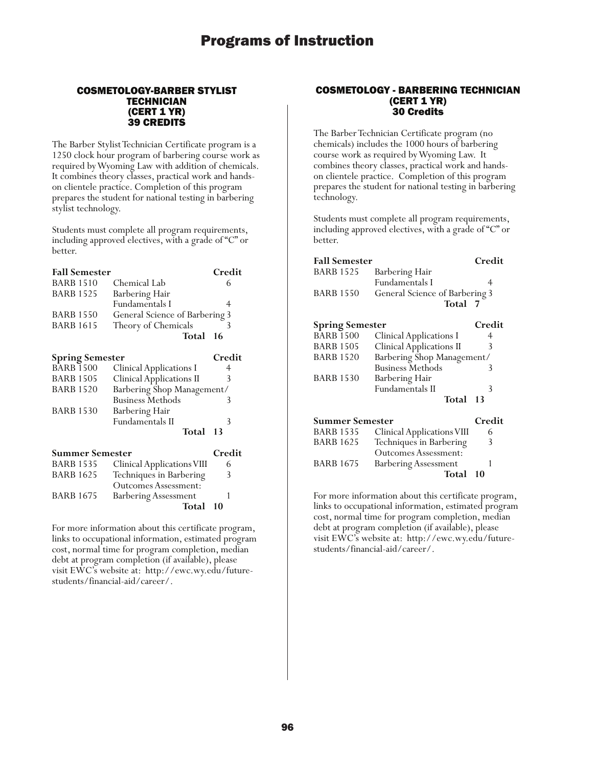### COSMETOLOGY-BARBER STYLIST **TECHNICIAN** (CERT 1 YR) 39 CREDITS

The Barber Stylist Technician Certificate program is a 1250 clock hour program of barbering course work as required by Wyoming Law with addition of chemicals. It combines theory classes, practical work and handson clientele practice. Completion of this program prepares the student for national testing in barbering stylist technology.

Students must complete all program requirements, including approved electives, with a grade of "C" or better.

| <b>Fall Semester</b>   |                                 | Credit |
|------------------------|---------------------------------|--------|
| <b>BARB 1510</b>       | Chemical Lab                    | 6      |
| <b>BARB 1525</b>       | Barbering Hair                  |        |
|                        | <b>Fundamentals I</b>           | 4      |
| <b>BARB 1550</b>       | General Science of Barbering 3  |        |
| <b>BARB 1615</b>       | Theory of Chemicals             | 3      |
|                        | Total                           | 16     |
| <b>Spring Semester</b> |                                 | Credit |
| <b>BARB 1500</b>       | <b>Clinical Applications I</b>  | 4      |
| <b>BARB 1505</b>       | <b>Clinical Applications II</b> | 3      |
| <b>BARB 1520</b>       | Barbering Shop Management/      |        |
|                        | <b>Business Methods</b>         | 3      |
| <b>BARB 1530</b>       | Barbering Hair                  |        |
|                        | <b>Fundamentals II</b>          | 3      |
|                        | Total                           | 13     |
| Summer Semester        |                                 | Credit |

| <b>BARB 1535</b><br><b>BARB 1625</b> | Clinical Applications VIII                             | 6  |
|--------------------------------------|--------------------------------------------------------|----|
|                                      | Techniques in Barbering<br><b>Outcomes Assessment:</b> | 3  |
| <b>BARB 1675</b>                     | <b>Barbering Assessment</b>                            |    |
|                                      | Total                                                  | 10 |

For more information about this certificate program, links to occupational information, estimated program cost, normal time for program completion, median debt at program completion (if available), please visit EWC's website at: http://ewc.wy.edu/futurestudents/financial-aid/career/.

### COSMETOLOGY - BARBERING TECHNICIAN (CERT 1 YR) 30 Credits

The Barber Technician Certificate program (no chemicals) includes the 1000 hours of barbering course work as required by Wyoming Law. It combines theory classes, practical work and handson clientele practice. Completion of this program prepares the student for national testing in barbering technology.

Students must complete all program requirements, including approved electives, with a grade of "C" or better.

| <b>Fall Semester</b>   |                                 | Credit |
|------------------------|---------------------------------|--------|
| BARB 1525              | Barbering Hair                  |        |
|                        | <b>Fundamentals I</b>           | 4      |
| <b>BARB 1550</b>       | General Science of Barbering 3  |        |
|                        | Total 7                         |        |
| <b>Spring Semester</b> |                                 | Credit |
| <b>BARB 1500</b>       | <b>Clinical Applications I</b>  | 4      |
| <b>BARB 1505</b>       | <b>Clinical Applications II</b> | 3      |
| <b>BARB 1520</b>       | Barbering Shop Management/      |        |
|                        | <b>Business Methods</b>         | 3      |
| <b>BARB 1530</b>       | Barbering Hair                  |        |
|                        | <b>Fundamentals II</b>          | 3      |
|                        | Total                           | 13     |
| <b>Summer Semester</b> |                                 | Credit |
| BARB 1535              | Clinical Applications VIII      | 6      |
| <b>BARB 1625</b>       | Techniques in Barbering         | 3      |
|                        | <b>Outcomes Assessment:</b>     |        |
| BARB 1675              | <b>Barbering Assessment</b>     | 1      |
|                        | Total                           | 10     |

For more information about this certificate program, links to occupational information, estimated program cost, normal time for program completion, median debt at program completion (if available), please visit EWC's website at: http://ewc.wy.edu/futurestudents/financial-aid/career/.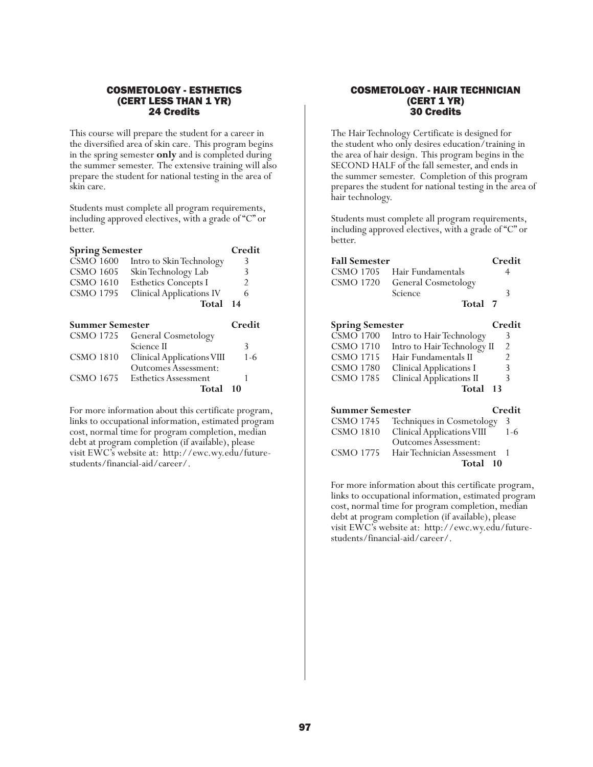### COSMETOLOGY - ESTHETICS (CERT LESS THAN 1 YR) 24 Credits

This course will prepare the student for a career in the diversified area of skin care. This program begins in the spring semester **only** and is completed during the summer semester. The extensive training will also prepare the student for national testing in the area of skin care.

Students must complete all program requirements, including approved electives, with a grade of "C" or better.

| <b>Spring Semester</b> |                                 | Credit |
|------------------------|---------------------------------|--------|
| <b>CSMO 1600</b>       | Intro to Skin Technology        | 3      |
| <b>CSMO 1605</b>       | Skin Technology Lab             | 3      |
| <b>CSMO 1610</b>       | <b>Esthetics Concepts I</b>     | 2      |
| <b>CSMO 1795</b>       | <b>Clinical Applications IV</b> | 6      |
|                        | Total                           | 14     |
|                        |                                 |        |
| <b>Summer Semester</b> |                                 | Credit |
| <b>CSMO 1725</b>       | <b>General Cosmetology</b>      |        |
|                        | Science II                      | 3      |
| <b>CSMO 1810</b>       | Clinical Applications VIII      | 1-6    |
|                        | Outcomes Assessment:            |        |
| CSMO 1675              | <b>Esthetics Assessment</b>     |        |

For more information about this certificate program, links to occupational information, estimated program cost, normal time for program completion, median debt at program completion (if available), please visit EWC's website at: http://ewc.wy.edu/futurestudents/financial-aid/career/.

### COSMETOLOGY - HAIR TECHNICIAN (CERT 1 YR) 30 Credits

The Hair Technology Certificate is designed for the student who only desires education/training in the area of hair design. This program begins in the SECOND HALF of the fall semester, and ends in the summer semester. Completion of this program prepares the student for national testing in the area of hair technology.

Students must complete all program requirements, including approved electives, with a grade of "C" or better.

| <b>Fall Semester</b>   |                                 | Credit |
|------------------------|---------------------------------|--------|
| CSMO 1705              | Hair Fundamentals               | 4      |
| CSMO 1720              | General Cosmetology             |        |
|                        | Science                         | 3      |
|                        | Total 7                         |        |
| <b>Spring Semester</b> |                                 | Credit |
| CSMO 1700              | Intro to Hair Technology        | 3      |
| <b>CSMO 1710</b>       | Intro to Hair Technology II     | 2      |
| CSMO 1715              | Hair Fundamentals II            | 2      |
| <b>CSMO 1780</b>       | Clinical Applications I         | 3      |
| CSMO 1785              | <b>Clinical Applications II</b> | 3      |
|                        | Total                           | 13     |
| <b>Summer Semester</b> |                                 | Credit |
| <b>CSMO 1745</b>       | Techniques in Cosmetology       | 3      |
| <b>CSMO 1810</b>       | Clinical Applications VIII      | 1-6    |
|                        | <b>Outcomes Assessment:</b>     |        |
| CSMO 1775              | Hair Technician Assessment      |        |

For more information about this certificate program, links to occupational information, estimated program cost, normal time for program completion, median debt at program completion (if available), please visit EWC's website at: http://ewc.wy.edu/futurestudents/financial-aid/career/.

**Total 10**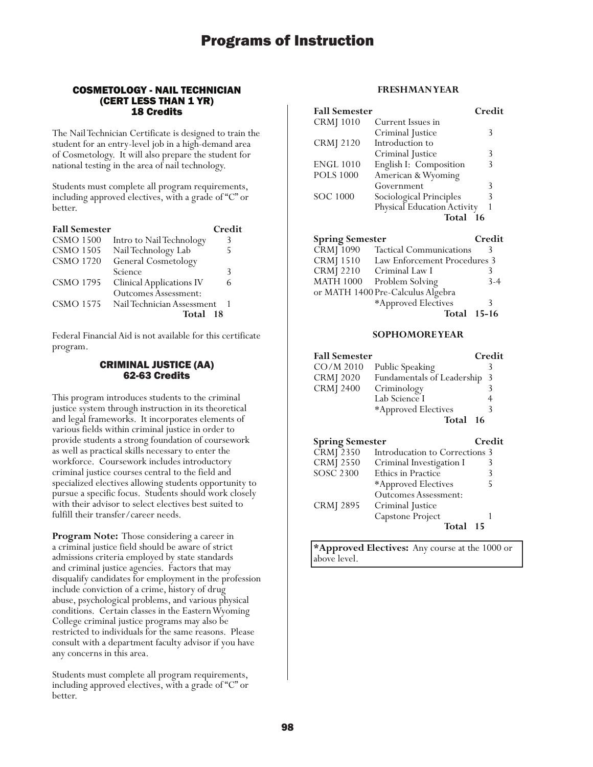### COSMETOLOGY - NAIL TECHNICIAN (CERT LESS THAN 1 YR) 18 Credits

The Nail Technician Certificate is designed to train the student for an entry-level job in a high-demand area of Cosmetology. It will also prepare the student for national testing in the area of nail technology.

Students must complete all program requirements, including approved electives, with a grade of "C" or better.

| <b>Fall Semester</b> |                                 | Credit |
|----------------------|---------------------------------|--------|
| <b>CSMO 1500</b>     | Intro to Nail Technology        | 3      |
| <b>CSMO 1505</b>     | Nail Technology Lab             | 5      |
| <b>CSMO 1720</b>     | General Cosmetology             |        |
|                      | Science                         | 3      |
| <b>CSMO 1795</b>     | <b>Clinical Applications IV</b> | 6      |
|                      | <b>Outcomes Assessment:</b>     |        |
| <b>CSMO 1575</b>     | Nail Technician Assessment      |        |
|                      | Total                           | 18     |

Federal Financial Aid is not available for this certificate program.

### CRIMINAL JUSTICE (AA) 62-63 Credits

This program introduces students to the criminal justice system through instruction in its theoretical and legal frameworks. It incorporates elements of various fields within criminal justice in order to provide students a strong foundation of coursework as well as practical skills necessary to enter the workforce. Coursework includes introductory criminal justice courses central to the field and specialized electives allowing students opportunity to pursue a specific focus. Students should work closely with their advisor to select electives best suited to fulfill their transfer/career needs.

**Program Note:** Those considering a career in a criminal justice field should be aware of strict admissions criteria employed by state standards and criminal justice agencies. Factors that may disqualify candidates for employment in the profession include conviction of a crime, history of drug abuse, psychological problems, and various physical conditions. Certain classes in the Eastern Wyoming College criminal justice programs may also be restricted to individuals for the same reasons. Please consult with a department faculty advisor if you have any concerns in this area.

Students must complete all program requirements, including approved electives, with a grade of "C" or better.

### **FRESHMAN YEAR**

| <b>Fall Semester</b> |                             | Credit |
|----------------------|-----------------------------|--------|
| <b>CRM</b> [1010     | Current Issues in           |        |
|                      | Criminal Justice            | 3      |
| <b>CRMJ 2120</b>     | Introduction to             |        |
|                      | Criminal Justice            | 3      |
| <b>ENGL 1010</b>     | English I: Composition      | 3      |
| <b>POLS 1000</b>     | American & Wyoming          |        |
|                      | Government                  | 3      |
| <b>SOC 1000</b>      | Sociological Principles     | 3      |
|                      | Physical Education Activity |        |
|                      | Total                       | - 16   |

| <b>Spring Semester</b>     |                                   | Credit  |
|----------------------------|-----------------------------------|---------|
| CRMJ 1090                  | <b>Tactical Communications</b>    | ₹       |
| <b>CRMJ</b> 1510           | Law Enforcement Procedures 3      |         |
| <b>CRMJ 2210</b>           | Criminal Law I                    |         |
| $\operatorname{MATH}$ 1000 | Problem Solving                   | $3-4$   |
|                            | or MATH 1400 Pre-Calculus Algebra |         |
|                            | *Approved Electives               | 3       |
|                            | Total                             | $15-16$ |

### **SOPHOMORE YEAR**

| <b>Fall Semester</b>   |                                | Credit |
|------------------------|--------------------------------|--------|
| CO/M 2010              | Public Speaking                | 3      |
| <b>CRMJ</b> 2020       | Fundamentals of Leadership     | 3      |
| <b>CRMJ 2400</b>       | Criminology                    | 3      |
|                        | Lab Science I                  | 4      |
|                        | *Approved Electives            | 3      |
|                        | Total                          | 16     |
| <b>Spring Semester</b> |                                | Credit |
|                        |                                |        |
| <b>CRMJ 2350</b>       | Introducation to Corrections 3 |        |
| <b>CRMJ 2550</b>       | Criminal Investigation I       | 3      |
| <b>SOSC 2300</b>       | Ethics in Practice             | 3      |
|                        | *Approved Electives            | 5      |
|                        | Outcomes Assessment:           |        |
| <b>CRMJ 2895</b>       | Criminal Justice               |        |
|                        | Capstone Project               |        |

**\*Approved Electives:** Any course at the 1000 or above level.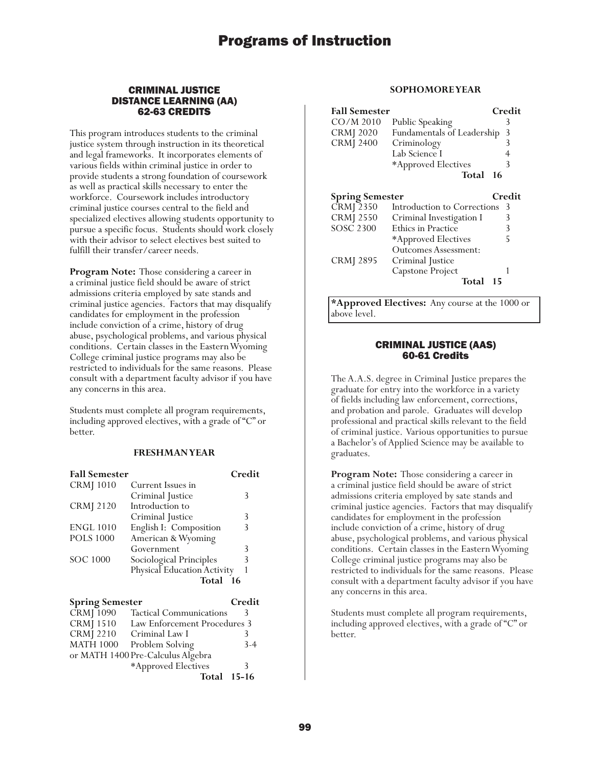### CRIMINAL JUSTICE DISTANCE LEARNING (AA) 62-63 CREDITS

This program introduces students to the criminal justice system through instruction in its theoretical and legal frameworks. It incorporates elements of various fields within criminal justice in order to provide students a strong foundation of coursework as well as practical skills necessary to enter the workforce. Coursework includes introductory criminal justice courses central to the field and specialized electives allowing students opportunity to pursue a specific focus. Students should work closely with their advisor to select electives best suited to fulfill their transfer/career needs.

**Program Note:** Those considering a career in a criminal justice field should be aware of strict admissions criteria employed by sate stands and criminal justice agencies. Factors that may disqualify candidates for employment in the profession include conviction of a crime, history of drug abuse, psychological problems, and various physical conditions. Certain classes in the Eastern Wyoming College criminal justice programs may also be restricted to individuals for the same reasons. Please consult with a department faculty advisor if you have any concerns in this area.

Students must complete all program requirements, including approved electives, with a grade of "C" or better.

### **FRESHMAN YEAR**

| <b>Fall Semester</b>   |                                   | Credit  |
|------------------------|-----------------------------------|---------|
| <b>CRM</b> [1010       | Current Issues in                 |         |
|                        | Criminal Justice                  | 3       |
| <b>CRMJ 2120</b>       | Introduction to                   |         |
|                        | Criminal Justice                  | 3       |
| <b>ENGL 1010</b>       | English I: Composition            | 3       |
| <b>POLS 1000</b>       | American & Wyoming                |         |
|                        | Government                        | 3       |
| SOC 1000               | Sociological Principles           | 3       |
|                        | Physical Education Activity       | 1       |
|                        | Total 16                          |         |
| <b>Spring Semester</b> |                                   | Credit  |
| <b>CRMJ</b> 1090       | <b>Tactical Communications</b>    | 3       |
| CRMJ 1510              | Law Enforcement Procedures 3      |         |
|                        |                                   |         |
| <b>CRMJ</b> 2210       | Criminal Law I                    | 3       |
| <b>MATH 1000</b>       | Problem Solving                   | $3 - 4$ |
|                        | or MATH 1400 Pre-Calculus Algebra |         |
|                        | *Approved Electives               | 3       |

### **SOPHOMORE YEAR**

| <b>Fall Semester</b><br>CO/M 2010<br><b>CRMJ</b> 2020<br><b>CRMJ 2400</b> | Public Speaking<br>Fundamentals of Leadership<br>Criminology<br>Lab Science I<br>*Approved Electives<br>Total<br>-16 | Credit<br>3<br>3<br>3<br>4<br>3 |
|---------------------------------------------------------------------------|----------------------------------------------------------------------------------------------------------------------|---------------------------------|
| <b>Spring Semester</b>                                                    |                                                                                                                      | Credit                          |
| <b>CRMJ 2350</b>                                                          | Introduction to Corrections                                                                                          | 3                               |
| <b>CRMJ 2550</b>                                                          | Criminal Investigation I                                                                                             | 3                               |
| <b>SOSC 2300</b>                                                          | Ethics in Practice                                                                                                   | 3                               |
|                                                                           | *Approved Electives                                                                                                  | 5                               |
|                                                                           | Outcomes Assessment:                                                                                                 |                                 |
| CRMJ 2895                                                                 | Criminal Justice                                                                                                     |                                 |
|                                                                           | Capstone Project                                                                                                     |                                 |
|                                                                           | Total<br>15                                                                                                          |                                 |

**\*Approved Electives:** Any course at the 1000 or above level.

### CRIMINAL JUSTICE (AAS) 60-61 Credits

The A.A.S. degree in Criminal Justice prepares the graduate for entry into the workforce in a variety of fields including law enforcement, corrections, and probation and parole. Graduates will develop professional and practical skills relevant to the field of criminal justice. Various opportunities to pursue a Bachelor's of Applied Science may be available to graduates.

**Program Note:** Those considering a career in a criminal justice field should be aware of strict admissions criteria employed by sate stands and criminal justice agencies. Factors that may disqualify candidates for employment in the profession include conviction of a crime, history of drug abuse, psychological problems, and various physical conditions. Certain classes in the Eastern Wyoming College criminal justice programs may also be restricted to individuals for the same reasons. Please consult with a department faculty advisor if you have any concerns in this area.

Students must complete all program requirements, including approved electives, with a grade of "C" or better.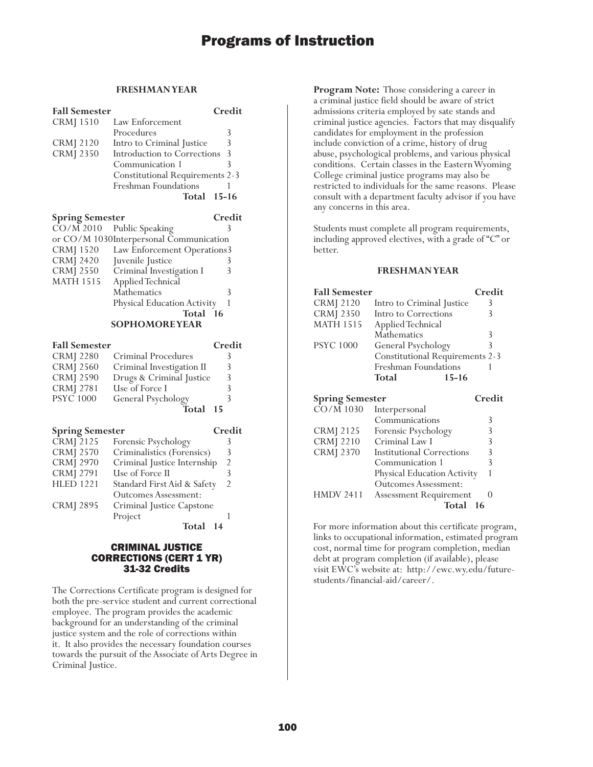### **FRESHMAN YEAR**

| <b>Fall Semester</b>   |                                         | Credit                   |
|------------------------|-----------------------------------------|--------------------------|
| <b>CRMJ</b> 1510       | Law Enforcement                         |                          |
|                        | Procedures                              | 3                        |
| <b>CRMJ 2120</b>       | Intro to Criminal Justice               | 3                        |
| <b>CRMJ 2350</b>       | Introduction to Corrections             | 3                        |
|                        | Communication 1                         | 3                        |
|                        | <b>Constitutional Requirements 2-3</b>  |                          |
|                        | Freshman Foundations                    | 1                        |
|                        | Total                                   | $15 - 16$                |
| <b>Spring Semester</b> |                                         | Credit                   |
| CO/M 2010              | Public Speaking                         | 3                        |
|                        | or CO/M 1030Interpersonal Communication |                          |
| CRMJ 1520              | Law Enforcement Operations3             |                          |
| <b>CRMJ 2420</b>       | Juvenile Justice                        | 3                        |
| <b>CRMJ 2550</b>       | Criminal Investigation I                | 3                        |
| <b>MATH 1515</b>       | Applied Technical                       |                          |
|                        | Mathematics                             | 3                        |
|                        | Physical Education Activity             | 1                        |
|                        | Total                                   | 16                       |
|                        | <b>SOPHOMOREYEAR</b>                    |                          |
| <b>Fall Semester</b>   |                                         | Credit                   |
| <b>CRMJ 2280</b>       | Criminal Procedures                     | 3                        |
| <b>CRMJ 2560</b>       | Criminal Investigation II               | 3                        |
| <b>CRMJ 2590</b>       | Drugs & Criminal Justice                | 3                        |
| <b>CRMJ 2781</b>       | Use of Force I                          | 3                        |
| <b>PSYC</b> 1000       | General Psychology                      | $\overline{\mathcal{E}}$ |
|                        | Total                                   | 15                       |
|                        |                                         |                          |
| <b>Spring Semester</b> |                                         | Credit                   |
| CRMJ 2125              | Forensic Psychology                     | 3                        |
| <b>CRMJ 2570</b>       | Criminalistics (Forensics)              | 3                        |
| <b>CRMJ 2970</b>       | Criminal Justice Internship             | $\frac{2}{3}$            |
| <b>CRMJ 2791</b>       | Use of Force II                         |                          |
| <b>HLED 1221</b>       | Standard First Aid & Safety             | $\overline{2}$           |
|                        | <b>Outcomes Assessment:</b>             |                          |
| CRMJ 2895              | Criminal Justice Capstone               |                          |
|                        | Project                                 | 1                        |
|                        | Total 14                                |                          |

### CRIMINAL JUSTICE CORRECTIONS (CERT 1 YR) 31-32 Credits

The Corrections Certificate program is designed for both the pre-service student and current correctional employee. The program provides the academic background for an understanding of the criminal justice system and the role of corrections within it. It also provides the necessary foundation courses towards the pursuit of the Associate of Arts Degree in Criminal Justice.

**Program Note:** Those considering a career in a criminal justice field should be aware of strict admissions criteria employed by sate stands and criminal justice agencies. Factors that may disqualify candidates for employment in the profession include conviction of a crime, history of drug abuse, psychological problems, and various physical conditions. Certain classes in the Eastern Wyoming College criminal justice programs may also be restricted to individuals for the same reasons. Please consult with a department faculty advisor if you have any concerns in this area.

Students must complete all program requirements, including approved electives, with a grade of "C" or better.

#### **FRESHMAN YEAR**

| <b>Fall Semester</b>                |                                        | Credit |
|-------------------------------------|----------------------------------------|--------|
| CRMJ 2120                           | Intro to Criminal Justice              | 3      |
| <b>CRMJ 2350</b>                    | Intro to Corrections                   | 3      |
| <b>MATH 1515</b>                    | Applied Technical                      |        |
|                                     | Mathematics                            | 3      |
| <b>PSYC 1000</b>                    | General Psychology                     | 3      |
|                                     | <b>Constitutional Requirements 2-3</b> |        |
|                                     | <b>Freshman Foundations</b>            |        |
|                                     |                                        |        |
|                                     | $15 - 16$<br>Total                     |        |
|                                     |                                        | Credit |
| <b>Spring Semester</b><br>CO/M 1030 | Interpersonal                          |        |
|                                     | Communications                         | 3      |
| <b>CRMJ 2125</b>                    | Forensic Psychology                    | 3      |
| <b>CRMJ</b> 2210                    | Criminal Law I                         | 3      |

|           | Communication 1               |  |
|-----------|-------------------------------|--|
|           | Physical Education Activity   |  |
|           | <b>Outcomes Assessment:</b>   |  |
| HMDV 2411 | <b>Assessment Requirement</b> |  |
|           | Total 16                      |  |

For more information about this certificate program, links to occupational information, estimated program cost, normal time for program completion, median debt at program completion (if available), please visit EWC's website at: http://ewc.wy.edu/futurestudents/financial-aid/career/.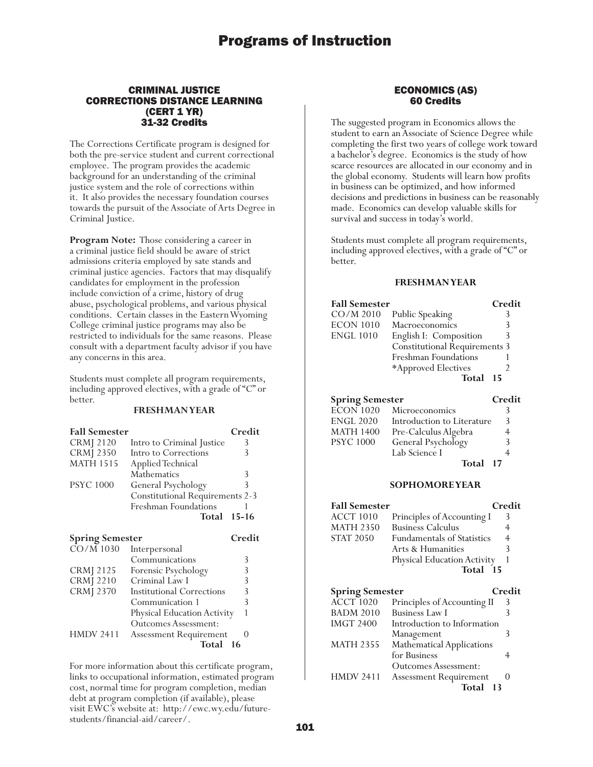### CRIMINAL JUSTICE CORRECTIONS DISTANCE LEARNING (CERT 1 YR) 31-32 Credits

The Corrections Certificate program is designed for both the pre-service student and current correctional employee. The program provides the academic background for an understanding of the criminal justice system and the role of corrections within it. It also provides the necessary foundation courses towards the pursuit of the Associate of Arts Degree in Criminal Justice.

**Program Note:** Those considering a career in a criminal justice field should be aware of strict admissions criteria employed by sate stands and criminal justice agencies. Factors that may disqualify candidates for employment in the profession include conviction of a crime, history of drug abuse, psychological problems, and various physical conditions. Certain classes in the Eastern Wyoming College criminal justice programs may also be restricted to individuals for the same reasons. Please consult with a department faculty advisor if you have any concerns in this area.

Students must complete all program requirements, including approved electives, with a grade of "C" or better.

### **FRESHMAN YEAR**

| <b>Fall Semester</b> |                                        | Credit |
|----------------------|----------------------------------------|--------|
| <b>CRMJ</b> 2120     | Intro to Criminal Justice              |        |
| <b>CRMJ 2350</b>     | Intro to Corrections                   |        |
| <b>MATH 1515</b>     | Applied Technical                      |        |
|                      | <b>Mathematics</b>                     | 3      |
| <b>PSYC 1000</b>     | General Psychology                     | 3      |
|                      | <b>Constitutional Requirements 2-3</b> |        |
|                      | Freshman Foundations                   |        |
|                      | <b>Total 15-16</b>                     |        |

| <b>Spring Semester</b> |                                  | Credit |
|------------------------|----------------------------------|--------|
| $\overline{CO/M}$ 1030 | Interpersonal                    |        |
|                        | Communications                   | 3      |
| <b>CRMJ</b> 2125       | Forensic Psychology              | 3      |
| <b>CRMJ</b> 2210       | Criminal Law I                   | 3      |
| <b>CRMJ 2370</b>       | <b>Institutional Corrections</b> | 3      |
|                        | Communication 1                  | 3      |
|                        | Physical Education Activity      |        |
|                        | <b>Outcomes Assessment:</b>      |        |
| <b>HMDV 2411</b>       | <b>Assessment Requirement</b>    |        |
|                        | Total                            | -16    |

For more information about this certificate program, links to occupational information, estimated program cost, normal time for program completion, median debt at program completion (if available), please visit EWC's website at: http://ewc.wy.edu/futurestudents/financial-aid/career/.

### ECONOMICS (AS) 60 Credits

The suggested program in Economics allows the student to earn an Associate of Science Degree while completing the first two years of college work toward a bachelor's degree. Economics is the study of how scarce resources are allocated in our economy and in the global economy. Students will learn how profits in business can be optimized, and how informed decisions and predictions in business can be reasonably made. Economics can develop valuable skills for survival and success in today's world.

Students must complete all program requirements, including approved electives, with a grade of "C" or better.

### **FRESHMAN YEAR**

| <b>Fall Semester</b> |                               | Credit |
|----------------------|-------------------------------|--------|
| $CO/M$ 2010          | Public Speaking               |        |
| <b>ECON 1010</b>     | Macroeconomics                |        |
| <b>ENGL 1010</b>     | English I: Composition        | 3      |
|                      | Constitutional Requirements 3 |        |
|                      | Freshman Foundations          |        |
|                      | *Approved Electives           |        |
|                      | Total                         | - 15   |

### **Spring Semester Credit** ECON 1020 Microeconomics 3

| PSYC 1000 | General Psychology        | 3 |
|-----------|---------------------------|---|
|           | Lab Science I<br>Total 17 |   |

### **SOPHOMORE YEAR**

| <b>Fall Semester</b>                       |                                                      | Credit |
|--------------------------------------------|------------------------------------------------------|--------|
| <b>ACCT 1010</b>                           | Principles of Accounting I                           | 3      |
| <b>MATH 2350</b>                           | <b>Business Calculus</b>                             | 4      |
| <b>STAT 2050</b>                           | <b>Fundamentals of Statistics</b>                    | 4      |
|                                            | Arts & Humanities                                    | 3      |
|                                            | Physical Education Activity                          |        |
|                                            | Total 15                                             |        |
|                                            |                                                      |        |
|                                            |                                                      |        |
|                                            |                                                      | Credit |
| <b>Spring Semester</b><br><b>ACCT 1020</b> |                                                      | 3      |
| <b>BADM 2010</b>                           | Principles of Accounting II<br><b>Business Law I</b> | 3      |
| <b>IMGT 2400</b>                           | Introduction to Information                          |        |
|                                            | Management                                           | 3      |
| <b>MATH 2355</b>                           | <b>Mathematical Applications</b>                     |        |
|                                            | for Business                                         |        |

Outcomes Assessment: HMDV 2411 Assessment Requirement 0 **Total 13**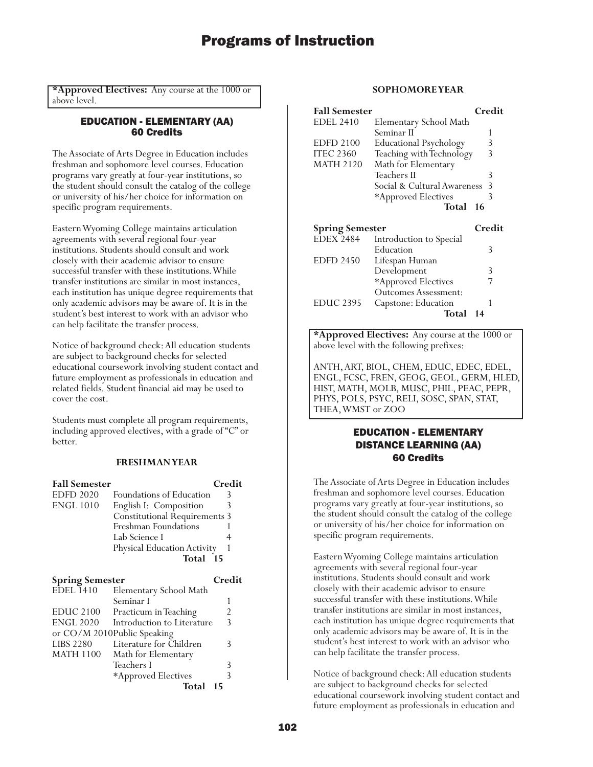**\*Approved Electives:** Any course at the 1000 or above level.

### EDUCATION - ELEMENTARY (AA) 60 Credits

The Associate of Arts Degree in Education includes freshman and sophomore level courses. Education programs vary greatly at four-year institutions, so the student should consult the catalog of the college or university of his/her choice for information on specific program requirements.

Eastern Wyoming College maintains articulation agreements with several regional four-year institutions. Students should consult and work closely with their academic advisor to ensure successful transfer with these institutions. While transfer institutions are similar in most instances, each institution has unique degree requirements that only academic advisors may be aware of. It is in the student's best interest to work with an advisor who can help facilitate the transfer process.

Notice of background check: All education students are subject to background checks for selected educational coursework involving student contact and future employment as professionals in education and related fields. Student financial aid may be used to cover the cost.

Students must complete all program requirements, including approved electives, with a grade of "C" or better.

### **FRESHMAN YEAR**

| <b>Fall Semester</b>   |                                      | Credit |
|------------------------|--------------------------------------|--------|
| <b>EDFD 2020</b>       | <b>Foundations of Education</b>      |        |
| <b>ENGL 1010</b>       | English I: Composition               | 3      |
|                        | <b>Constitutional Requirements 3</b> |        |
|                        | Freshman Foundations                 |        |
|                        | Lab Science I                        |        |
|                        | Physical Education Activity          |        |
|                        | Total 15                             |        |
| <b>Spring Semester</b> |                                      | Credit |
| <b>EDEL 1410</b>       | Elementary School Math               |        |
|                        | Seminar I                            |        |
| EDUC 2100              | Practicum in Teaching                |        |

|           | EDUC 2100 Practicum in Ieaching      |               |
|-----------|--------------------------------------|---------------|
|           | ENGL 2020 Introduction to Literature | $\mathcal{R}$ |
|           | or CO/M 2010Public Speaking          |               |
| LIBS 2280 | Literature for Children              | २             |
| MATH 1100 | Math for Elementary                  |               |
|           | Teachers I                           | 3             |
|           | *Approved Electives                  | 3             |
|           | <b>Total</b>                         | 15            |

#### **SOPHOMORE YEAR**

| <b>Fall Semester</b>   |                               | Credit |
|------------------------|-------------------------------|--------|
| <b>EDEL 2410</b>       | Elementary School Math        |        |
|                        | Seminar II                    | 1      |
| <b>EDFD 2100</b>       | <b>Educational Psychology</b> | 3      |
| <b>ITEC 2360</b>       | Teaching with Technology      | 3      |
| <b>MATH 2120</b>       | Math for Elementary           |        |
|                        | Teachers II                   | 3      |
|                        | Social & Cultural Awareness   | 3      |
|                        | *Approved Electives           | 3      |
|                        | Total                         | 16     |
|                        |                               | Credit |
| <b>Spring Semester</b> |                               |        |
| <b>EDEX 2484</b>       | Introduction to Special       |        |
|                        | Education                     | 3      |
| <b>EDFD 2450</b>       | Lifespan Human                |        |
|                        | Development                   | 3      |
|                        | *Approved Electives           |        |
|                        | <b>Outcomes Assessment:</b>   |        |
| <b>EDUC 2395</b>       | Capstone: Education           | 1      |
|                        | Total                         | 14     |

**\*Approved Electives:** Any course at the 1000 or above level with the following prefixes:

ANTH, ART, BIOL, CHEM, EDUC, EDEC, EDEL, ENGL, FCSC, FREN, GEOG, GEOL, GERM, HLED, HIST, MATH, MOLB, MUSC, PHIL, PEAC, PEPR, PHYS, POLS, PSYC, RELI, SOSC, SPAN, STAT, THEA, WMST or ZOO

### EDUCATION - ELEMENTARY DISTANCE LEARNING (AA) 60 Credits

The Associate of Arts Degree in Education includes freshman and sophomore level courses. Education programs vary greatly at four-year institutions, so the student should consult the catalog of the college or university of his/her choice for information on specific program requirements.

Eastern Wyoming College maintains articulation agreements with several regional four-year institutions. Students should consult and work closely with their academic advisor to ensure successful transfer with these institutions. While transfer institutions are similar in most instances, each institution has unique degree requirements that only academic advisors may be aware of. It is in the student's best interest to work with an advisor who can help facilitate the transfer process.

Notice of background check: All education students are subject to background checks for selected educational coursework involving student contact and future employment as professionals in education and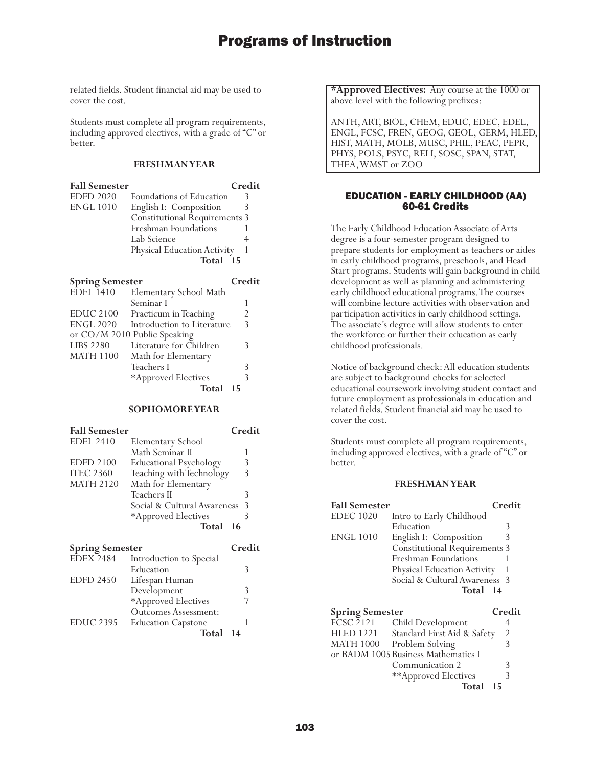related fields. Student financial aid may be used to cover the cost.

Students must complete all program requirements, including approved electives, with a grade of "C" or better.

### **FRESHMAN YEAR**

| <b>Fall Semester</b>   |                                      | Credit |
|------------------------|--------------------------------------|--------|
| <b>EDFD 2020</b>       | Foundations of Education             |        |
| <b>ENGL 1010</b>       | English I: Composition               |        |
|                        | <b>Constitutional Requirements 3</b> |        |
|                        | Freshman Foundations                 |        |
|                        | Lab Science                          |        |
|                        | Physical Education Activity          |        |
|                        | Total 15                             |        |
| <b>Spring Semester</b> |                                      | Credit |
| EDEL 1410              | Elementary School Math               |        |
|                        | Seminar I                            |        |
| FDIIC 2100             | Practicum in Teaching                |        |

| <b>EDUC 2100</b> | Practicum in Teaching        |    |
|------------------|------------------------------|----|
| <b>ENGL 2020</b> | Introduction to Literature   | 3  |
|                  | or CO/M 2010 Public Speaking |    |
| <b>LIBS 2280</b> | Literature for Children      | 3  |
| <b>MATH 1100</b> | Math for Elementary          |    |
|                  | Teachers I                   | 3  |
|                  | *Approved Electives          | ς  |
|                  | Total                        | 15 |

#### **SOPHOMORE YEAR**

| <b>Fall Semester</b> |                               | Credit |
|----------------------|-------------------------------|--------|
| <b>EDEL 2410</b>     | Elementary School             |        |
|                      | Math Seminar II               |        |
| <b>EDFD 2100</b>     | <b>Educational Psychology</b> | 3      |
| <b>ITEC 2360</b>     | Teaching with Technology      | 3      |
| <b>MATH 2120</b>     | Math for Elementary           |        |
|                      | Teachers II                   | 3      |
|                      | Social & Cultural Awareness   | 3      |
|                      | *Approved Electives           |        |
|                      | Total                         | 16     |

| <b>Spring Semester</b> |                             | Credit |
|------------------------|-----------------------------|--------|
| <b>EDEX 2484</b>       | Introduction to Special     |        |
|                        | Education                   |        |
| <b>EDFD 2450</b>       | Lifespan Human              |        |
|                        | Development                 | 3      |
|                        | *Approved Electives         |        |
|                        | <b>Outcomes Assessment:</b> |        |
| <b>EDUC 2395</b>       | <b>Education Capstone</b>   |        |
|                        | Total                       | 14     |

**\*Approved Electives:** Any course at the 1000 or above level with the following prefixes:

ANTH, ART, BIOL, CHEM, EDUC, EDEC, EDEL, ENGL, FCSC, FREN, GEOG, GEOL, GERM, HLED, HIST, MATH, MOLB, MUSC, PHIL, PEAC, PEPR, PHYS, POLS, PSYC, RELI, SOSC, SPAN, STAT, THEA, WMST or ZOO

### EDUCATION - EARLY CHILDHOOD (AA) 60-61 Credits

The Early Childhood Education Associate of Arts degree is a four-semester program designed to prepare students for employment as teachers or aides in early childhood programs, preschools, and Head Start programs. Students will gain background in child development as well as planning and administering early childhood educational programs. The courses will combine lecture activities with observation and participation activities in early childhood settings. The associate's degree will allow students to enter the workforce or further their education as early childhood professionals.

Notice of background check: All education students are subject to background checks for selected educational coursework involving student contact and future employment as professionals in education and related fields. Student financial aid may be used to cover the cost.

Students must complete all program requirements, including approved electives, with a grade of "C" or better.

| <b>Fall Semester</b>   |                                      | Credit |
|------------------------|--------------------------------------|--------|
| <b>EDEC</b> 1020       | Intro to Early Childhood             |        |
|                        | Education                            | 3      |
| <b>ENGL 1010</b>       | English I: Composition               | 3      |
|                        | <b>Constitutional Requirements 3</b> |        |
|                        | Freshman Foundations                 |        |
|                        | Physical Education Activity          |        |
|                        | Social & Cultural Awareness 3        |        |
|                        | Total 14                             |        |
|                        |                                      | Credit |
| <b>Spring Semester</b> |                                      |        |
| <b>FCSC 2121</b>       | Child Development                    | 4      |
| <b>HLED 1221</b>       | Standard First Aid & Safety          | 2      |
| <b>MATH 1000</b>       | Problem Solving                      | 3      |
|                        | or BADM 1005 Business Mathematics I  |        |
|                        | Communication 2                      | 3      |
|                        | **Approved Electives                 | 3      |
|                        |                                      |        |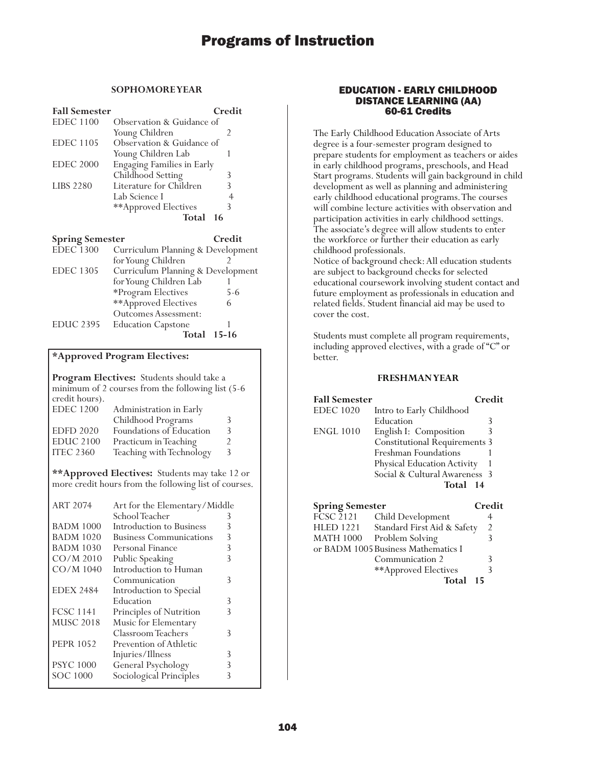### **SOPHOMORE YEAR**

| <b>Fall Semester</b> |                                   | Credit |
|----------------------|-----------------------------------|--------|
| <b>EDEC</b> 1100     | Observation & Guidance of         |        |
|                      | Young Children                    |        |
| <b>EDEC</b> 1105     | Observation & Guidance of         |        |
|                      | Young Children Lab                |        |
| <b>EDEC 2000</b>     | <b>Engaging Families in Early</b> |        |
|                      | Childhood Setting                 | 3      |
| <b>LIBS 2280</b>     | Literature for Children           | 3      |
|                      | Lab Science I                     |        |
|                      | **Approved Electives              | 3      |
|                      | Total                             | 16     |

| <b>Spring Semester</b> |                                   | Credit      |
|------------------------|-----------------------------------|-------------|
| <b>EDEC</b> 1300       | Curriculum Planning & Development |             |
|                        | for Young Children                |             |
| <b>EDEC 1305</b>       | Curriculum Planning & Development |             |
|                        | for Young Children Lab            |             |
|                        | *Program Electives                | $5-6$       |
|                        | **Approved Electives              | 6           |
|                        | Outcomes Assessment:              |             |
| <b>EDUC 2395</b>       | <b>Education Capstone</b>         |             |
|                        |                                   | Total 15-16 |

### **\*Approved Program Electives:**

**Program Electives:** Students should take a minimum of 2 courses from the following list (5-6 credit hours).

| Administration in Early  |   |
|--------------------------|---|
| Childhood Programs       | 3 |
| Foundations of Education | 3 |
| Practicum in Teaching    | 2 |
| Teaching with Technology | 3 |
|                          |   |

**\*\*Approved Electives:** Students may take 12 or more credit hours from the following list of courses.

| <b>ART 2074</b>  | Art for the Elementary/Middle  |   |
|------------------|--------------------------------|---|
|                  | School Teacher                 | 3 |
| <b>BADM 1000</b> | Introduction to Business       | 3 |
| BADM 1020        | <b>Business Communications</b> | 3 |
| <b>BADM 1030</b> | Personal Finance               | 3 |
| $CO/M$ 2010      | Public Speaking                | 3 |
| CO/M 1040        | Introduction to Human          |   |
|                  | Communication                  | 3 |
| <b>EDEX 2484</b> | Introduction to Special        |   |
|                  | Education                      | 3 |
| <b>FCSC 1141</b> | Principles of Nutrition        | 3 |
| <b>MUSC 2018</b> | Music for Elementary           |   |
|                  | Classroom Teachers             | 3 |
| <b>PEPR 1052</b> | Prevention of Athletic         |   |
|                  | Injuries/Illness               | 3 |
| <b>PSYC 1000</b> | General Psychology             | 3 |
| <b>SOC 1000</b>  | Sociological Principles        | 3 |
|                  |                                |   |

### EDUCATION - EARLY CHILDHOOD DISTANCE LEARNING (AA) 60-61 Credits

The Early Childhood Education Associate of Arts degree is a four-semester program designed to prepare students for employment as teachers or aides in early childhood programs, preschools, and Head Start programs. Students will gain background in child development as well as planning and administering early childhood educational programs. The courses will combine lecture activities with observation and participation activities in early childhood settings. The associate's degree will allow students to enter the workforce or further their education as early childhood professionals.

Notice of background check: All education students are subject to background checks for selected educational coursework involving student contact and future employment as professionals in education and related fields. Student financial aid may be used to cover the cost.

Students must complete all program requirements, including approved electives, with a grade of "C" or better.

| <b>Fall Semester</b>   |                                      | Credit |
|------------------------|--------------------------------------|--------|
| <b>EDEC</b> 1020       | Intro to Early Childhood             |        |
|                        | Education                            | 3      |
| <b>ENGL 1010</b>       | English I: Composition               | 3      |
|                        | <b>Constitutional Requirements 3</b> |        |
|                        | Freshman Foundations                 |        |
|                        | Physical Education Activity          |        |
|                        | Social & Cultural Awareness 3        |        |
|                        | Total 14                             |        |
| <b>Spring Semester</b> |                                      | Credit |

| spring semester  |                                     | vreu |
|------------------|-------------------------------------|------|
| FCSC 2121        | Child Development                   | 4    |
| <b>HLED 1221</b> | Standard First Aid & Safety         | 2    |
| <b>MATH 1000</b> | Problem Solving                     |      |
|                  | or BADM 1005 Business Mathematics I |      |
|                  | Communication 2                     | Κ    |
|                  | **Approved Electives                |      |
|                  | Total                               | 15   |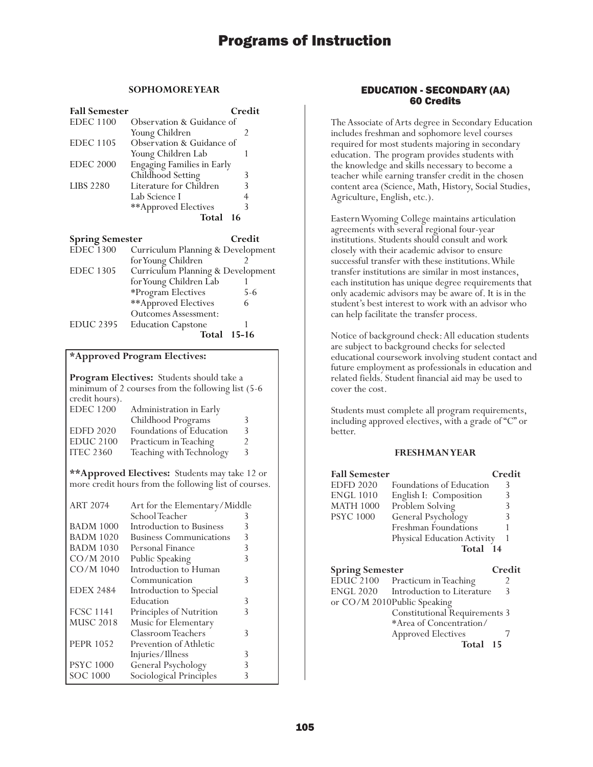### **SOPHOMORE YEAR**

| <b>Fall Semester</b>   |                                   | Credit |
|------------------------|-----------------------------------|--------|
| <b>EDEC</b> 1100       | Observation & Guidance of         |        |
|                        | Young Children                    | 2      |
| <b>EDEC</b> 1105       | Observation & Guidance of         |        |
|                        | Young Children Lab                |        |
| <b>EDEC 2000</b>       | <b>Engaging Families in Early</b> |        |
|                        | Childhood Setting                 | 3      |
| <b>LIBS 2280</b>       | Literature for Children           | 3      |
|                        | Lab Science I                     |        |
|                        | **Approved Electives              | 3      |
|                        | Total                             | 16     |
| <b>Spring Semester</b> |                                   | Cred   |

| opring ocinesier |                                   | vaan      |
|------------------|-----------------------------------|-----------|
| <b>EDEC</b> 1300 | Curriculum Planning & Development |           |
|                  | for Young Children                |           |
| <b>EDEC 1305</b> | Curriculum Planning & Development |           |
|                  | for Young Children Lab            |           |
|                  | *Program Electives                | 5-6       |
|                  | **Approved Electives              | 6         |
|                  | <b>Outcomes Assessment:</b>       |           |
| <b>EDUC 2395</b> | <b>Education Capstone</b>         |           |
|                  | Total                             | $15 - 16$ |
|                  |                                   |           |

### **\*Approved Program Electives:**

**Program Electives:** Students should take a minimum of 2 courses from the following list (5-6 credit hours).<br>EDEC 1200 Administration in Early Childhood Programs 3

| <b>EDFD 2020</b> | Foundations of Education |  |
|------------------|--------------------------|--|
| EDUC 2100        | Practicum in Teaching    |  |
| <b>ITEC 2360</b> | Teaching with Technology |  |

**\*\*Approved Electives:** Students may take 12 or more credit hours from the following list of courses.

| <b>ART 2074</b>  | Art for the Elementary/Middle  |   |
|------------------|--------------------------------|---|
|                  | School Teacher                 | 3 |
| <b>BADM 1000</b> | Introduction to Business       | 3 |
| <b>BADM 1020</b> | <b>Business Communications</b> | 3 |
| <b>BADM 1030</b> | Personal Finance               | 3 |
| $CO/M$ 2010      | Public Speaking                | 3 |
| CO/M 1040        | Introduction to Human          |   |
|                  | Communication                  | 3 |
| <b>EDEX 2484</b> | Introduction to Special        |   |
|                  | Education                      | 3 |
| <b>FCSC 1141</b> | Principles of Nutrition        | 3 |
| <b>MUSC 2018</b> | Music for Elementary           |   |
|                  | Classroom Teachers             | 3 |
| <b>PEPR 1052</b> | Prevention of Athletic         |   |
|                  | Injuries/Illness               | 3 |
| <b>PSYC</b> 1000 | General Psychology             | 3 |
| SOC 1000         | Sociological Principles        | 3 |

### EDUCATION - SECONDARY (AA) 60 Credits

The Associate of Arts degree in Secondary Education includes freshman and sophomore level courses required for most students majoring in secondary education. The program provides students with the knowledge and skills necessary to become a teacher while earning transfer credit in the chosen content area (Science, Math, History, Social Studies, Agriculture, English, etc.).

Eastern Wyoming College maintains articulation agreements with several regional four-year institutions. Students should consult and work closely with their academic advisor to ensure successful transfer with these institutions. While transfer institutions are similar in most instances, each institution has unique degree requirements that only academic advisors may be aware of. It is in the student's best interest to work with an advisor who can help facilitate the transfer process.

Notice of background check: All education students are subject to background checks for selected educational coursework involving student contact and future employment as professionals in education and related fields. Student financial aid may be used to cover the cost.

Students must complete all program requirements, including approved electives, with a grade of "C" or better.

| <b>Fall Semester</b>                  |                                                                     | Credit |
|---------------------------------------|---------------------------------------------------------------------|--------|
| <b>EDFD 2020</b>                      | <b>Foundations of Education</b>                                     | 3      |
| <b>ENGL 1010</b>                      | English I: Composition                                              | 3      |
| <b>MATH 1000</b>                      | Problem Solving                                                     | 3      |
| <b>PSYC</b> 1000                      | General Psychology                                                  | 3      |
|                                       | <b>Freshman Foundations</b>                                         |        |
|                                       | Physical Education Activity                                         | 1      |
|                                       | Total 14                                                            |        |
|                                       |                                                                     |        |
|                                       |                                                                     | Credit |
| <b>Spring Semester</b><br>$EDUC$ 2100 | Practicum in Teaching                                               | 2      |
| ENGL 2020                             | Introduction to Literature                                          | 3      |
|                                       |                                                                     |        |
|                                       | or CO/M 2010Public Speaking<br><b>Constitutional Requirements 3</b> |        |
|                                       | *Area of Concentration/                                             |        |
|                                       | <b>Approved Electives</b>                                           | 7      |
|                                       | Total                                                               | 15     |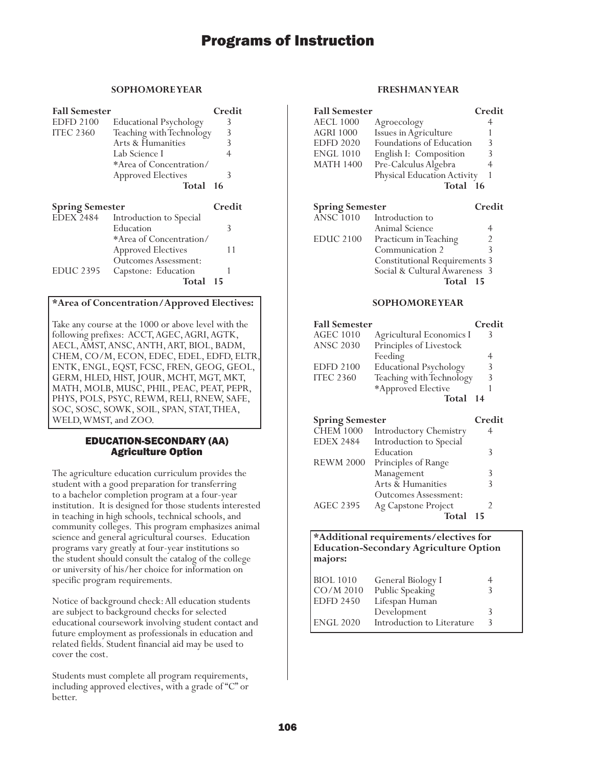### **SOPHOMORE YEAR**

| <b>Fall Semester</b>   |                                   | Credit |
|------------------------|-----------------------------------|--------|
| <b>EDFD 2100</b>       | <b>Educational Psychology</b>     | 3      |
| <b>ITEC 2360</b>       | Teaching with Technology          | 3      |
|                        | Arts & Humanities                 | 3      |
|                        | Lab Science I                     | 4      |
|                        | *Area of Concentration/           |        |
|                        | <b>Approved Electives</b>         | 3      |
|                        | Total 16                          |        |
|                        |                                   |        |
| <b>Spring Semester</b> |                                   | Credit |
|                        | EDEX 2484 Introduction to Special |        |
|                        | Education                         | 3      |
|                        | *Area of Concentration/           |        |
|                        | <b>Approved Electives</b>         | 11     |
|                        | Outcomes Assessment:              |        |
| <b>EDUC 2395</b>       | Capstone: Education               |        |

### **\*Area of Concentration/Approved Electives:**

Take any course at the 1000 or above level with the following prefixes: ACCT, AGEC, AGRI, AGTK, AECL, AMST, ANSC, ANTH, ART, BIOL, BADM, CHEM, CO/M, ECON, EDEC, EDEL, EDFD, ELTR, ENTK, ENGL, EQST, FCSC, FREN, GEOG, GEOL, GERM, HLED, HIST, JOUR, MCHT, MGT, MKT, MATH, MOLB, MUSC, PHIL, PEAC, PEAT, PEPR, PHYS, POLS, PSYC, REWM, RELI, RNEW, SAFE, SOC, SOSC, SOWK, SOIL, SPAN, STAT, THEA, WELD, WMST, and ZOO.

### EDUCATION-SECONDARY (AA) Agriculture Option

The agriculture education curriculum provides the student with a good preparation for transferring to a bachelor completion program at a four-year institution. It is designed for those students interested in teaching in high schools, technical schools, and community colleges. This program emphasizes animal science and general agricultural courses. Education programs vary greatly at four-year institutions so the student should consult the catalog of the college or university of his/her choice for information on specific program requirements.

Notice of background check: All education students are subject to background checks for selected educational coursework involving student contact and future employment as professionals in education and related fields. Student financial aid may be used to cover the cost.

Students must complete all program requirements, including approved electives, with a grade of "C" or better.

### **FRESHMAN YEAR**

| <b>Fall Semester</b>   |                             | Credit |
|------------------------|-----------------------------|--------|
| <b>AECL 1000</b>       | Agroecology                 | 4      |
| <b>AGRI 1000</b>       | Issues in Agriculture       |        |
| <b>EDFD 2020</b>       | Foundations of Education    | 3      |
| <b>ENGL 1010</b>       | English I: Composition      | 3      |
| <b>MATH 1400</b>       | Pre-Calculus Algebra        | 4      |
|                        | Physical Education Activity | 1      |
|                        | Total 16                    |        |
| <b>Spring Semester</b> |                             | Credit |
|                        | ANSC 1010 Introduction to   |        |
|                        | Animal Science              | 4      |
| <b>EDUC 2100</b>       | Practicum in Teaching       | 2      |
|                        | Communication 2             | 3      |

Constitutional Requirements 3 Social & Cultural Awareness 3

**Total 15**

### **SOPHOMORE YEAR**

| <b>Fall Semester</b> |                               | Credit |
|----------------------|-------------------------------|--------|
| <b>AGEC 1010</b>     | Agricultural Economics I      |        |
| <b>ANSC 2030</b>     | Principles of Livestock       |        |
|                      | Feeding                       |        |
| <b>EDFD 2100</b>     | <b>Educational Psychology</b> | 3      |
| <b>ITEC 2360</b>     | Teaching with Technology      | 3      |
|                      | *Approved Elective            |        |
|                      | Total 14                      |        |
|                      |                               |        |

| <b>Spring Semester</b> |                               | Credit |
|------------------------|-------------------------------|--------|
| <b>CHEM 1000</b>       | <b>Introductory Chemistry</b> |        |
| <b>EDEX 2484</b>       | Introduction to Special       |        |
|                        | Education                     | 3      |
| <b>REWM 2000</b>       | Principles of Range           |        |
|                        | Management                    | 3      |
|                        | Arts & Humanities             |        |
|                        | Outcomes Assessment:          |        |
| <b>AGEC 2395</b>       | Ag Capstone Project           |        |
|                        | Total                         | 15     |

### **\*Additional requirements/electives for Education-Secondary Agriculture Option majors:**

| <b>BIOL</b> 1010<br>$CO/M$ 2010 | General Biology I<br>Public Speaking |   |
|---------------------------------|--------------------------------------|---|
| <b>EDFD 2450</b>                | Lifespan Human                       |   |
|                                 | Development                          |   |
| <b>ENGL 2020</b>                | Introduction to Literature           | 3 |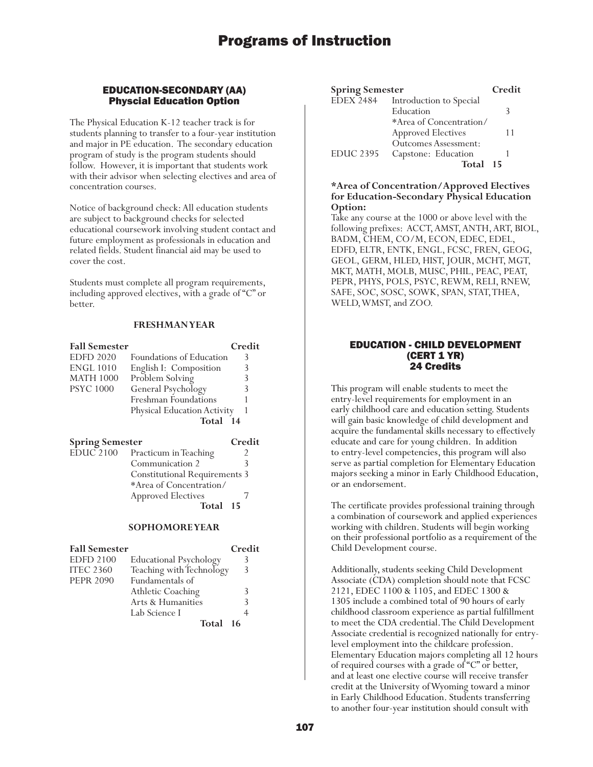### EDUCATION-SECONDARY (AA) Physcial Education Option

The Physical Education K-12 teacher track is for students planning to transfer to a four-year institution and major in PE education. The secondary education program of study is the program students should follow. However, it is important that students work with their advisor when selecting electives and area of concentration courses.

Notice of background check: All education students are subject to background checks for selected educational coursework involving student contact and future employment as professionals in education and related fields. Student financial aid may be used to cover the cost.

Students must complete all program requirements, including approved electives, with a grade of "C" or better.

#### **FRESHMAN YEAR**

| <b>Fall Semester</b>   |                                 | Credit |
|------------------------|---------------------------------|--------|
| <b>EDFD 2020</b>       | Foundations of Education        | 3      |
| <b>ENGL 1010</b>       | English I: Composition          | 3      |
| <b>MATH 1000</b>       | Problem Solving                 | 3      |
| <b>PSYC 1000</b>       | General Psychology              | 3      |
|                        | Freshman Foundations            |        |
|                        | Physical Education Activity     |        |
|                        | Total 14                        |        |
| <b>Spring Semester</b> |                                 | Credit |
|                        | EDUC 2100 Practicum in Teaching | 2      |
|                        | Communication 2                 | ς      |

| Communication 2                      |  |
|--------------------------------------|--|
| <b>Constitutional Requirements 3</b> |  |
| *Area of Concentration/              |  |
| <b>Approved Electives</b>            |  |
| Total 15                             |  |

#### **SOPHOMORE YEAR**

| <b>Fall Semester</b> |                               | Credit        |
|----------------------|-------------------------------|---------------|
| <b>EDFD 2100</b>     | <b>Educational Psychology</b> | 3             |
| <b>ITEC 2360</b>     | Teaching with Technology      | $\mathcal{R}$ |
| <b>PEPR 2090</b>     | Fundamentals of               |               |
|                      | Athletic Coaching             | 3             |
|                      | Arts & Humanities             | 3             |
|                      | Lab Science I                 |               |
|                      | Total                         | 16            |

| <b>Spring Semester</b> |                           | Credit |
|------------------------|---------------------------|--------|
| <b>EDEX 2484</b>       | Introduction to Special   |        |
|                        | Education                 | 3      |
|                        | *Area of Concentration/   |        |
|                        | <b>Approved Electives</b> | 11     |
|                        | Outcomes Assessment:      |        |
| <b>EDUC 2395</b>       | Capstone: Education       |        |
|                        | Total                     | 15     |

### **\*Area of Concentration/Approved Electives for Education-Secondary Physical Education Option:**

Take any course at the 1000 or above level with the following prefixes: ACCT, AMST, ANTH, ART, BIOL, BADM, CHEM, CO/M, ECON, EDEC, EDEL, EDFD, ELTR, ENTK, ENGL, FCSC, FREN, GEOG, GEOL, GERM, HLED, HIST, JOUR, MCHT, MGT, MKT, MATH, MOLB, MUSC, PHIL, PEAC, PEAT, PEPR, PHYS, POLS, PSYC, REWM, RELI, RNEW, SAFE, SOC, SOSC, SOWK, SPAN, STAT, THEA, WELD, WMST, and ZOO.

### EDUCATION - CHILD DEVELOPMENT (CERT 1 YR) 24 Credits

This program will enable students to meet the entry-level requirements for employment in an early childhood care and education setting. Students will gain basic knowledge of child development and acquire the fundamental skills necessary to effectively educate and care for young children. In addition to entry-level competencies, this program will also serve as partial completion for Elementary Education majors seeking a minor in Early Childhood Education, or an endorsement.

The certificate provides professional training through a combination of coursework and applied experiences working with children. Students will begin working on their professional portfolio as a requirement of the Child Development course.

Additionally, students seeking Child Development Associate (CDA) completion should note that FCSC 2121, EDEC 1100 & 1105, and EDEC 1300 & 1305 include a combined total of 90 hours of early childhood classroom experience as partial fulfillment to meet the CDA credential. The Child Development Associate credential is recognized nationally for entrylevel employment into the childcare profession. Elementary Education majors completing all 12 hours of required courses with a grade of "C" or better, and at least one elective course will receive transfer credit at the University of Wyoming toward a minor in Early Childhood Education. Students transferring to another four-year institution should consult with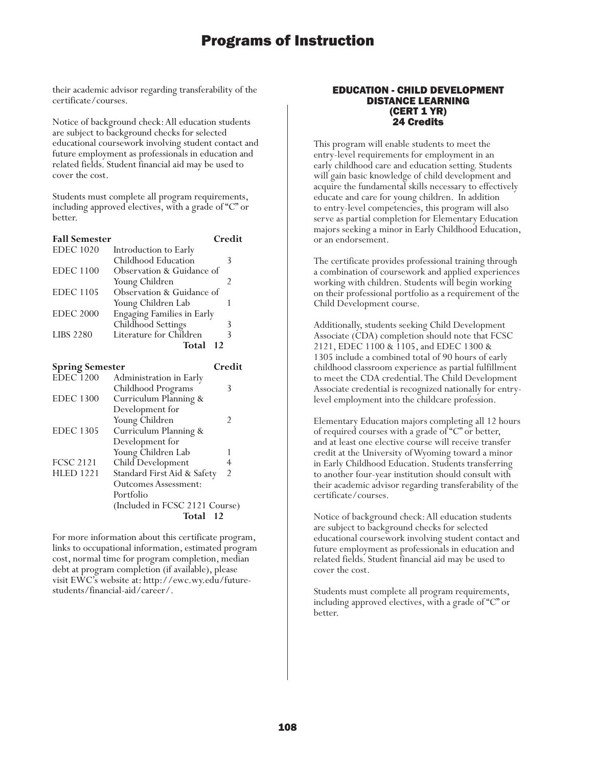their academic advisor regarding transferability of the certificate/courses.

Notice of background check: All education students are subject to background checks for selected educational coursework involving student contact and future employment as professionals in education and related fields. Student financial aid may be used to cover the cost.

Students must complete all program requirements, including approved electives, with a grade of "C" or better.

| <b>Fall Semester</b> |                                   | Credit |
|----------------------|-----------------------------------|--------|
| <b>EDEC</b> 1020     | Introduction to Early             |        |
|                      | Childhood Education               | 3      |
| <b>EDEC</b> 1100     | Observation & Guidance of         |        |
|                      | Young Children                    | 2      |
| <b>EDEC</b> 1105     | Observation & Guidance of         |        |
|                      | Young Children Lab                |        |
| <b>EDEC 2000</b>     | <b>Engaging Families in Early</b> |        |
|                      | Childhood Settings                |        |
| <b>LIBS 2280</b>     | Literature for Children           | 3      |
|                      | Total<br>$\overline{12}$          |        |
|                      |                                   |        |

| <b>Spring Semester</b> |                                | Credit         |
|------------------------|--------------------------------|----------------|
| <b>EDEC</b> 1200       | Administration in Early        |                |
|                        | Childhood Programs             | 3              |
| <b>EDEC 1300</b>       | Curriculum Planning &          |                |
|                        | Development for                |                |
|                        | Young Children                 | 2              |
| <b>EDEC</b> 1305       | Curriculum Planning &          |                |
|                        | Development for                |                |
|                        | Young Children Lab             |                |
| <b>FCSC 2121</b>       | Child Development              | 4              |
| <b>HLED 1221</b>       | Standard First Aid & Safety    | $\overline{2}$ |
|                        | <b>Outcomes Assessment:</b>    |                |
|                        | Portfolio                      |                |
|                        | (Included in FCSC 2121 Course) |                |
|                        | Total                          | -12            |

For more information about this certificate program, links to occupational information, estimated program cost, normal time for program completion, median debt at program completion (if available), please visit EWC's website at: http://ewc.wy.edu/futurestudents/financial-aid/career/.

### EDUCATION - CHILD DEVELOPMENT DISTANCE LEARNING (CERT 1 YR) 24 Credits

This program will enable students to meet the entry-level requirements for employment in an early childhood care and education setting. Students will gain basic knowledge of child development and acquire the fundamental skills necessary to effectively educate and care for young children. In addition to entry-level competencies, this program will also serve as partial completion for Elementary Education majors seeking a minor in Early Childhood Education, or an endorsement.

The certificate provides professional training through a combination of coursework and applied experiences working with children. Students will begin working on their professional portfolio as a requirement of the Child Development course.

Additionally, students seeking Child Development Associate (CDA) completion should note that FCSC 2121, EDEC 1100 & 1105, and EDEC 1300 & 1305 include a combined total of 90 hours of early childhood classroom experience as partial fulfillment to meet the CDA credential. The Child Development Associate credential is recognized nationally for entrylevel employment into the childcare profession.

Elementary Education majors completing all 12 hours of required courses with a grade of "C" or better, and at least one elective course will receive transfer credit at the University of Wyoming toward a minor in Early Childhood Education. Students transferring to another four-year institution should consult with their academic advisor regarding transferability of the certificate/courses.

Notice of background check: All education students are subject to background checks for selected educational coursework involving student contact and future employment as professionals in education and related fields. Student financial aid may be used to cover the cost.

Students must complete all program requirements, including approved electives, with a grade of "C" or better.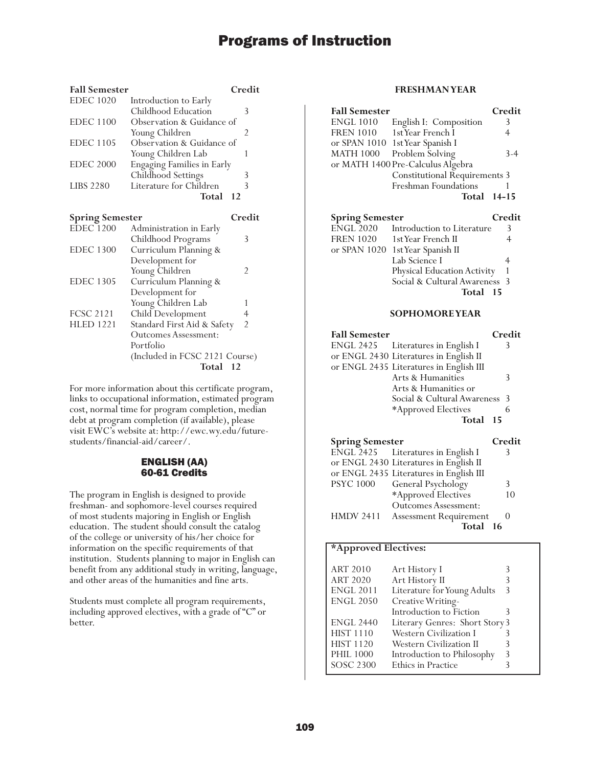| <b>Fall Semester</b>   |                                | Credit         |
|------------------------|--------------------------------|----------------|
| <b>EDEC</b> 1020       | Introduction to Early          |                |
|                        | Childhood Education            | 3              |
| <b>EDEC</b> 1100       | Observation & Guidance of      |                |
|                        | Young Children                 | 2              |
| <b>EDEC 1105</b>       | Observation & Guidance of      |                |
|                        | Young Children Lab             | 1              |
| <b>EDEC 2000</b>       | Engaging Families in Early     |                |
|                        | Childhood Settings             | 3              |
| <b>LIBS 2280</b>       | Literature for Children        | 3              |
|                        | Total                          | 12             |
| <b>Spring Semester</b> |                                | Credit         |
| <b>EDEC 1200</b>       | Administration in Early        |                |
|                        | Childhood Programs             | 3              |
| <b>EDEC 1300</b>       | Curriculum Planning &          |                |
|                        | Development for                |                |
|                        | Young Children                 | 2              |
| <b>EDEC 1305</b>       | Curriculum Planning &          |                |
|                        | Development for                |                |
|                        | Young Children Lab             | 1              |
| <b>FCSC 2121</b>       | Child Development              | 4              |
| <b>HLED 1221</b>       | Standard First Aid & Safety    | $\overline{2}$ |
|                        | Outcomes Assessment:           |                |
|                        | Portfolio                      |                |
|                        | (Included in FCSC 2121 Course) |                |
|                        | Total                          | 12             |

For more information about this certificate program, links to occupational information, estimated program cost, normal time for program completion, median debt at program completion (if available), please visit EWC's website at: http://ewc.wy.edu/futurestudents/financial-aid/career/.

### ENGLISH (AA) 60-61 Credits

The program in English is designed to provide freshman- and sophomore-level courses required of most students majoring in English or English education. The student should consult the catalog of the college or university of his/her choice for information on the specific requirements of that institution. Students planning to major in English can benefit from any additional study in writing, language, and other areas of the humanities and fine arts.

Students must complete all program requirements, including approved electives, with a grade of "C" or better.

### **FRESHMAN YEAR**

| <b>Fall Semester</b><br><b>ENGL 1010</b><br><b>FREN 1010</b><br>or SPAN 1010<br>MATH 1000 | English I: Composition<br>1st Year French I<br>1st Year Spanish I<br>Problem Solving<br>or MATH 1400 Pre-Calculus Algebra<br><b>Constitutional Requirements 3</b><br>Freshman Foundations<br>Total                                 | Credit<br>3<br>4<br>3-4<br>1<br>$14 - 15$ |
|-------------------------------------------------------------------------------------------|------------------------------------------------------------------------------------------------------------------------------------------------------------------------------------------------------------------------------------|-------------------------------------------|
| <b>Spring Semester</b><br>ENGL 2020<br><b>FREN 1020</b><br>or SPAN 1020                   | Introduction to Literature<br>1stYear French II<br>1st Year Spanish II<br>Lab Science I<br>Physical Education Activity<br>Social & Cultural Awareness<br>Total<br>15                                                               | Credit<br>3<br>4<br>4<br>1<br>3           |
|                                                                                           | <b>SOPHOMOREYEAR</b>                                                                                                                                                                                                               |                                           |
| <b>Fall Semester</b><br>ENGL 2425                                                         | Literatures in English I<br>or ENGL 2430 Literatures in English II<br>or ENGL 2435 Literatures in English III<br>Arts & Humanities<br>Arts & Humanities or<br>Social & Cultural Awareness<br>*Approved Electives<br>Total<br>15    | Credit<br>3<br>3<br>3<br>6                |
| <b>Spring Semester</b><br><b>ENGL 2425</b><br><b>PSYC 1000</b><br><b>HMDV 2411</b>        | Literatures in English I<br>or ENGL 2430 Literatures in English II<br>or ENGL 2435 Literatures in English III<br>General Psychology<br>*Approved Electives<br><b>Outcomes Assessment:</b><br>Assessment Requirement<br>Total<br>16 | Credit<br>3<br>3<br>10<br>0               |

### **\*Approved Electives:**

| <b>ART 2010</b>  | Art History I                  |   |
|------------------|--------------------------------|---|
| <b>ART 2020</b>  | Art History II                 |   |
| <b>ENGL 2011</b> | Literature for Young Adults    | 3 |
| <b>ENGL 2050</b> | Creative Writing-              |   |
|                  | Introduction to Fiction        | 3 |
| <b>ENGL 2440</b> | Literary Genres: Short Story 3 |   |
| <b>HIST 1110</b> | Western Civilization I         |   |
| <b>HIST 1120</b> | Western Civilization II        |   |
| <b>PHIL 1000</b> | Introduction to Philosophy     | 3 |
| SOSC 2300        | Ethics in Practice             |   |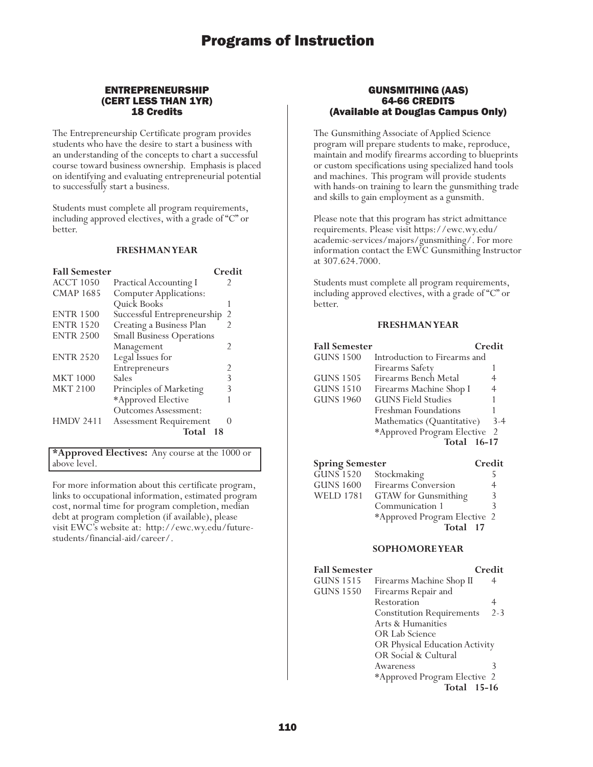### ENTREPRENEURSHIP (CERT LESS THAN 1YR) 18 Credits

The Entrepreneurship Certificate program provides students who have the desire to start a business with an understanding of the concepts to chart a successful course toward business ownership. Emphasis is placed on identifying and evaluating entrepreneurial potential to successfully start a business.

Students must complete all program requirements, including approved electives, with a grade of "C" or better.

#### **FRESHMAN YEAR**

| <b>Fall Semester</b> |                                  | Credit         |
|----------------------|----------------------------------|----------------|
| <b>ACCT 1050</b>     | <b>Practical Accounting I</b>    |                |
| <b>CMAP 1685</b>     | <b>Computer Applications:</b>    |                |
|                      | Quick Books                      |                |
| <b>ENTR 1500</b>     | Successful Entrepreneurship      | 2              |
| <b>ENTR 1520</b>     | Creating a Business Plan         | $\mathfrak{D}$ |
| <b>ENTR 2500</b>     | <b>Small Business Operations</b> |                |
|                      | Management                       | 2              |
| <b>ENTR 2520</b>     | Legal Issues for                 |                |
|                      | Entrepreneurs                    | 2              |
| <b>MKT 1000</b>      | Sales                            | 3              |
| <b>MKT 2100</b>      | Principles of Marketing          | 3              |
|                      | *Approved Elective               |                |
|                      | Outcomes Assessment:             |                |
| <b>HMDV 2411</b>     | <b>Assessment Requirement</b>    |                |
|                      | Total                            | -18            |

**\*Approved Electives:** Any course at the 1000 or above level.

For more information about this certificate program, links to occupational information, estimated program cost, normal time for program completion, median debt at program completion (if available), please visit EWC's website at: http://ewc.wy.edu/futurestudents/financial-aid/career/.

### GUNSMITHING (AAS) 64-66 CREDITS (Available at Douglas Campus Only)

The Gunsmithing Associate of Applied Science program will prepare students to make, reproduce, maintain and modify firearms according to blueprints or custom specifications using specialized hand tools and machines. This program will provide students with hands-on training to learn the gunsmithing trade and skills to gain employment as a gunsmith.

Please note that this program has strict admittance requirements. Please visit https://ewc.wy.edu/ academic-services/majors/gunsmithing/. For more information contact the EWC Gunsmithing Instructor at 307.624.7000.

Students must complete all program requirements, including approved electives, with a grade of "C" or better.

### **FRESHMAN YEAR**

| <b>Fall Semester</b> |                              | Credit |
|----------------------|------------------------------|--------|
| <b>GUNS 1500</b>     | Introduction to Firearms and |        |
|                      | Firearms Safety              |        |
| GUNS 1505            | Firearms Bench Metal         | 4      |
| <b>GUNS 1510</b>     | Firearms Machine Shop I      | 4      |
| <b>GUNS 1960</b>     | <b>GUNS Field Studies</b>    |        |
|                      | Freshman Foundations         |        |
|                      | Mathematics (Quantitative)   | $3-4$  |
|                      | *Approved Program Elective   | -2     |
|                      | Total 16-17                  |        |
|                      |                              |        |

| <b>Spring Semester</b> |                              | Credit |
|------------------------|------------------------------|--------|
| $GUNS$ 1520            | Stockmaking                  |        |
| <b>GUNS 1600</b>       | Firearms Conversion          |        |
| <b>WELD 1781</b>       | GTAW for Gunsmithing         | 3      |
|                        | Communication 1              |        |
|                        | *Approved Program Elective 2 |        |
|                        | Total 17                     |        |

#### **SOPHOMORE YEAR**

| <b>Fall Semester</b>                         | Credit                                      |
|----------------------------------------------|---------------------------------------------|
| <b>GUNS 1515</b><br>Firearms Machine Shop II | 4                                           |
| <b>GUNS 1550</b><br>Firearms Repair and      |                                             |
| Restoration                                  |                                             |
|                                              | $2 - 3$<br><b>Constitution Requirements</b> |
| Arts & Humanities                            |                                             |
| OR Lab Science                               |                                             |
|                                              | OR Physical Education Activity              |
| OR Social & Cultural                         |                                             |
| Awareness                                    |                                             |
|                                              | *Approved Program Elective 2                |
|                                              | <b>Total 15-16</b>                          |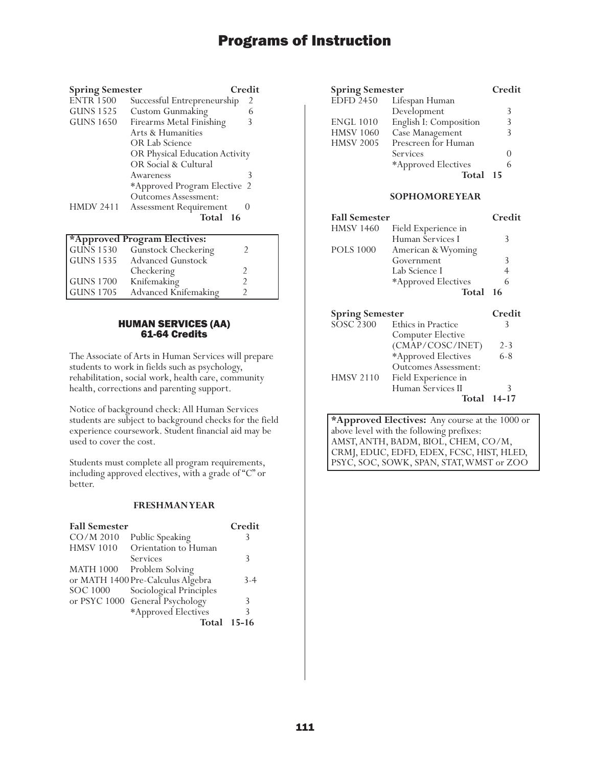| <b>Spring Semester</b> |                                | Credit |
|------------------------|--------------------------------|--------|
| <b>ENTR 1500</b>       | Successful Entrepreneurship    | 2      |
| <b>GUNS 1525</b>       | <b>Custom Gunmaking</b>        |        |
| <b>GUNS 1650</b>       | Firearms Metal Finishing       |        |
|                        | Arts & Humanities              |        |
|                        | OR Lab Science                 |        |
|                        | OR Physical Education Activity |        |
|                        | OR Social & Cultural           |        |
|                        | Awareness                      | 3      |
|                        | *Approved Program Elective 2   |        |
|                        | <b>Outcomes Assessment:</b>    |        |
| <b>HMDV 2411</b>       | <b>Assessment Requirement</b>  |        |
|                        | Total 16                       |        |

|                  | *Approved Program Electives: |  |
|------------------|------------------------------|--|
| GUNS $1530$      | Gunstock Checkering          |  |
| GUNS 1535        | <b>Advanced Gunstock</b>     |  |
|                  | Checkering                   |  |
| GUNS 1700        | Knifemaking                  |  |
| <b>GUNS 1705</b> | <b>Advanced Knifemaking</b>  |  |

### HUMAN SERVICES (AA) 61-64 Credits

The Associate of Arts in Human Services will prepare students to work in fields such as psychology, rehabilitation, social work, health care, community health, corrections and parenting support.

Notice of background check: All Human Services students are subject to background checks for the field experience coursework. Student financial aid may be used to cover the cost.

Students must complete all program requirements, including approved electives, with a grade of "C" or better.

### **FRESHMAN YEAR**

| <b>Fall Semester</b> |                                   | Credit  |
|----------------------|-----------------------------------|---------|
| $CO/M$ 2010          | Public Speaking                   |         |
| <b>HMSV 1010</b>     | Orientation to Human              |         |
|                      | Services                          | 3       |
| <b>MATH 1000</b>     | Problem Solving                   |         |
|                      | or MATH 1400 Pre-Calculus Algebra | $3 - 4$ |
| <b>SOC 1000</b>      | Sociological Principles           |         |
|                      | or PSYC 1000 General Psychology   | 3       |
|                      | *Approved Electives               |         |
|                      | Total                             | $15-16$ |

| <b>Spring Semester</b> |                        | Credit           |
|------------------------|------------------------|------------------|
| $E\overline{DFD}$ 2450 | Lifespan Human         |                  |
|                        | Development            | 3                |
| <b>ENGL 1010</b>       | English I: Composition | 3                |
| <b>HMSV 1060</b>       | Case Management        |                  |
| <b>HMSV 2005</b>       | Prescreen for Human    |                  |
|                        | Services               | $\left( \right)$ |
|                        | *Approved Electives    | 6                |
|                        | Total                  | 15               |

### **SOPHOMORE YEAR**

| <b>Fall Semester</b>                      |                     | Credit      |
|-------------------------------------------|---------------------|-------------|
| <b>HMSV 1460</b>                          | Field Experience in |             |
|                                           | Human Services I    | 3           |
| <b>POLS 1000</b>                          | American & Wyoming  |             |
|                                           | Government          | 3           |
|                                           | Lab Science I       | 4           |
|                                           | *Approved Electives | 6           |
|                                           | Total 16            |             |
| <b>Spring Semester</b><br>$0000000$ $E_1$ |                     | Credit<br>◠ |

| $SOSC$ <sub>2300</sub> | Ethics in Practice          |           |
|------------------------|-----------------------------|-----------|
|                        | <b>Computer Elective</b>    |           |
|                        | (CMAP/COSC/INET)            | $2 - 3$   |
|                        | *Approved Electives         | $6 - 8$   |
|                        | <b>Outcomes Assessment:</b> |           |
| <b>HMSV 2110</b>       | Field Experience in         |           |
|                        | Human Services II           |           |
|                        | Total                       | $14 - 17$ |

**\*Approved Electives:** Any course at the 1000 or above level with the following prefixes: AMST, ANTH, BADM, BIOL, CHEM, CO/M, CRMJ, EDUC, EDFD, EDEX, FCSC, HIST, HLED, PSYC, SOC, SOWK, SPAN, STAT, WMST or ZOO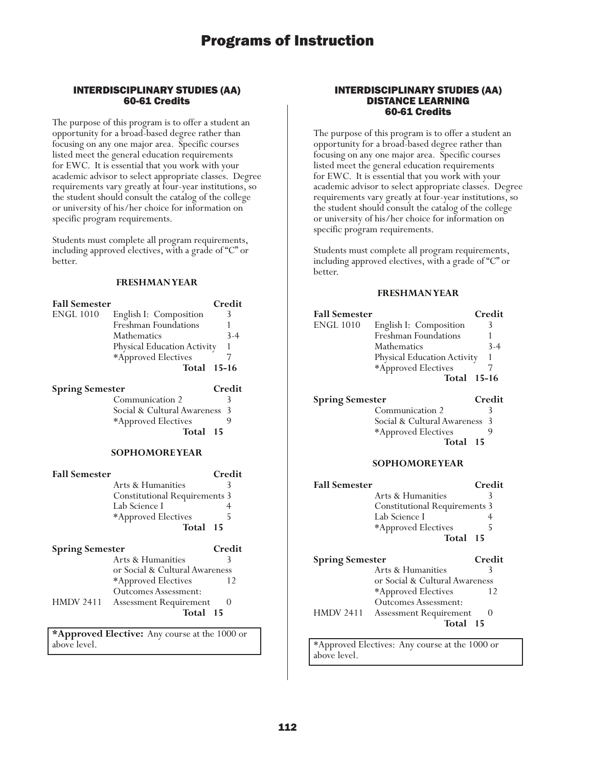### INTERDISCIPLINARY STUDIES (AA) 60-61 Credits

The purpose of this program is to offer a student an opportunity for a broad-based degree rather than focusing on any one major area. Specific courses listed meet the general education requirements for EWC. It is essential that you work with your academic advisor to select appropriate classes. Degree requirements vary greatly at four-year institutions, so the student should consult the catalog of the college or university of his/her choice for information on specific program requirements.

Students must complete all program requirements, including approved electives, with a grade of "C" or better.

### **FRESHMAN YEAR**

| <b>Fall Semester</b><br><b>ENGL 1010</b> | English I: Composition<br><b>Freshman Foundations</b><br><b>Mathematics</b><br>Physical Education Activity<br>*Approved Electives<br>Total 15-16 | Credit<br>3<br>1<br>$3 - 4$<br>$\mathbf{1}$<br>7 |
|------------------------------------------|--------------------------------------------------------------------------------------------------------------------------------------------------|--------------------------------------------------|
| <b>Spring Semester</b>                   |                                                                                                                                                  | Credit                                           |
|                                          | Communication 2                                                                                                                                  | 3                                                |
|                                          | Social & Cultural Awareness                                                                                                                      | 3                                                |
|                                          | *Approved Electives                                                                                                                              | 9                                                |
|                                          | Total                                                                                                                                            | 15                                               |
| <b>SOPHOMOREYEAR</b>                     |                                                                                                                                                  |                                                  |
| <b>Fall Semester</b>                     |                                                                                                                                                  | Credit                                           |
|                                          | Arts & Humanities                                                                                                                                | 3                                                |
|                                          | <b>Constitutional Requirements 3</b>                                                                                                             |                                                  |
|                                          | Lab Science I                                                                                                                                    | 4                                                |
|                                          | *Approved Electives                                                                                                                              | 5                                                |
|                                          | Total                                                                                                                                            | 15                                               |
|                                          |                                                                                                                                                  |                                                  |
| <b>Spring Semester</b>                   |                                                                                                                                                  | Credit                                           |
|                                          | Arts & Humanities                                                                                                                                | 3                                                |
|                                          | or Social & Cultural Awareness                                                                                                                   |                                                  |
|                                          | *Approved Electives                                                                                                                              | 12                                               |
|                                          | <b>Outcomes Assessment:</b>                                                                                                                      |                                                  |
| HMDV 2411                                | <b>Assessment Requirement</b>                                                                                                                    | $\theta$                                         |
|                                          | Total                                                                                                                                            | 15                                               |
|                                          | *Approved Elective: Any course at the 1000 or                                                                                                    |                                                  |
| above level.                             |                                                                                                                                                  |                                                  |

INTERDISCIPLINARY STUDIES (AA) DISTANCE LEARNING 60-61 Credits

The purpose of this program is to offer a student an opportunity for a broad-based degree rather than focusing on any one major area. Specific courses listed meet the general education requirements for EWC. It is essential that you work with your academic advisor to select appropriate classes. Degree requirements vary greatly at four-year institutions, so the student should consult the catalog of the college or university of his/her choice for information on specific program requirements.

Students must complete all program requirements, including approved electives, with a grade of "C" or better.

### **FRESHMAN YEAR**

| <b>Fall Semester</b>   |                             | Credit  |
|------------------------|-----------------------------|---------|
| <b>ENGL 1010</b>       | English I: Composition      | 3       |
|                        | Freshman Foundations        |         |
|                        | Mathematics                 | $3 - 4$ |
|                        | Physical Education Activity | 1       |
|                        | *Approved Electives         |         |
|                        | <b>Total 15-16</b>          |         |
| <b>Spring Semester</b> |                             | Credit  |

Communication 2 3 Social & Cultural Awareness 3 \*Approved Electives 9 **Total <sup>15</sup>**

### **SOPHOMORE YEAR**

| <b>Fall Semester</b>   |                                      | Credit       |
|------------------------|--------------------------------------|--------------|
|                        | Arts & Humanities                    | 3            |
|                        | <b>Constitutional Requirements 3</b> |              |
|                        | Lab Science I                        |              |
|                        | *Approved Electives                  | 5            |
|                        | Total 15                             |              |
| <b>Spring Semester</b> |                                      | Credit       |
|                        | Arts & Humanities                    | 3            |
|                        | or Social & Cultural Awareness       |              |
|                        | *Approved Electives                  | 12           |
|                        | <b>Outcomes Assessment:</b>          |              |
| <b>HMDV 2411</b>       | <b>Assessment Requirement</b>        | $\mathbf{0}$ |
|                        | Total 15                             |              |

\*Approved Electives: Any course at the 1000 or above level.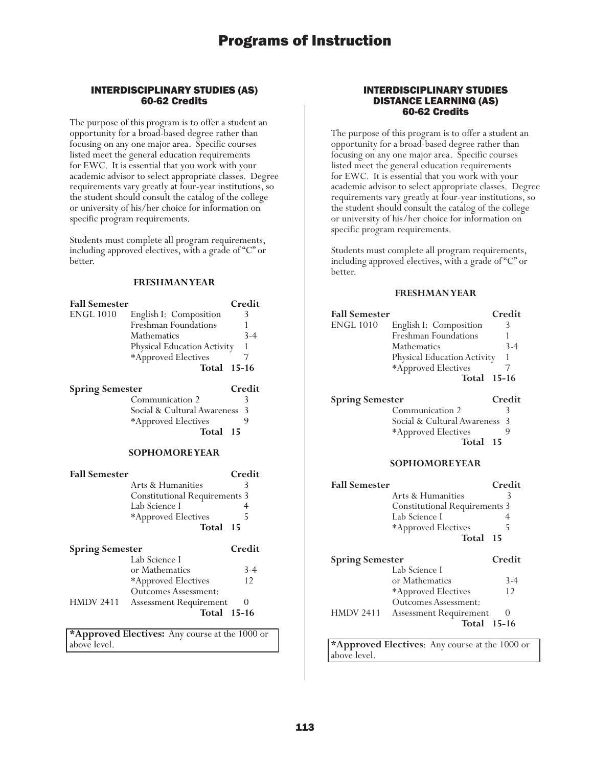### INTERDISCIPLINARY STUDIES (AS) 60-62 Credits

The purpose of this program is to offer a student an opportunity for a broad-based degree rather than focusing on any one major area. Specific courses listed meet the general education requirements for EWC. It is essential that you work with your academic advisor to select appropriate classes. Degree requirements vary greatly at four-year institutions, so the student should consult the catalog of the college or university of his/her choice for information on specific program requirements.

Students must complete all program requirements, including approved electives, with a grade of "C" or better.

### **FRESHMAN YEAR**

| <b>Fall Semester</b>   |                             | Credit  |
|------------------------|-----------------------------|---------|
| <b>ENGL 1010</b>       | English I: Composition      | 3       |
|                        | Freshman Foundations        |         |
|                        | <b>Mathematics</b>          | $3-4$   |
|                        | Physical Education Activity | 1       |
|                        | *Approved Electives         |         |
|                        | Total                       | - 15–16 |
| <b>Spring Semester</b> |                             | Credit  |
|                        | Communication 2             | 3       |
|                        | Social & Cultural Awareness | 3       |
|                        | *Approved Electives         | 9       |
|                        | Total                       | 15      |

### **SOPHOMORE YEAR**

| <b>Fall Semester</b>   |                                      | Credit   |
|------------------------|--------------------------------------|----------|
|                        | Arts & Humanities                    | 3        |
|                        | <b>Constitutional Requirements 3</b> |          |
|                        | Lab Science I                        |          |
|                        | *Approved Electives                  | 5        |
|                        | Total                                | -15      |
| <b>Spring Semester</b> |                                      | Credit   |
|                        | Lab Science I                        |          |
|                        | or Mathematics                       | $3-4$    |
|                        | *Approved Electives                  | 12       |
|                        | <b>Outcomes Assessment:</b>          |          |
| <b>HMDV 2411</b>       | <b>Assessment Requirement</b>        | $\theta$ |
|                        | Total 15-16                          |          |
|                        |                                      |          |

**\*Approved Electives:** Any course at the 1000 or above level.

### INTERDISCIPLINARY STUDIES DISTANCE LEARNING (AS) 60-62 Credits

The purpose of this program is to offer a student an opportunity for a broad-based degree rather than focusing on any one major area. Specific courses listed meet the general education requirements for EWC. It is essential that you work with your academic advisor to select appropriate classes. Degree requirements vary greatly at four-year institutions, so the student should consult the catalog of the college or university of his/her choice for information on specific program requirements.

Students must complete all program requirements, including approved electives, with a grade of "C" or better.

#### **FRESHMAN YEAR**

| <b>Fall Semester</b>   |                                      | Credit |
|------------------------|--------------------------------------|--------|
| <b>ENGL 1010</b>       | English I: Composition               | 3      |
|                        | Freshman Foundations                 | 1      |
|                        | Mathematics                          | $3-4$  |
|                        | Physical Education Activity          | 1      |
|                        |                                      |        |
|                        | *Approved Electives                  | 7      |
|                        | Total 15-16                          |        |
|                        |                                      |        |
| <b>Spring Semester</b> |                                      | Credit |
|                        | Communication 2                      | 3      |
|                        | Social & Cultural Awareness          | 3      |
|                        | *Approved Electives                  | 9      |
|                        | Total                                | 15     |
|                        | <b>SOPHOMOREYEAR</b>                 |        |
| <b>Fall Semester</b>   |                                      | Credit |
|                        | Arts & Humanities                    | 3      |
|                        | <b>Constitutional Requirements 3</b> |        |
|                        | Lab Science I                        | 4      |
|                        |                                      |        |
|                        | *Approved Electives                  | 5      |
|                        | Total                                | 15     |
| <b>Spring Semester</b> |                                      | Credit |

Lab Science I

\*Approved Electives Outcomes Assessment: HMDV 2411 Assessment Requirement 0

**\*Approved Electives**: Any course at the 1000 or

or Mathematics 3-4<br>\*Approved Electives 12

**Total 15-16**

above level.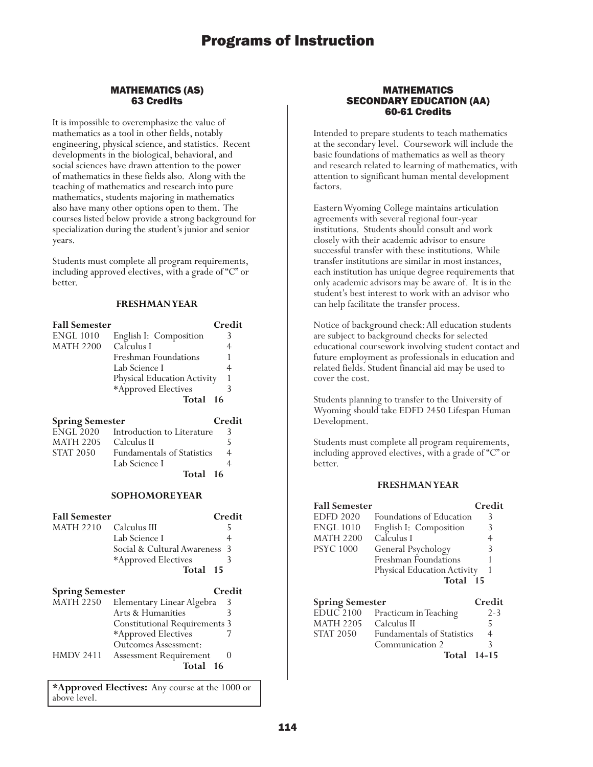### MATHEMATICS (AS) 63 Credits

It is impossible to overemphasize the value of mathematics as a tool in other fields, notably engineering, physical science, and statistics. Recent developments in the biological, behavioral, and social sciences have drawn attention to the power of mathematics in these fields also. Along with the teaching of mathematics and research into pure mathematics, students majoring in mathematics also have many other options open to them. The courses listed below provide a strong background for specialization during the student's junior and senior years.

Students must complete all program requirements, including approved electives, with a grade of "C" or better.

### **FRESHMAN YEAR**

| <b>Fall Semester</b>    |                                      | Credit         |
|-------------------------|--------------------------------------|----------------|
| ENGL 1010               | English I: Composition               | 3              |
| MATH 2200               | Calculus I                           | $\overline{4}$ |
|                         | Freshman Foundations                 | 1              |
|                         | Lab Science I                        | $\overline{4}$ |
|                         | Physical Education Activity          | 1              |
|                         | *Approved Electives                  | 3              |
|                         | Total                                | - 16           |
| Spring Semester         |                                      | Credit         |
|                         | ENGL 2020 Introduction to Literature | 3              |
| MATH 2205 - Calculus II |                                      | 5              |
| STAT 2050               | <b>Fundamentals of Statistics</b>    | $\overline{4}$ |
|                         | Lab Science I                        | $\overline{4}$ |
|                         | Total                                | - 16           |
|                         | <b>SOPHOMOREYEAR</b>                 |                |
|                         |                                      |                |
| <b>Fall Semester</b>    |                                      | Credit         |
| <b>MATH 2210</b>        | Calculus III                         | 5              |
|                         | Lab Science I                        | $\overline{4}$ |
|                         | Social & Cultural Awareness          | 3              |
|                         | *Approved Electives                  | 3              |
|                         | Total                                | 15             |
| <b>Spring Semester</b>  |                                      | Credit         |
| MATH 2250               | Elementary Linear Algebra            | 3              |
|                         | Arts & Humanities                    | 3              |
|                         | <b>Constitutional Requirements 3</b> |                |
|                         | *Approved Electives                  | 7              |
|                         |                                      |                |

Outcomes Assessment: HMDV 2411 Assessment Requirement 0 **Total <sup>16</sup>**

**\*Approved Electives:** Any course at the 1000 or above level.

### MATHEMATICS SECONDARY EDUCATION (AA) 60-61 Credits

Intended to prepare students to teach mathematics at the secondary level. Coursework will include the basic foundations of mathematics as well as theory and research related to learning of mathematics, with attention to significant human mental development factors.

Eastern Wyoming College maintains articulation agreements with several regional four-year institutions. Students should consult and work closely with their academic advisor to ensure successful transfer with these institutions. While transfer institutions are similar in most instances, each institution has unique degree requirements that only academic advisors may be aware of. It is in the student's best interest to work with an advisor who can help facilitate the transfer process.

Notice of background check: All education students are subject to background checks for selected educational coursework involving student contact and future employment as professionals in education and related fields. Student financial aid may be used to cover the cost.

Students planning to transfer to the University of Wyoming should take EDFD 2450 Lifespan Human Development.

Students must complete all program requirements, including approved electives, with a grade of "C" or better.

| <b>Fall Semester</b>   |                             | Credit |
|------------------------|-----------------------------|--------|
| <b>EDFD 2020</b>       | Foundations of Education    | 3      |
| <b>ENGL 1010</b>       | English I: Composition      | 3      |
| <b>MATH 2200</b>       | Calculus I                  | 4      |
| <b>PSYC 1000</b>       | General Psychology          | 3      |
|                        | Freshman Foundations        |        |
|                        | Physical Education Activity |        |
|                        | Total 15                    |        |
| <b>Spring Semester</b> |                             | Credit |

| $EDUC$ 2100      | Practicum in Teaching             | $2 - 3$ |
|------------------|-----------------------------------|---------|
| <b>MATH 2205</b> | Calculus II                       |         |
| <b>STAT 2050</b> | <b>Fundamentals of Statistics</b> | 4       |
|                  | Communication 2                   | 3       |
|                  | Total 14-15                       |         |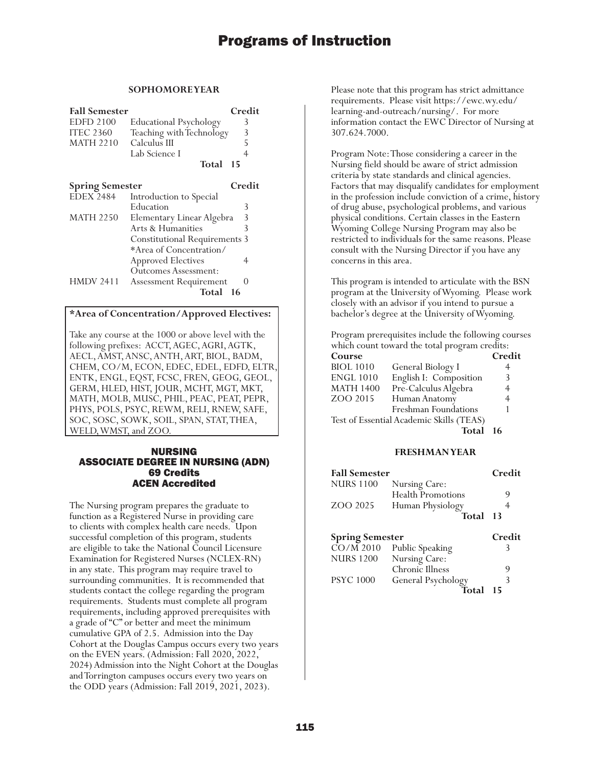### **SOPHOMORE YEAR**

| <b>Fall Semester</b> |                               | Credit |
|----------------------|-------------------------------|--------|
| <b>EDFD 2100</b>     | <b>Educational Psychology</b> |        |
| <b>ITEC 2360</b>     | Teaching with Technology      | 3      |
| <b>MATH 2210</b>     | Calculus III                  |        |
|                      | Lab Science I                 |        |
|                      | Total 15                      |        |
|                      |                               |        |

|                               | Credit                                                                                      |
|-------------------------------|---------------------------------------------------------------------------------------------|
| Introduction to Special       |                                                                                             |
| Education                     | 3                                                                                           |
| Elementary Linear Algebra     | 3                                                                                           |
| Arts & Humanities             | 3                                                                                           |
|                               |                                                                                             |
| *Area of Concentration/       |                                                                                             |
|                               |                                                                                             |
| <b>Outcomes Assessment:</b>   |                                                                                             |
| <b>Assessment Requirement</b> |                                                                                             |
| Total<br>16                   |                                                                                             |
|                               | <b>Spring Semester</b><br><b>Constitutional Requirements 3</b><br><b>Approved Electives</b> |

### **\*Area of Concentration/Approved Electives:**

Take any course at the 1000 or above level with the following prefixes: ACCT, AGEC, AGRI, AGTK, AECL, AMST, ANSC, ANTH, ART, BIOL, BADM, CHEM, CO/M, ECON, EDEC, EDEL, EDFD, ELTR, ENTK, ENGL, EQST, FCSC, FREN, GEOG, GEOL, GERM, HLED, HIST, JOUR, MCHT, MGT, MKT, MATH, MOLB, MUSC, PHIL, PEAC, PEAT, PEPR, PHYS, POLS, PSYC, REWM, RELI, RNEW, SAFE, SOC, SOSC, SOWK, SOIL, SPAN, STAT, THEA, WELD, WMST, and ZOO.

### NURSING ASSOCIATE DEGREE IN NURSING (ADN) 69 Credits ACEN Accredited

The Nursing program prepares the graduate to function as a Registered Nurse in providing care to clients with complex health care needs. Upon successful completion of this program, students are eligible to take the National Council Licensure Examination for Registered Nurses (NCLEX-RN) in any state. This program may require travel to surrounding communities. It is recommended that students contact the college regarding the program requirements. Students must complete all program requirements, including approved prerequisites with a grade of "C" or better and meet the minimum cumulative GPA of 2.5. Admission into the Day Cohort at the Douglas Campus occurs every two years on the EVEN years. (Admission: Fall 2020, 2022, 2024) Admission into the Night Cohort at the Douglas and Torrington campuses occurs every two years on the ODD years (Admission: Fall 2019, 2021, 2023).

Please note that this program has strict admittance requirements. Please visit https://ewc.wy.edu/ learning-and-outreach/nursing/. For more information contact the EWC Director of Nursing at 307.624.7000.

Program Note: Those considering a career in the Nursing field should be aware of strict admission criteria by state standards and clinical agencies. Factors that may disqualify candidates for employment in the profession include conviction of a crime, history of drug abuse, psychological problems, and various physical conditions. Certain classes in the Eastern Wyoming College Nursing Program may also be restricted to individuals for the same reasons. Please consult with the Nursing Director if you have any concerns in this area.

This program is intended to articulate with the BSN program at the University of Wyoming. Please work closely with an advisor if you intend to pursue a bachelor's degree at the University of Wyoming.

Program prerequisites include the following courses which count toward the total program credits:

| Course           |                                          | Credit |
|------------------|------------------------------------------|--------|
| <b>BIOL 1010</b> | General Biology I                        | 4      |
| <b>ENGL 1010</b> | English I: Composition                   | 3      |
| <b>MATH 1400</b> | Pre-Calculus Algebra                     | 4      |
| ZOO 2015         | Human Anatomy                            | 4      |
|                  | Freshman Foundations                     |        |
|                  | Test of Essential Academic Skills (TEAS) |        |
|                  | Total                                    | -16    |

| <b>Fall Semester</b>   |                                        | Credit |
|------------------------|----------------------------------------|--------|
| <b>NURS 1100</b>       | Nursing Care:                          |        |
|                        | <b>Health Promotions</b>               | 9      |
| ZOO 2025               | Human Physiology                       |        |
|                        | Total                                  | -13    |
| <b>Spring Semester</b> |                                        | Credit |
|                        | $\overline{CO/M}$ 2010 Public Speaking |        |
| MITID C 1900           | $N_{\text{reco}} = C_{\text{reco}}$    |        |

| <b>NURS 1200</b> | Nursing Care:      |  |
|------------------|--------------------|--|
|                  | Chronic Illness    |  |
| <b>PSYC</b> 1000 | General Psychology |  |
|                  | Total 15           |  |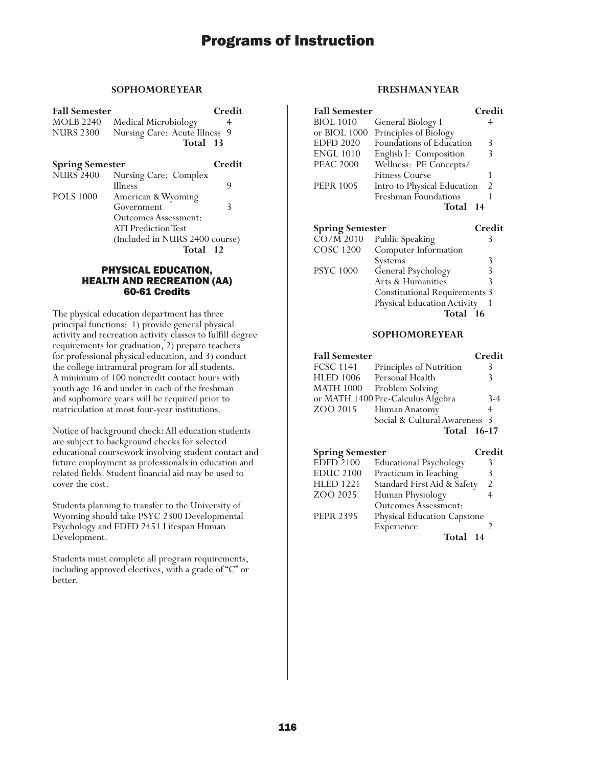### **SOPHOMORE YEAR**

| <b>Fall Semester</b> |                               | Credit |
|----------------------|-------------------------------|--------|
| <b>MOLB 2240</b>     | Medical Microbiology          |        |
| <b>NURS 2300</b>     | Nursing Care: Acute Illness 9 |        |
|                      | Total 13                      |        |

**Spring Semester Credit**<br>NURS 2400 Nursing Care: Complex Nursing Care: Complex Illness<sup>9</sup> 9 POLS 1000 American & Wyoming Government 3 Outcomes Assessment: ATI Prediction Test (Included in NURS 2400 course) **Total 12**

### PHYSICAL EDUCATION, HEALTH AND RECREATION (AA) 60-61 Credits

The physical education department has three principal functions: 1) provide general physical activity and recreation activity classes to fulfill degree requirements for graduation, 2) prepare teachers for professional physical education, and 3) conduct the college intramural program for all students. A minimum of 100 noncredit contact hours with youth age 16 and under in each of the freshman and sophomore years will be required prior to matriculation at most four-year institutions.

Notice of background check: All education students are subject to background checks for selected educational coursework involving student contact and future employment as professionals in education and related fields. Student financial aid may be used to cover the cost.

Students planning to transfer to the University of Wyoming should take PSYC 2300 Developmental Psychology and EDFD 2451 Lifespan Human Development.

Students must complete all program requirements, including approved electives, with a grade of "C" or better.

### **FRESHMAN YEAR**

| <b>Fall Semester</b> |                             | Credit         |
|----------------------|-----------------------------|----------------|
| <b>BIOL 1010</b>     | General Biology I           | 4              |
| or BIOL 1000         | Principles of Biology       |                |
| <b>EDFD 2020</b>     | Foundations of Education    | 3              |
| <b>ENGL 1010</b>     | English I: Composition      | 3              |
| <b>PEAC 2000</b>     | Wellness: PE Concepts/      |                |
|                      | <b>Fitness Course</b>       |                |
| <b>PEPR 1005</b>     | Intro to Physical Education | $\mathfrak{D}$ |
|                      | Freshman Foundations        |                |
|                      | Total                       | 14             |

| <b>Spring Semester</b> |                                      | Credit |
|------------------------|--------------------------------------|--------|
| $\overline{CO/M}$ 2010 | Public Speaking                      |        |
| <b>COSC 1200</b>       | Computer Information                 |        |
|                        | Systems                              | 3      |
| <b>PSYC 1000</b>       | General Psychology                   | 3      |
|                        | Arts & Humanities                    | 3      |
|                        | <b>Constitutional Requirements 3</b> |        |
|                        | Physical Education Activity          |        |
|                        | Total 16                             |        |

### **SOPHOMORE YEAR**

| <b>Fall Semester</b> |                                   | Credit |
|----------------------|-----------------------------------|--------|
| <b>FCSC 1141</b>     | Principles of Nutrition           | 3      |
|                      | HLED 1006 Personal Health         | 3      |
| <b>MATH 1000</b>     | Problem Solving                   |        |
|                      | or MATH 1400 Pre-Calculus Algebra | $3-4$  |
| ZOO 2015             | Human Anatomy                     | 4      |
|                      | Social & Cultural Awareness 3     |        |
|                      | Total 16-17                       |        |

| <b>Spring Semester</b> |                                    | Credit         |
|------------------------|------------------------------------|----------------|
| <b>EDFD 2100</b>       | <b>Educational Psychology</b>      |                |
| <b>EDUC 2100</b>       | Practicum in Teaching              | 3              |
| <b>HLED 1221</b>       | Standard First Aid & Safety        | $\mathfrak{D}$ |
| ZOO 2025               | Human Physiology                   |                |
|                        | <b>Outcomes Assessment:</b>        |                |
| <b>PEPR 2395</b>       | <b>Physical Education Capstone</b> |                |
|                        | Experience                         |                |
|                        | Total                              | 14             |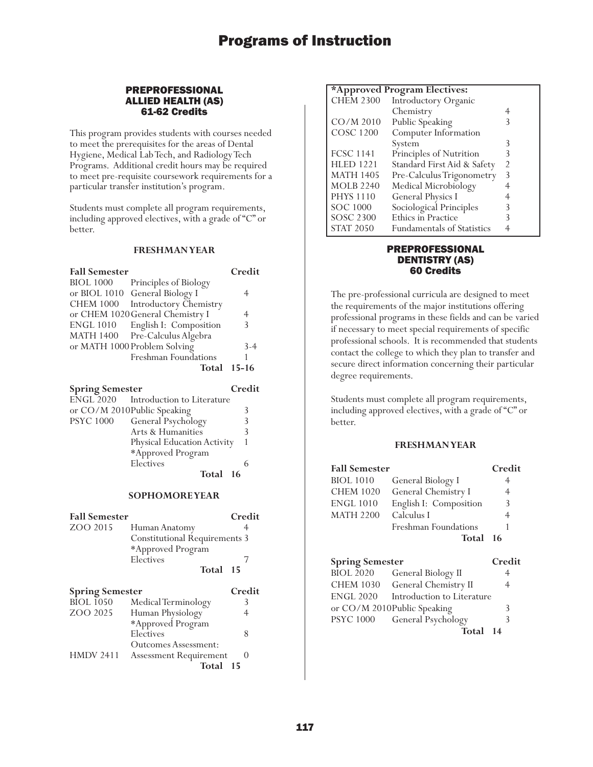### PREPROFESSIONAL ALLIED HEALTH (AS) 61-62 Credits

This program provides students with courses needed to meet the prerequisites for the areas of Dental Hygiene, Medical Lab Tech, and Radiology Tech Programs. Additional credit hours may be required to meet pre-requisite coursework requirements for a particular transfer institution's program.

Students must complete all program requirements, including approved electives, with a grade of "C" or better.

### **FRESHMAN YEAR**

| <b>Fall Semester</b> |                                  | Credit |
|----------------------|----------------------------------|--------|
| <b>BIOL 1000</b>     | Principles of Biology            |        |
|                      | or BIOL 1010 General Biology I   | 4      |
| <b>CHEM 1000</b>     | Introductory Chemistry           |        |
|                      | or CHEM 1020 General Chemistry I | 4      |
| <b>ENGL 1010</b>     | English I: Composition           | 3      |
|                      | MATH 1400 Pre-Calculus Algebra   |        |
|                      | or MATH 1000 Problem Solving     | $3-4$  |
|                      | Freshman Foundations             |        |
|                      | <b>Total 15-16</b>               |        |
|                      |                                  |        |

| Credit   |
|----------|
|          |
|          |
| 3        |
| 3        |
|          |
|          |
| h        |
| Total 16 |
|          |

### **SOPHOMORE YEAR**

| <b>Fall Semester</b>   |                                      | Credit           |
|------------------------|--------------------------------------|------------------|
| ZOO 2015               | Human Anatomy                        | 4                |
|                        | <b>Constitutional Requirements 3</b> |                  |
|                        | *Approved Program                    |                  |
|                        | Electives                            |                  |
|                        | Total 15                             |                  |
| <b>Spring Semester</b> |                                      | Credit           |
| <b>BIOL 1050</b>       | Medical Terminology                  | 3                |
| ZOO 2025               | Human Physiology                     | 4                |
|                        | *Approved Program                    |                  |
|                        | Electives                            | 8                |
|                        | Outcomes Assessment:                 |                  |
| <b>HMDV 2411</b>       | <b>Assessment Requirement</b>        | $\left( \right)$ |
|                        | Total                                | -15              |

### **\*Approved Program Electives:**

| .<br><b>CHEM 2300</b> | Introductory Organic              |   |
|-----------------------|-----------------------------------|---|
|                       | Chemistry                         |   |
| $CO/M$ 2010           | Public Speaking                   | 3 |
| <b>COSC 1200</b>      | Computer Information              |   |
|                       | System                            | 3 |
| <b>FCSC 1141</b>      | Principles of Nutrition           | 3 |
| <b>HLED 1221</b>      | Standard First Aid & Safety       | 2 |
| <b>MATH 1405</b>      | Pre-Calculus Trigonometry         | 3 |
| <b>MOLB 2240</b>      | Medical Microbiology              | 4 |
| <b>PHYS 1110</b>      | <b>General Physics I</b>          |   |
| <b>SOC 1000</b>       | Sociological Principles           | 3 |
| SOSC 2300             | Ethics in Practice                | 3 |
| <b>STAT 2050</b>      | <b>Fundamentals of Statistics</b> |   |

### PREPROFESSIONAL DENTISTRY (AS) 60 Credits

The pre-professional curricula are designed to meet the requirements of the major institutions offering professional programs in these fields and can be varied if necessary to meet special requirements of specific professional schools. It is recommended that students contact the college to which they plan to transfer and secure direct information concerning their particular degree requirements.

Students must complete all program requirements, including approved electives, with a grade of "C" or better.

### **FRESHMAN YEAR**

| <b>Fall Semester</b>   |                             | Credit |
|------------------------|-----------------------------|--------|
| <b>BIOL</b> 1010       | General Biology I           | 4      |
| <b>CHEM 1020</b>       | General Chemistry I         | 4      |
| <b>ENGL 1010</b>       | English I: Composition      | 3      |
| <b>MATH 2200</b>       | Calculus I                  | 4      |
|                        | Freshman Foundations        | 1      |
|                        | Total                       | -16    |
|                        |                             |        |
| <b>Spring Semester</b> |                             | Credit |
| <b>BIOL 2020</b>       | General Biology II          | 4      |
| <b>CHEM 1030</b>       | General Chemistry II        | 4      |
| <b>ENGL 2020</b>       | Introduction to Literature  |        |
|                        | or CO/M 2010Public Speaking | 3      |
| <b>PSYC</b> 1000       | General Psychology          | 3      |

**Total 14**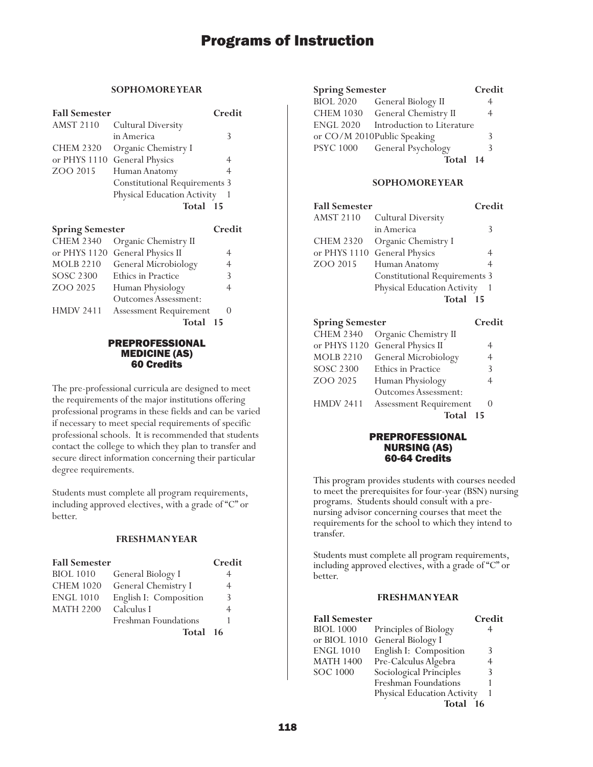### **SOPHOMORE YEAR**

| <b>Fall Semester</b> |                                      | Credit |
|----------------------|--------------------------------------|--------|
| <b>AMST 2110</b>     | <b>Cultural Diversity</b>            |        |
|                      | in America                           | 3      |
| <b>CHEM 2320</b>     | Organic Chemistry I                  |        |
| or PHYS 1110         | <b>General Physics</b>               |        |
| ZOO 2015             | Human Anatomy                        | 4      |
|                      | <b>Constitutional Requirements 3</b> |        |
|                      | Physical Education Activity          |        |
|                      | Total 15                             |        |
|                      |                                      |        |

| <b>Spring Semester</b> |                                 | Credit         |
|------------------------|---------------------------------|----------------|
| <b>CHEM 2340</b>       | Organic Chemistry II            |                |
|                        | or PHYS 1120 General Physics II | 4              |
| <b>MOLB 2210</b>       | General Microbiology            | $\overline{4}$ |
| <b>SOSC 2300</b>       | Ethics in Practice              | 3              |
| ZOO 2025               | Human Physiology                | 4              |
|                        | <b>Outcomes Assessment:</b>     |                |
| <b>HMDV 2411</b>       | <b>Assessment Requirement</b>   |                |
|                        | Total                           | 15             |

### PREPROFESSIONAL MEDICINE (AS) 60 Credits

The pre-professional curricula are designed to meet the requirements of the major institutions offering professional programs in these fields and can be varied if necessary to meet special requirements of specific professional schools. It is recommended that students contact the college to which they plan to transfer and secure direct information concerning their particular degree requirements.

Students must complete all program requirements, including approved electives, with a grade of "C" or better.

### **FRESHMAN YEAR**

| <b>Fall Semester</b> |                        | Credit |
|----------------------|------------------------|--------|
| <b>BIOL</b> 1010     | General Biology I      |        |
| <b>CHEM 1020</b>     | General Chemistry I    | 4      |
| <b>ENGL 1010</b>     | English I: Composition | 3      |
| <b>MATH 2200</b>     | Calculus I             |        |
|                      | Freshman Foundations   |        |
|                      | Total 16               |        |

| <b>Spring Semester</b> |                             | Credit |
|------------------------|-----------------------------|--------|
| <b>BIOL 2020</b>       | General Biology II          |        |
| <b>CHEM 1030</b>       | General Chemistry II        |        |
| <b>ENGL 2020</b>       | Introduction to Literature  |        |
|                        | or CO/M 2010Public Speaking | 3      |
| <b>PSYC 1000</b>       | General Psychology          |        |
|                        | Total 14                    |        |

### **SOPHOMORE YEAR**

| <b>Fall Semester</b> |                                      | Credit |
|----------------------|--------------------------------------|--------|
| <b>AMST 2110</b>     | <b>Cultural Diversity</b>            |        |
|                      | in America                           | 3      |
| <b>CHEM 2320</b>     | Organic Chemistry I                  |        |
| or PHYS 1110         | <b>General Physics</b>               | 4      |
| ZOO 2015             | Human Anatomy                        | 4      |
|                      | <b>Constitutional Requirements 3</b> |        |
|                      | Physical Education Activity          |        |
|                      | Total 15                             |        |
|                      |                                      |        |

| <b>Spring Semester</b> |                               | Credit         |
|------------------------|-------------------------------|----------------|
| <b>CHEM 2340</b>       | Organic Chemistry II          |                |
| or PHYS 1120           | General Physics II            | 4              |
| <b>MOLB 2210</b>       | General Microbiology          | $\overline{4}$ |
| <b>SOSC 2300</b>       | <b>Ethics in Practice</b>     | 3              |
| ZOO 2025               | Human Physiology              | 4              |
|                        | <b>Outcomes Assessment:</b>   |                |
| <b>HMDV 2411</b>       | <b>Assessment Requirement</b> |                |
|                        | Total                         | 15             |

### PREPROFESSIONAL NURSING (AS) 60-64 Credits

This program provides students with courses needed to meet the prerequisites for four-year (BSN) nursing programs. Students should consult with a prenursing advisor concerning courses that meet the requirements for the school to which they intend to transfer.

Students must complete all program requirements, including approved electives, with a grade of "C" or better.

| <b>Fall Semester</b> |                             | Credit |
|----------------------|-----------------------------|--------|
| <b>BIOL 1000</b>     | Principles of Biology       | 4      |
| or BIOL 1010         | General Biology I           |        |
| <b>ENGL 1010</b>     | English I: Composition      | 3      |
| <b>MATH 1400</b>     | Pre-Calculus Algebra        | 4      |
| <b>SOC 1000</b>      | Sociological Principles     | 3      |
|                      | Freshman Foundations        |        |
|                      | Physical Education Activity |        |
|                      | Total                       | - 16   |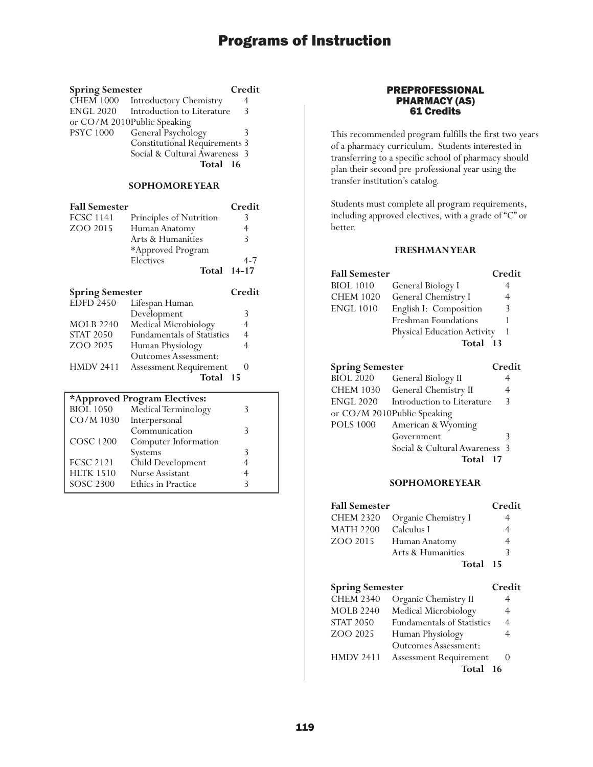| <b>Spring Semester</b>               | Credit                               |   |
|--------------------------------------|--------------------------------------|---|
| CHEM 1000 Introductory Chemistry     |                                      | 4 |
| ENGL 2020 Introduction to Literature | $\mathcal{R}$                        |   |
| or CO/M 2010Public Speaking          |                                      |   |
| <b>PSYC 1000</b>                     | General Psychology<br>3              |   |
|                                      | <b>Constitutional Requirements 3</b> |   |
|                                      | Social & Cultural Awareness 3        |   |
|                                      | Total 16                             |   |
|                                      |                                      |   |

### **SOPHOMORE YEAR**

| <b>Fall Semester</b>   |                                     | Credit  |
|------------------------|-------------------------------------|---------|
| <b>FCSC 1141</b>       | Principles of Nutrition             | 3       |
| ZOO 2015               | Human Anatomy                       | 4       |
|                        | Arts & Humanities                   | 3       |
|                        | *Approved Program                   |         |
|                        | Electives                           | $4 - 7$ |
|                        |                                     |         |
|                        | Total                               | 14-17   |
| <b>Spring Semester</b> |                                     | Credit  |
| <b>EDFD 2450</b>       | Lifespan Human                      |         |
|                        | Development<br>Medical Microbiology | 3       |

| MULB 22 <del>4</del> 0 | Medical Microbiology              | 4 |
|------------------------|-----------------------------------|---|
| <b>STAT 2050</b>       | <b>Fundamentals of Statistics</b> | 4 |
| ZOO 2025               | Human Physiology                  | 4 |
|                        | <b>Outcomes Assessment:</b>       |   |
| <b>HMDV 2411</b>       | <b>Assessment Requirement</b>     |   |
|                        | Total 15                          |   |
|                        |                                   |   |

### **\*Approved Program Electives:**

| $\Gamma \Gamma$ . The set of $\Gamma$ |                      |   |  |
|---------------------------------------|----------------------|---|--|
| <b>BIOL</b> 1050                      | Medical Terminology  |   |  |
| CO/M 1030                             | Interpersonal        |   |  |
|                                       | Communication        |   |  |
| <b>COSC 1200</b>                      | Computer Information |   |  |
|                                       | Systems              |   |  |
| <b>FCSC 2121</b>                      | Child Development    | 4 |  |
| <b>HLTK 1510</b>                      | Nurse Assistant      |   |  |
| SOSC 2300                             | Ethics in Practice   |   |  |
|                                       |                      |   |  |

### PREPROFESSIONAL PHARMACY (AS) 61 Credits

This recommended program fulfills the first two years of a pharmacy curriculum. Students interested in transferring to a specific school of pharmacy should plan their second pre-professional year using the transfer institution's catalog.

Students must complete all program requirements, including approved electives, with a grade of "C" or better.

### **FRESHMAN YEAR**

| <b>Fall Semester</b>   |                             | Credit |
|------------------------|-----------------------------|--------|
| <b>BIOL 1010</b>       | General Biology I           | 4      |
| <b>CHEM 1020</b>       | General Chemistry I         | 4      |
| <b>ENGL 1010</b>       | English I: Composition      | 3      |
|                        | Freshman Foundations        |        |
|                        | Physical Education Activity |        |
|                        | Total                       | - 13   |
| <b>Spring Semester</b> |                             | Credit |
| <b>BIOL 2020</b>       | General Biology II          |        |

| DIVJE ZVZV       | <b>OCHCLAL DIOLOGY</b> H       |               |
|------------------|--------------------------------|---------------|
|                  | CHEM 1030 General Chemistry II |               |
| ENGL 2020        | Introduction to Literature     | $\mathcal{R}$ |
|                  | or CO/M 2010Public Speaking    |               |
| <b>POLS 1000</b> | American & Wyoming             |               |
|                  | Government                     | 3             |
|                  | Social & Cultural Awareness 3  |               |
|                  | Total 17                       |               |

### **SOPHOMORE YEAR**

| <b>Fall Semester</b>   |                     | Credit |
|------------------------|---------------------|--------|
| <b>CHEM 2320</b>       | Organic Chemistry I | 4      |
| <b>MATH 2200</b>       | Calculus I          | 4      |
| ZOO 2015               | Human Anatomy       | 4      |
|                        | Arts & Humanities   | 3      |
|                        | Total 15            |        |
|                        |                     |        |
| <b>Spring Semester</b> |                     | Credit |

| $\sigma$ $\mu$ $\mu$ <sub>g</sub> $\sigma$ $\mu$ $\sigma$ $\sigma$ |                                   | .                 |
|--------------------------------------------------------------------|-----------------------------------|-------------------|
| <b>CHEM 2340</b>                                                   | Organic Chemistry II              | 4                 |
| <b>MOLB 2240</b>                                                   | Medical Microbiology              | $\overline{4}$    |
| <b>STAT 2050</b>                                                   | <b>Fundamentals of Statistics</b> | $\overline{4}$    |
| ZOO 2025                                                           | Human Physiology                  | 4                 |
|                                                                    | <b>Outcomes Assessment:</b>       |                   |
| <b>HMDV 2411</b>                                                   | <b>Assessment Requirement</b>     | $\mathbf{\Omega}$ |
|                                                                    | Total 16                          |                   |
|                                                                    |                                   |                   |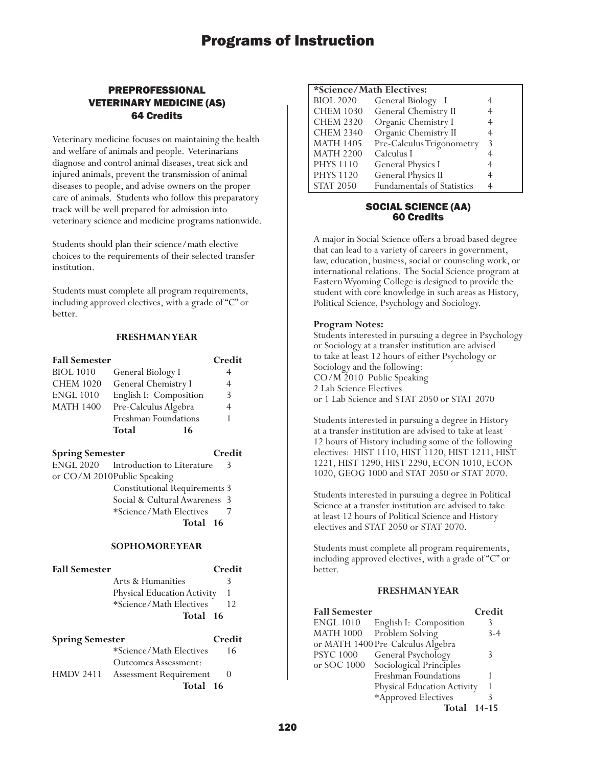### PREPROFESSIONAL VETERINARY MEDICINE (AS) 64 Credits

Veterinary medicine focuses on maintaining the health and welfare of animals and people. Veterinarians diagnose and control animal diseases, treat sick and injured animals, prevent the transmission of animal diseases to people, and advise owners on the proper care of animals. Students who follow this preparatory track will be well prepared for admission into veterinary science and medicine programs nationwide.

Students should plan their science/math elective choices to the requirements of their selected transfer institution.

Students must complete all program requirements, including approved electives, with a grade of "C" or better.

### **FRESHMAN YEAR**

| <b>Fall Semester</b>   |                        | Credit |
|------------------------|------------------------|--------|
| <b>BIOL 1010</b>       | General Biology I      | 4      |
| <b>CHEM 1020</b>       | General Chemistry I    | 4      |
| <b>ENGL 1010</b>       | English I: Composition | 3      |
| <b>MATH 1400</b>       | Pre-Calculus Algebra   | 4      |
|                        | Freshman Foundations   | 1      |
|                        | <b>Total</b><br>16     |        |
| <b>Spring Semester</b> |                        | Credit |

ENGL 2020 Introduction to Literature 3 or CO/M 2010Public Speaking Constitutional Requirements 3 Social & Cultural Awareness 3 \*Science/Math Electives 7 **Total 16**

### **SOPHOMORE YEAR**

| <b>Fall Semester</b> |                             | Credi |
|----------------------|-----------------------------|-------|
|                      | Arts & Humanities           | 3     |
|                      | Physical Education Activity |       |
|                      | *Science/Math Electives     | 12    |
|                      | Total 16                    |       |

| <b>Spring Semester</b> |                               | Credit |
|------------------------|-------------------------------|--------|
|                        | *Science/Math Electives       | 16     |
|                        | Outcomes Assessment:          |        |
| <b>HMDV 2411</b>       | <b>Assessment Requirement</b> |        |
|                        | Total 16                      |        |

### **\*Science/Math Electives:**

|                  | SCRIILLE Math Littlives.   |   |
|------------------|----------------------------|---|
| <b>BIOL 2020</b> | General Biology I          |   |
| <b>CHEM 1030</b> | General Chemistry II       |   |
| <b>CHEM 2320</b> | Organic Chemistry I        |   |
| <b>CHEM 2340</b> | Organic Chemistry II       | 4 |
| <b>MATH 1405</b> | Pre-Calculus Trigonometry  | 3 |
| <b>MATH 2200</b> | Calculus I                 |   |
| <b>PHYS 1110</b> | <b>General Physics I</b>   | 4 |
| <b>PHYS 1120</b> | <b>General Physics II</b>  | 4 |
| <b>STAT 2050</b> | Fundamentals of Statistics | 4 |

### SOCIAL SCIENCE (AA) 60 Credits

A major in Social Science offers a broad based degree that can lead to a variety of careers in government, law, education, business, social or counseling work, or international relations. The Social Science program at Eastern Wyoming College is designed to provide the student with core knowledge in such areas as History, Political Science, Psychology and Sociology.

### **Program Notes:**

Students interested in pursuing a degree in Psychology or Sociology at a transfer institution are advised to take at least 12 hours of either Psychology or Sociology and the following: CO/M 2010 Public Speaking 2 Lab Science Electives or 1 Lab Science and STAT 2050 or STAT 2070

Students interested in pursuing a degree in History at a transfer institution are advised to take at least 12 hours of History including some of the following electives: HIST 1110, HIST 1120, HIST 1211, HIST 1221, HIST 1290, HIST 2290, ECON 1010, ECON 1020, GEOG 1000 and STAT 2050 or STAT 2070.

Students interested in pursuing a degree in Political Science at a transfer institution are advised to take at least 12 hours of Political Science and History electives and STAT 2050 or STAT 2070.

Students must complete all program requirements, including approved electives, with a grade of "C" or better.

| <b>Fall Semester</b> |                                   | Credit    |
|----------------------|-----------------------------------|-----------|
| <b>ENGL 1010</b>     | English I: Composition            | 3         |
| <b>MATH 1000</b>     | Problem Solving                   | $3-4$     |
|                      | or MATH 1400 Pre-Calculus Algebra |           |
| <b>PSYC 1000</b>     | General Psychology                |           |
| or SOC 1000          | Sociological Principles           |           |
|                      | Freshman Foundations              |           |
|                      | Physical Education Activity       |           |
|                      | *Approved Electives               |           |
|                      | Total                             | $14 - 15$ |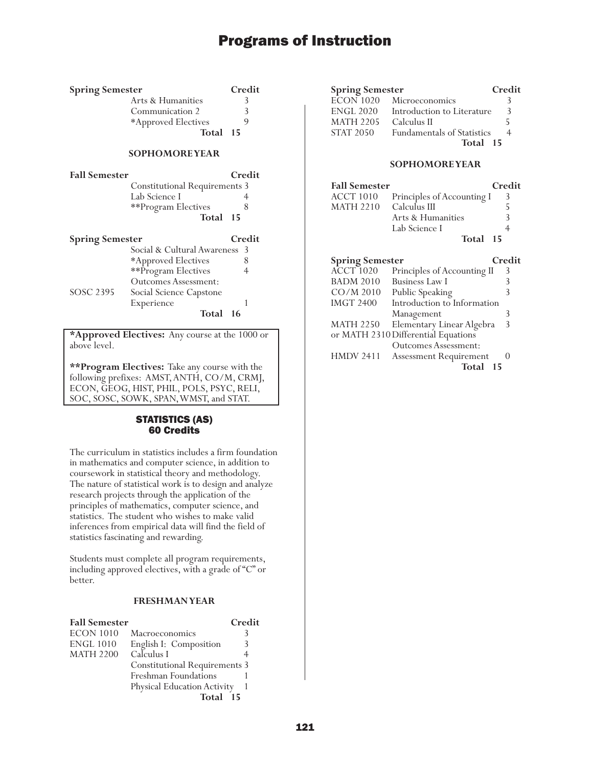| <b>Spring Semester</b> | Credit |
|------------------------|--------|
| Arts & Humanities      |        |
| Communication 2        | 3      |
| *Approved Electives    |        |
| Total 15               |        |

### **SOPHOMORE YEAR**

| <b>Fall Semester</b> |                                      | Credit |
|----------------------|--------------------------------------|--------|
|                      | <b>Constitutional Requirements 3</b> |        |
|                      | Lab Science I                        |        |
|                      | **Program Electives                  |        |
|                      | Total 15                             |        |

| <b>Spring Semester</b> |                               | Credit |
|------------------------|-------------------------------|--------|
|                        | Social & Cultural Awareness 3 |        |
|                        | *Approved Electives           |        |
|                        | **Program Electives           |        |
|                        | <b>Outcomes Assessment:</b>   |        |
| SOSC 2395              | Social Science Capstone       |        |
|                        | Experience                    |        |
|                        | Total<br>16                   |        |

**\*Approved Electives:** Any course at the 1000 or above level.

**\*\*Program Electives:** Take any course with the following prefixes: AMST, ANTH, CO/M, CRMJ, ECON, GEOG, HIST, PHIL, POLS, PSYC, RELI, SOC, SOSC, SOWK, SPAN, WMST, and STAT.

### STATISTICS (AS) 60 Credits

The curriculum in statistics includes a firm foundation in mathematics and computer science, in addition to coursework in statistical theory and methodology. The nature of statistical work is to design and analyze research projects through the application of the principles of mathematics, computer science, and statistics. The student who wishes to make valid inferences from empirical data will find the field of statistics fascinating and rewarding.

Students must complete all program requirements, including approved electives, with a grade of "C" or better.

### **FRESHMAN YEAR**

| <b>Fall Semester</b> |                                      | Credit |
|----------------------|--------------------------------------|--------|
| <b>ECON 1010</b>     | Macroeconomics                       | 3      |
| <b>ENGL 1010</b>     | English I: Composition               |        |
| <b>MATH 2200</b>     | Calculus I                           |        |
|                      | <b>Constitutional Requirements 3</b> |        |
|                      | Freshman Foundations                 |        |
|                      | Physical Education Activity          |        |
|                      | Total<br>$-15$                       |        |

| <b>Spring Semester</b> |                                       | Credit |
|------------------------|---------------------------------------|--------|
|                        | $\overline{ECON}$ 1020 Microeconomics |        |
| <b>ENGL 2020</b>       | Introduction to Literature            | 3      |
| <b>MATH 2205</b>       | Calculus II                           |        |
| <b>STAT 2050</b>       | <b>Fundamentals of Statistics</b>     |        |
|                        | Total 15                              |        |

#### **SOPHOMORE YEAR**

| <b>Fall Semester</b> |                            | Credit |
|----------------------|----------------------------|--------|
| ACCT 1010            | Principles of Accounting I |        |
| <b>MATH 2210</b>     | Calculus III               | 5      |
|                      | Arts & Humanities          |        |
|                      | Lab Science I              |        |
|                      | Total 15                   |        |

| <b>Spring Semester</b> |                                     | Credit |
|------------------------|-------------------------------------|--------|
| ACCT <sup>1020</sup>   | Principles of Accounting II         | 3      |
| <b>BADM 2010</b>       | <b>Business Law I</b>               |        |
| $CO/M$ 2010            | Public Speaking                     | 3      |
| <b>IMGT 2400</b>       | Introduction to Information         |        |
|                        | Management                          |        |
| <b>MATH 2250</b>       | Elementary Linear Algebra           | 3      |
|                        | or MATH 2310 Differential Equations |        |
|                        | <b>Outcomes Assessment:</b>         |        |
| <b>HMDV 2411</b>       | <b>Assessment Requirement</b>       |        |
|                        | Total                               | 15     |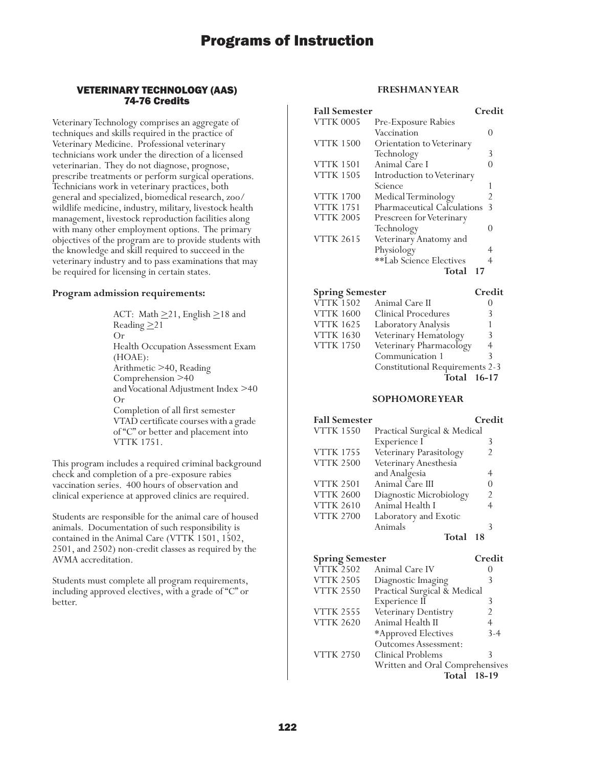### VETERINARY TECHNOLOGY (AAS) 74-76 Credits

Veterinary Technology comprises an aggregate of techniques and skills required in the practice of Veterinary Medicine. Professional veterinary technicians work under the direction of a licensed veterinarian. They do not diagnose, prognose, prescribe treatments or perform surgical operations. Technicians work in veterinary practices, both general and specialized, biomedical research, zoo/ wildlife medicine, industry, military, livestock health management, livestock reproduction facilities along with many other employment options. The primary objectives of the program are to provide students with the knowledge and skill required to succeed in the veterinary industry and to pass examinations that may be required for licensing in certain states.

#### **Program admission requirements:**

ACT: Math  $\geq$ 21, English  $\geq$ 18 and Reading  $\geq$  21 Or Health Occupation Assessment Exam (HOAE): Arithmetic >40, Reading Comprehension >40 and Vocational Adjustment Index >40 Or Completion of all first semester VTAD certificate courses with a grade of "C" or better and placement into VTTK 1751.

This program includes a required criminal background check and completion of a pre-exposure rabies vaccination series. 400 hours of observation and clinical experience at approved clinics are required.

Students are responsible for the animal care of housed animals. Documentation of such responsibility is contained in the Animal Care (VTTK 1501, 1502, 2501, and 2502) non-credit classes as required by the AVMA accreditation.

Students must complete all program requirements, including approved electives, with a grade of "C" or better.

### **FRESHMAN YEAR**

| <b>Fall Semester</b> |                             | Credit        |
|----------------------|-----------------------------|---------------|
| <b>VTTK 0005</b>     | Pre-Exposure Rabies         |               |
|                      | Vaccination                 | $\mathcal{O}$ |
| <b>VTTK 1500</b>     | Orientation to Veterinary   |               |
|                      | Technology                  | 3             |
| <b>VTTK 1501</b>     | Animal Care I               |               |
| <b>VTTK 1505</b>     | Introduction to Veterinary  |               |
|                      | Science                     |               |
| <b>VTTK 1700</b>     | Medical Terminology         | 2             |
| <b>VTTK 1751</b>     | Pharmaceutical Calculations | $\mathcal{E}$ |
| <b>VTTK 2005</b>     | Prescreen for Veterinary    |               |
|                      | Technology                  | 0             |
| <b>VTTK 2615</b>     | Veterinary Anatomy and      |               |
|                      | Physiology                  | 4             |
|                      | **Lab Science Electives     | 4             |
|                      | Total                       |               |

| <b>Spring Semester</b> |                                        | Credit         |
|------------------------|----------------------------------------|----------------|
| VTTK 1502              | Animal Care II                         |                |
| <b>VTTK 1600</b>       | Clinical Procedures                    | 3              |
| VTTK 1625              | Laboratory Analysis                    |                |
| <b>VTTK 1630</b>       | Veterinary Hematology                  | 3              |
| <b>VTTK 1750</b>       | Veterinary Pharmacology                | $\overline{4}$ |
|                        | Communication 1                        | ζ              |
|                        | <b>Constitutional Requirements 2-3</b> |                |
|                        | Total 16-17                            |                |

#### **SOPHOMORE YEAR**

| <b>Fall Semester</b> |                              | Credit         |
|----------------------|------------------------------|----------------|
| <b>VTTK 1550</b>     | Practical Surgical & Medical |                |
|                      | Experience I                 | 3              |
| <b>VTTK 1755</b>     | Veterinary Parasitology      | 2              |
| <b>VTTK 2500</b>     | Veterinary Anesthesia        |                |
|                      | and Analgesia                | 4              |
| <b>VTTK 2501</b>     | Animal Care III              |                |
| <b>VTTK 2600</b>     | Diagnostic Microbiology      | $\mathfrak{D}$ |
| <b>VTTK 2610</b>     | Animal Health I              | 4              |
| <b>VTTK 2700</b>     | Laboratory and Exotic        |                |
|                      | Animals                      |                |
|                      | Total                        |                |

| <b>Spring Semester</b> |                                 | Credit  |
|------------------------|---------------------------------|---------|
| <b>VTTK 2502</b>       | Animal Care IV                  |         |
| <b>VTTK 2505</b>       | Diagnostic Imaging              | 3       |
| <b>VTTK 2550</b>       | Practical Surgical & Medical    |         |
|                        | Experience II                   | 3       |
| <b>VTTK 2555</b>       | Veterinary Dentistry            | 2       |
| <b>VTTK 2620</b>       | Animal Health II                | 4       |
|                        | *Approved Electives             | $3-4$   |
|                        | <b>Outcomes Assessment:</b>     |         |
| <b>VTTK 2750</b>       | Clinical Problems               | 3       |
|                        | Written and Oral Comprehensives |         |
|                        | Total                           | $18-19$ |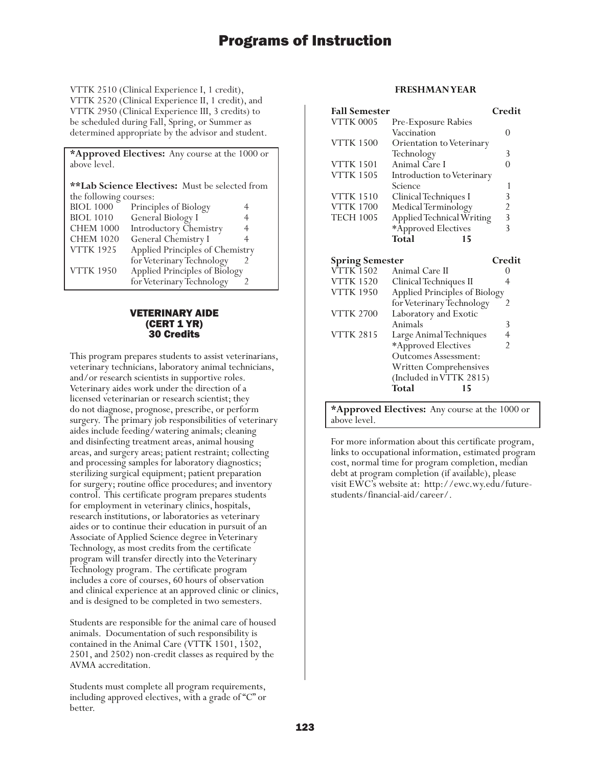VTTK 2510 (Clinical Experience I, 1 credit), VTTK 2520 (Clinical Experience II, 1 credit), and VTTK 2950 (Clinical Experience III, 3 credits) to be scheduled during Fall, Spring, or Summer as determined appropriate by the advisor and student.

**\*Approved Electives:** Any course at the 1000 or above level.

**\*\*Lab Science Electives:** Must be selected from the following courses:

| Applied Principles of Chemistry |
|---------------------------------|
|                                 |
|                                 |
|                                 |
|                                 |

### VETERINARY AIDE (CERT 1 YR) 30 Credits

This program prepares students to assist veterinarians, veterinary technicians, laboratory animal technicians, and/or research scientists in supportive roles. Veterinary aides work under the direction of a licensed veterinarian or research scientist; they do not diagnose, prognose, prescribe, or perform surgery. The primary job responsibilities of veterinary aides include feeding/watering animals; cleaning and disinfecting treatment areas, animal housing areas, and surgery areas; patient restraint; collecting and processing samples for laboratory diagnostics; sterilizing surgical equipment; patient preparation for surgery; routine office procedures; and inventory control. This certificate program prepares students for employment in veterinary clinics, hospitals, research institutions, or laboratories as veterinary aides or to continue their education in pursuit of an Associate of Applied Science degree in Veterinary Technology, as most credits from the certificate program will transfer directly into the Veterinary Technology program. The certificate program includes a core of courses, 60 hours of observation and clinical experience at an approved clinic or clinics, and is designed to be completed in two semesters.

Students are responsible for the animal care of housed animals. Documentation of such responsibility is contained in the Animal Care (VTTK 1501, 1502, 2501, and 2502) non-credit classes as required by the AVMA accreditation.

Students must complete all program requirements, including approved electives, with a grade of "C" or better.

### **FRESHMAN YEAR**

| <b>Fall Semester</b> |                                  | Credit         |
|----------------------|----------------------------------|----------------|
| <b>VTTK 0005</b>     | Pre-Exposure Rabies              |                |
|                      | Vaccination                      |                |
| <b>VTTK 1500</b>     | <b>Orientation to Veterinary</b> |                |
|                      | Technology                       | 3              |
| <b>VTTK 1501</b>     | Animal Care I                    |                |
| <b>VTTK 1505</b>     | Introduction to Veterinary       |                |
|                      | Science                          |                |
| <b>VTTK 1510</b>     | Clinical Techniques I            | 3              |
| <b>VTTK 1700</b>     | Medical Terminology              | $\mathfrak{D}$ |
| <b>TECH 1005</b>     | Applied Technical Writing        | 3              |
|                      | *Approved Electives              |                |
|                      | <b>Total</b><br>15               |                |

| <b>Spring Semester</b> |                               | Credit |
|------------------------|-------------------------------|--------|
| <b>VTTK 1502</b>       | Animal Care II                |        |
| <b>VTTK 1520</b>       | Clinical Techniques II        |        |
| <b>VTTK 1950</b>       | Applied Principles of Biology |        |
|                        | for Veterinary Technology     | 2      |
| <b>VTTK 2700</b>       | Laboratory and Exotic         |        |
|                        | Animals                       | 3      |
| <b>VTTK 2815</b>       | Large Animal Techniques       |        |
|                        | *Approved Electives           | 2      |
|                        | Outcomes Assessment:          |        |
|                        | Written Comprehensives        |        |
|                        | (Included in VTTK 2815)       |        |
|                        | Total<br>15                   |        |
|                        |                               |        |

**\*Approved Electives:** Any course at the 1000 or above level.

For more information about this certificate program, links to occupational information, estimated program cost, normal time for program completion, median debt at program completion (if available), please visit EWC's website at: http://ewc.wy.edu/futurestudents/financial-aid/career/.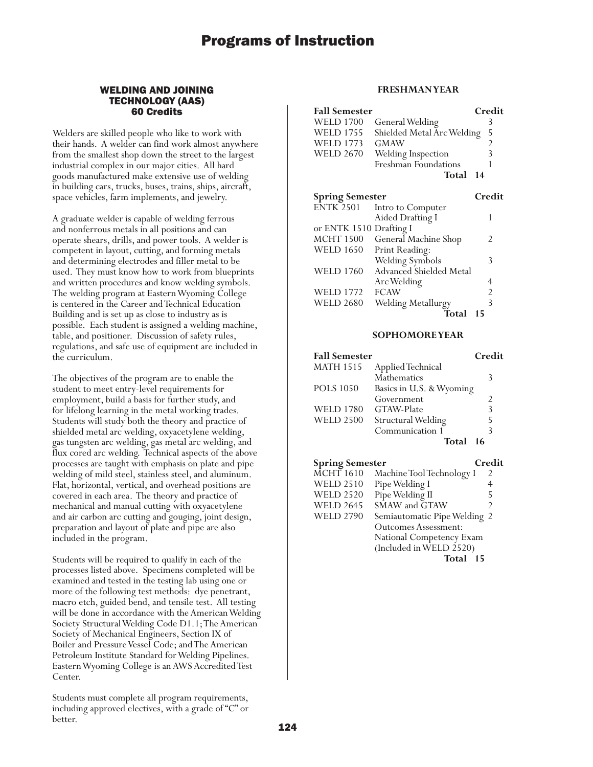### WELDING AND JOINING TECHNOLOGY (AAS) 60 Credits

Welders are skilled people who like to work with their hands. A welder can find work almost anywhere from the smallest shop down the street to the largest industrial complex in our major cities. All hard goods manufactured make extensive use of welding in building cars, trucks, buses, trains, ships, aircraft, space vehicles, farm implements, and jewelry.

A graduate welder is capable of welding ferrous and nonferrous metals in all positions and can operate shears, drills, and power tools. A welder is competent in layout, cutting, and forming metals and determining electrodes and filler metal to be used. They must know how to work from blueprints and written procedures and know welding symbols. The welding program at Eastern Wyoming College is centered in the Career and Technical Education Building and is set up as close to industry as is possible. Each student is assigned a welding machine, table, and positioner. Discussion of safety rules, regulations, and safe use of equipment are included in the curriculum.

The objectives of the program are to enable the student to meet entry-level requirements for employment, build a basis for further study, and for lifelong learning in the metal working trades. Students will study both the theory and practice of shielded metal arc welding, oxyacetylene welding, gas tungsten arc welding, gas metal arc welding, and flux cored arc welding. Technical aspects of the above processes are taught with emphasis on plate and pipe welding of mild steel, stainless steel, and aluminum. Flat, horizontal, vertical, and overhead positions are covered in each area. The theory and practice of mechanical and manual cutting with oxyacetylene and air carbon arc cutting and gouging, joint design, preparation and layout of plate and pipe are also included in the program.

Students will be required to qualify in each of the processes listed above. Specimens completed will be examined and tested in the testing lab using one or more of the following test methods: dye penetrant, macro etch, guided bend, and tensile test. All testing will be done in accordance with the American Welding Society Structural Welding Code D1.1; The American Society of Mechanical Engineers, Section IX of Boiler and Pressure Vessel Code; and The American Petroleum Institute Standard for Welding Pipelines. Eastern Wyoming College is an AWS Accredited Test Center.

Students must complete all program requirements, including approved electives, with a grade of "C" or better.

### **FRESHMAN YEAR**

|                             |                                                                                                                               | Credit                     |
|-----------------------------|-------------------------------------------------------------------------------------------------------------------------------|----------------------------|
|                             |                                                                                                                               | 3                          |
|                             |                                                                                                                               | 5                          |
| GMAW                        |                                                                                                                               | $\overline{c}$             |
|                             |                                                                                                                               | 3                          |
| <b>Freshman Foundations</b> |                                                                                                                               | 1                          |
| Total                       | 14                                                                                                                            |                            |
|                             |                                                                                                                               |                            |
| <b>Spring Semester</b>      |                                                                                                                               | Credit                     |
| Intro to Computer           |                                                                                                                               |                            |
| Aided Drafting I            |                                                                                                                               | 1                          |
|                             |                                                                                                                               |                            |
| General Machine Shop        |                                                                                                                               | 2                          |
|                             |                                                                                                                               |                            |
|                             |                                                                                                                               | 3                          |
| Advanced Shielded Metal     |                                                                                                                               |                            |
| Arc Welding                 |                                                                                                                               | 4                          |
| <b>FCAW</b>                 |                                                                                                                               | 2                          |
| Welding Metallurgy          |                                                                                                                               | 3                          |
|                             | <b>Fall Semester</b><br>General Welding<br>Welding Inspection<br>or ENTK 1510 Drafting I<br>Print Reading:<br>Welding Symbols | Shielded Metal Arc Welding |

**Total 15**

#### **SOPHOMORE YEAR**

| <b>Fall Semester</b> |                          | Credit |
|----------------------|--------------------------|--------|
| <b>MATH 1515</b>     | Applied Technical        |        |
|                      | <b>Mathematics</b>       | 3      |
| <b>POLS</b> 1050     | Basics in U.S. & Wyoming |        |
|                      | Government               | 2      |
| <b>WELD 1780</b>     | GTAW-Plate               | 3      |
| <b>WELD 2500</b>     | Structural Welding       | 5      |
|                      | Communication 1          | 3      |
|                      | Total                    | 16     |

| <b>Spring Semester</b> |                              | Credit         |
|------------------------|------------------------------|----------------|
| MCHT 1610              | Machine Tool Technology I    | 2              |
| <b>WELD 2510</b>       | Pipe Welding I               | 4              |
| <b>WELD 2520</b>       | Pipe Welding II              | 5              |
| <b>WELD 2645</b>       | SMAW and GTAW                | $\mathfrak{D}$ |
| <b>WELD 2790</b>       | Semiautomatic Pipe Welding 2 |                |
|                        | Outcomes Assessment:         |                |
|                        | National Competency Exam     |                |
|                        | (Included in WELD 2520)      |                |
|                        | Total<br>15                  |                |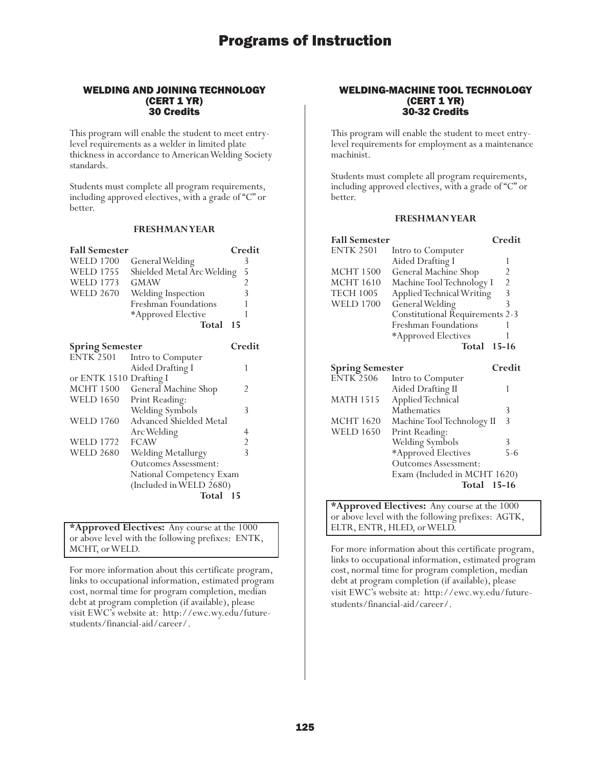### WELDING AND JOINING TECHNOLOGY (CERT 1 YR) 30 Credits

This program will enable the student to meet entrylevel requirements as a welder in limited plate thickness in accordance to American Welding Society standards.

Students must complete all program requirements, including approved electives, with a grade of "C" or better.

### **FRESHMAN YEAR**

| <b>Fall Semester</b>    |                             | Credit         |
|-------------------------|-----------------------------|----------------|
| <b>WELD 1700</b>        | General Welding             | 3              |
| <b>WELD 1755</b>        | Shielded Metal Arc Welding  | 5              |
| <b>WELD 1773</b>        | GMAW                        | $\overline{2}$ |
| <b>WELD 2670</b>        | Welding Inspection          | $\overline{3}$ |
|                         | Freshman Foundations        | 1              |
|                         | *Approved Elective          | 1              |
|                         | Total                       | 15             |
|                         |                             |                |
| <b>Spring Semester</b>  |                             | Credit         |
| <b>ENTK 2501</b>        | Intro to Computer           |                |
|                         | Aided Drafting I            | 1              |
| or ENTK 1510 Drafting I |                             |                |
| MCHT 1500               | General Machine Shop        | 2              |
| <b>WELD 1650</b>        | Print Reading:              |                |
|                         | Welding Symbols             | 3              |
| <b>WELD 1760</b>        | Advanced Shielded Metal     |                |
|                         | Arc Welding                 | 4              |
| <b>WELD 1772</b>        | <b>FCAW</b>                 | $\overline{c}$ |
| <b>WELD 2680</b>        | Welding Metallurgy          | $\overline{3}$ |
|                         | <b>Outcomes Assessment:</b> |                |
|                         | National Competency Exam    |                |
|                         | (Included in WELD 2680)     |                |
|                         | Total                       | -15            |

**\*Approved Electives:** Any course at the 1000 or above level with the following prefixes: ENTK, MCHT, or WELD.

For more information about this certificate program, links to occupational information, estimated program cost, normal time for program completion, median debt at program completion (if available), please visit EWC's website at: http://ewc.wy.edu/futurestudents/financial-aid/career/.

### WELDING-MACHINE TOOL TECHNOLOGY (CERT 1 YR) 30-32 Credits

This program will enable the student to meet entrylevel requirements for employment as a maintenance machinist.

Students must complete all program requirements, including approved electives, with a grade of "C" or better.

### **FRESHMAN YEAR**

| <b>Fall Semester</b>                               |                                        | Credit                                          |
|----------------------------------------------------|----------------------------------------|-------------------------------------------------|
| <b>ENTK 2501</b>                                   | Intro to Computer                      |                                                 |
|                                                    | Aided Drafting I                       | 1                                               |
| <b>MCHT 1500</b>                                   | General Machine Shop                   |                                                 |
| <b>MCHT</b> 1610                                   | Machine Tool Technology I              |                                                 |
| <b>TECH 1005</b>                                   | Applied Technical Writing              | $\begin{array}{c} 2 \\ 2 \\ 3 \\ 3 \end{array}$ |
| <b>WELD 1700</b>                                   | General Welding                        |                                                 |
|                                                    | <b>Constitutional Requirements 2-3</b> |                                                 |
|                                                    | Freshman Foundations                   | 1                                               |
|                                                    | *Approved Electives                    | 1                                               |
|                                                    | Total                                  | $15 - 16$                                       |
| <b>Spring Semester</b>                             |                                        | Credit                                          |
| <b>ENTK 2506</b>                                   | Intro to Computer                      |                                                 |
|                                                    | Aided Drafting II                      | 1                                               |
| <b>MATH 1515</b>                                   | Applied Technical                      |                                                 |
|                                                    | Mathematics                            | 3                                               |
| <b>MCHT 1620</b>                                   | Machine Tool Technology II             | $\overline{3}$                                  |
| <b>WELD 1650</b>                                   | Print Reading:                         |                                                 |
|                                                    | Welding Symbols                        | 3                                               |
|                                                    | *Approved Electives                    | $5 - 6$                                         |
|                                                    | <b>Outcomes Assessment:</b>            |                                                 |
|                                                    | Exam (Included in MCHT 1620)           |                                                 |
|                                                    | Total                                  | $15 - 16$                                       |
|                                                    |                                        |                                                 |
| <b>*Approved Electives:</b> Any course at the 1000 |                                        |                                                 |

**\*Approved Electives:** Any course at the 1000 or above level with the following prefixes: AGTK, ELTR, ENTR, HLED, or WELD.

For more information about this certificate program, links to occupational information, estimated program cost, normal time for program completion, median debt at program completion (if available), please visit EWC's website at: http://ewc.wy.edu/futurestudents/financial-aid/career/.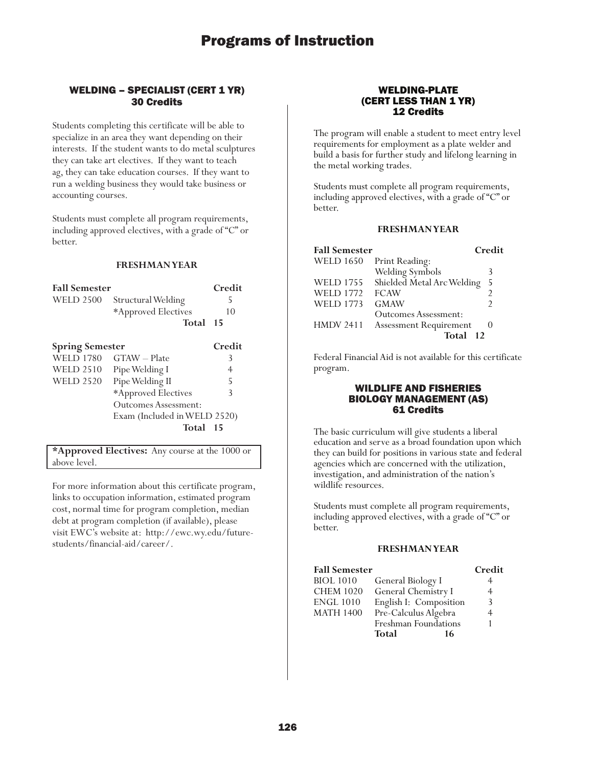### WELDING – SPECIALIST (CERT 1 YR) 30 Credits

Students completing this certificate will be able to specialize in an area they want depending on their interests. If the student wants to do metal sculptures they can take art electives. If they want to teach ag, they can take education courses. If they want to run a welding business they would take business or accounting courses.

Students must complete all program requirements, including approved electives, with a grade of "C" or better.

### **FRESHMAN YEAR**

| <b>Fall Semester</b>   |                              | Credit |
|------------------------|------------------------------|--------|
| <b>WELD 2500</b>       | Structural Welding           | 5      |
|                        | *Approved Electives          | 10     |
|                        | Total                        | -15    |
| <b>Spring Semester</b> |                              | Credit |
| <b>WELD 1780</b>       | GTAW - Plate                 | 3      |
| <b>WELD 2510</b>       | Pipe Welding I               | 4      |
| <b>WELD 2520</b>       | Pipe Welding II              | 5      |
|                        | *Approved Electives          | 3      |
|                        | Outcomes Assessment:         |        |
|                        | Exam (Included in WELD 2520) |        |
|                        | Total                        | - 1.5  |

**\*Approved Electives:** Any course at the 1000 or above level.

For more information about this certificate program, links to occupation information, estimated program cost, normal time for program completion, median debt at program completion (if available), please visit EWC's website at: http://ewc.wy.edu/futurestudents/financial-aid/career/.

### WELDING-PLATE (CERT LESS THAN 1 YR) 12 Credits

The program will enable a student to meet entry level requirements for employment as a plate welder and build a basis for further study and lifelong learning in the metal working trades.

Students must complete all program requirements, including approved electives, with a grade of "C" or better.

### **FRESHMAN YEAR**

| <b>Fall Semester</b> |                               | Credit |
|----------------------|-------------------------------|--------|
| <b>WELD 1650</b>     | Print Reading:                |        |
|                      | Welding Symbols               | 3      |
| <b>WELD 1755</b>     | Shielded Metal Arc Welding    | 5      |
| <b>WELD 1772</b>     | <b>FCAW</b>                   |        |
| <b>WELD 1773</b>     | <b>GMAW</b>                   | 2      |
|                      | <b>Outcomes Assessment:</b>   |        |
| <b>HMDV 2411</b>     | <b>Assessment Requirement</b> |        |
|                      | Total<br>12                   |        |

Federal Financial Aid is not available for this certificate program.

### WILDLIFE AND FISHERIES BIOLOGY MANAGEMENT (AS) 61 Credits

The basic curriculum will give students a liberal education and serve as a broad foundation upon which they can build for positions in various state and federal agencies which are concerned with the utilization, investigation, and administration of the nation's wildlife resources.

Students must complete all program requirements, including approved electives, with a grade of "C" or better.

|                        | Credit                                    |
|------------------------|-------------------------------------------|
|                        |                                           |
| General Chemistry I    | 4                                         |
| English I: Composition | 3                                         |
| Pre-Calculus Algebra   |                                           |
| Freshman Foundations   |                                           |
| Total<br>16            |                                           |
|                        | <b>Fall Semester</b><br>General Biology I |